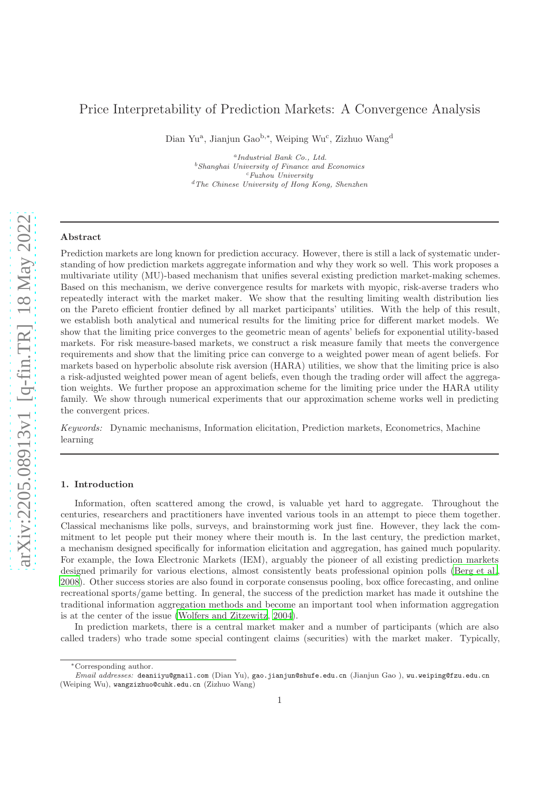# Price Interpretability of Prediction Markets: A Convergence Analysis

Dian Yu<sup>a</sup>, Jianjun Gao<sup>b,\*</sup>, Weiping Wu<sup>c</sup>, Zizhuo Wang<sup>d</sup>

a *Industrial Bank Co., Ltd.* <sup>b</sup>*Shanghai University of Finance and Economics* <sup>c</sup>*Fuzhou University* <sup>d</sup>*The Chinese University of Hong Kong, Shenzhen*

# Abstract

Prediction markets are long known for prediction accuracy. However, there is still a lack of systematic understanding of how prediction markets aggregate information and why they work so well. This work proposes a multivariate utility (MU)-based mechanism that unifies several existing prediction market-making schemes. Based on this mechanism, we derive convergence results for markets with myopic, risk-averse traders who repeatedly interact with the market maker. We show that the resulting limiting wealth distribution lies on the Pareto efficient frontier defined by all market participants' utilities. With the help of this result, we establish both analytical and numerical results for the limiting price for different market models. We show that the limiting price converges to the geometric mean of agents' beliefs for exponential utility-based markets. For risk measure-based markets, we construct a risk measure family that meets the convergence requirements and show that the limiting price can converge to a weighted power mean of agent beliefs. For markets based on hyperbolic absolute risk aversion (HARA) utilities, we show that the limiting price is also a risk-adjusted weighted power mean of agent beliefs, even though the trading order will affect the aggregation weights. We further propose an approximation scheme for the limiting price under the HARA utility family. We show through numerical experiments that our approximation scheme works well in predicting the convergent prices.

Keywords: Dynamic mechanisms, Information elicitation, Prediction markets, Econometrics, Machine learning

#### 1. Introduction

Information, often scattered among the crowd, is valuable yet hard to aggregate. Throughout the centuries, researchers and practitioners have invented various tools in an attempt to piece them together. Classical mechanisms like polls, surveys, and brainstorming work just fine. However, they lack the commitment to let people put their money where their mouth is. In the last century, the prediction market, a mechanism designed specifically for information elicitation and aggregation, has gained much popularity. For example, the Iowa Electronic Markets (IEM), arguably the pioneer of all existing prediction markets designed primarily for various elections, almost consistently beats professional opinion polls [\(Berg et al.](#page-17-0), [2008](#page-17-0)). Other success stories are also found in corporate consensus pooling, box office forecasting, and online recreational sports/game betting. In general, the success of the prediction market has made it outshine the traditional information aggregation methods and become an important tool when information aggregation is at the center of the issue [\(Wolfers and Zitzewitz, 2004\)](#page-17-1).

In prediction markets, there is a central market maker and a number of participants (which are also called traders) who trade some special contingent claims (securities) with the market maker. Typically,

<sup>∗</sup>Corresponding author.

*Email addresses:* deaniiyu@gmail.com (Dian Yu), gao.jianjun@shufe.edu.cn (Jianjun Gao ), wu.weiping@fzu.edu.cn (Weiping Wu), wangzizhuo@cuhk.edu.cn (Zizhuo Wang)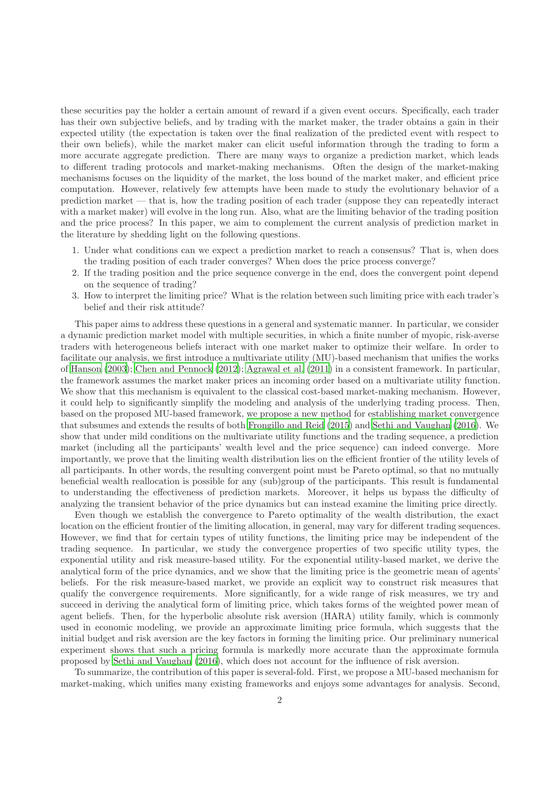these securities pay the holder a certain amount of reward if a given event occurs. Specifically, each trader has their own subjective beliefs, and by trading with the market maker, the trader obtains a gain in their expected utility (the expectation is taken over the final realization of the predicted event with respect to their own beliefs), while the market maker can elicit useful information through the trading to form a more accurate aggregate prediction. There are many ways to organize a prediction market, which leads to different trading protocols and market-making mechanisms. Often the design of the market-making mechanisms focuses on the liquidity of the market, the loss bound of the market maker, and efficient price computation. However, relatively few attempts have been made to study the evolutionary behavior of a prediction market — that is, how the trading position of each trader (suppose they can repeatedly interact with a market maker) will evolve in the long run. Also, what are the limiting behavior of the trading position and the price process? In this paper, we aim to complement the current analysis of prediction market in the literature by shedding light on the following questions.

- 1. Under what conditions can we expect a prediction market to reach a consensus? That is, when does the trading position of each trader converges? When does the price process converge?
- 2. If the trading position and the price sequence converge in the end, does the convergent point depend on the sequence of trading?
- 3. How to interpret the limiting price? What is the relation between such limiting price with each trader's belief and their risk attitude?

This paper aims to address these questions in a general and systematic manner. In particular, we consider a dynamic prediction market model with multiple securities, in which a finite number of myopic, risk-averse traders with heterogeneous beliefs interact with one market maker to optimize their welfare. In order to facilitate our analysis, we first introduce a multivariate utility (MU)-based mechanism that unifies the works of [Hanson \(2003\)](#page-17-2); [Chen and Pennock \(2012\)](#page-17-3); [Agrawal et al. \(2011](#page-17-4)) in a consistent framework. In particular, the framework assumes the market maker prices an incoming order based on a multivariate utility function. We show that this mechanism is equivalent to the classical cost-based market-making mechanism. However, it could help to significantly simplify the modeling and analysis of the underlying trading process. Then, based on the proposed MU-based framework, we propose a new method for establishing market convergence that subsumes and extends the results of both [Frongillo and Reid \(2015\)](#page-17-5) and [Sethi and Vaughan \(2016](#page-17-6)). We show that under mild conditions on the multivariate utility functions and the trading sequence, a prediction market (including all the participants' wealth level and the price sequence) can indeed converge. More importantly, we prove that the limiting wealth distribution lies on the efficient frontier of the utility levels of all participants. In other words, the resulting convergent point must be Pareto optimal, so that no mutually beneficial wealth reallocation is possible for any (sub)group of the participants. This result is fundamental to understanding the effectiveness of prediction markets. Moreover, it helps us bypass the difficulty of analyzing the transient behavior of the price dynamics but can instead examine the limiting price directly.

Even though we establish the convergence to Pareto optimality of the wealth distribution, the exact location on the efficient frontier of the limiting allocation, in general, may vary for different trading sequences. However, we find that for certain types of utility functions, the limiting price may be independent of the trading sequence. In particular, we study the convergence properties of two specific utility types, the exponential utility and risk measure-based utility. For the exponential utility-based market, we derive the analytical form of the price dynamics, and we show that the limiting price is the geometric mean of agents' beliefs. For the risk measure-based market, we provide an explicit way to construct risk measures that qualify the convergence requirements. More significantly, for a wide range of risk measures, we try and succeed in deriving the analytical form of limiting price, which takes forms of the weighted power mean of agent beliefs. Then, for the hyperbolic absolute risk aversion (HARA) utility family, which is commonly used in economic modeling, we provide an approximate limiting price formula, which suggests that the initial budget and risk aversion are the key factors in forming the limiting price. Our preliminary numerical experiment shows that such a pricing formula is markedly more accurate than the approximate formula proposed by [Sethi and Vaughan \(2016\)](#page-17-6), which does not account for the influence of risk aversion.

To summarize, the contribution of this paper is several-fold. First, we propose a MU-based mechanism for market-making, which unifies many existing frameworks and enjoys some advantages for analysis. Second,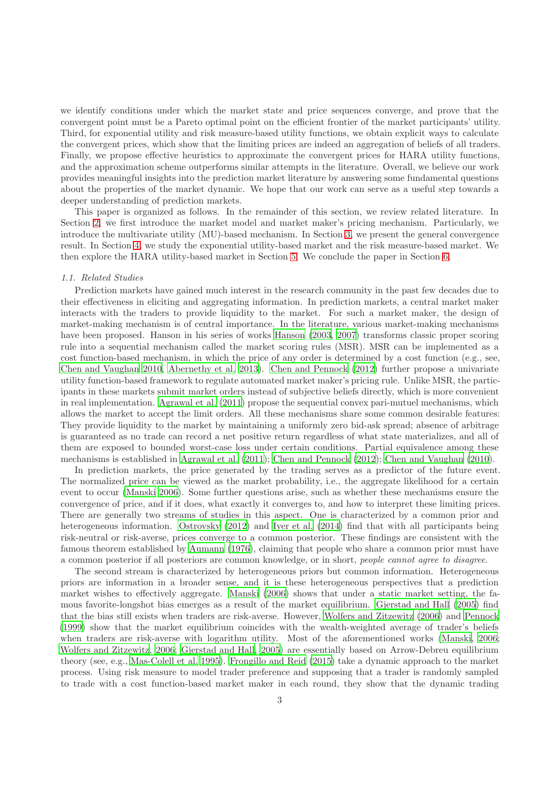we identify conditions under which the market state and price sequences converge, and prove that the convergent point must be a Pareto optimal point on the efficient frontier of the market participants' utility. Third, for exponential utility and risk measure-based utility functions, we obtain explicit ways to calculate the convergent prices, which show that the limiting prices are indeed an aggregation of beliefs of all traders. Finally, we propose effective heuristics to approximate the convergent prices for HARA utility functions, and the approximation scheme outperforms similar attempts in the literature. Overall, we believe our work provides meaningful insights into the prediction market literature by answering some fundamental questions about the properties of the market dynamic. We hope that our work can serve as a useful step towards a deeper understanding of prediction markets.

This paper is organized as follows. In the remainder of this section, we review related literature. In Section [2,](#page-3-0) we first introduce the market model and market maker's pricing mechanism. Particularly, we introduce the multivariate utility (MU)-based mechanism. In Section [3,](#page-7-0) we present the general convergence result. In Section [4,](#page-9-0) we study the exponential utility-based market and the risk measure-based market. We then explore the HARA utility-based market in Section [5.](#page-12-0) We conclude the paper in Section [6.](#page-16-0)

#### 1.1. Related Studies

Prediction markets have gained much interest in the research community in the past few decades due to their effectiveness in eliciting and aggregating information. In prediction markets, a central market maker interacts with the traders to provide liquidity to the market. For such a market maker, the design of market-making mechanism is of central importance. In the literature, various market-making mechanisms have been proposed. Hanson in his series of works [Hanson \(2003,](#page-17-2) [2007\)](#page-17-7) transforms classic proper scoring rule into a sequential mechanism called the market scoring rules (MSR). MSR can be implemented as a cost function-based mechanism, in which the price of any order is determined by a cost function (e.g., see, [Chen and Vaughan 2010](#page-17-8), [Abernethy et al. 2013\)](#page-17-9). [Chen and Pennock \(2012](#page-17-3)) further propose a univariate utility function-based framework to regulate automated market maker's pricing rule. Unlike MSR, the participants in these markets submit market orders instead of subjective beliefs directly, which is more convenient in real implementation. [Agrawal et al. \(2011](#page-17-4)) propose the sequential convex pari-mutuel mechanisms, which allows the market to accept the limit orders. All these mechanisms share some common desirable features: They provide liquidity to the market by maintaining a uniformly zero bid-ask spread; absence of arbitrage is guaranteed as no trade can record a net positive return regardless of what state materializes, and all of them are exposed to bounded worst-case loss under certain conditions. Partial equivalence among these mechanisms is established in [Agrawal et al. \(2011\)](#page-17-4); [Chen and Pennock \(2012\)](#page-17-3); [Chen and Vaughan \(2010\)](#page-17-8).

In prediction markets, the price generated by the trading serves as a predictor of the future event. The normalized price can be viewed as the market probability, i.e., the aggregate likelihood for a certain event to occur [\(Manski 2006](#page-17-10)). Some further questions arise, such as whether these mechanisms ensure the convergence of price, and if it does, what exactly it converges to, and how to interpret these limiting prices. There are generally two streams of studies in this aspect. One is characterized by a common prior and heterogeneous information. [Ostrovsky \(2012\)](#page-17-11) and [Iyer et al. \(2014](#page-17-12)) find that with all participants being risk-neutral or risk-averse, prices converge to a common posterior. These findings are consistent with the famous theorem established by [Aumann \(1976\)](#page-17-13), claiming that people who share a common prior must have a common posterior if all posteriors are common knowledge, or in short, people cannot agree to disagree.

The second stream is characterized by heterogeneous priors but common information. Heterogeneous priors are information in a broader sense, and it is these heterogeneous perspectives that a prediction market wishes to effectively aggregate. [Manski \(2006\)](#page-17-10) shows that under a static market setting, the famous favorite-longshot bias emerges as a result of the market equilibrium. [Gjerstad and Hall \(2005\)](#page-17-14) find that the bias still exists when traders are risk-averse. However, [Wolfers and Zitzewitz \(2006\)](#page-17-15) and [Pennock](#page-17-16) [\(1999](#page-17-16)) show that the market equilibrium coincides with the wealth-weighted average of trader's beliefs when traders are risk-averse with logarithm utility. Most of the aforementioned works [\(Manski, 2006;](#page-17-10) [Wolfers and Zitzewitz, 2006;](#page-17-15) [Gjerstad and Hall, 2005\)](#page-17-14) are essentially based on Arrow-Debreu equilibrium theory (see, e.g., [Mas-Colell et al. 1995\)](#page-17-17). [Frongillo and Reid \(2015\)](#page-17-5) take a dynamic approach to the market process. Using risk measure to model trader preference and supposing that a trader is randomly sampled to trade with a cost function-based market maker in each round, they show that the dynamic trading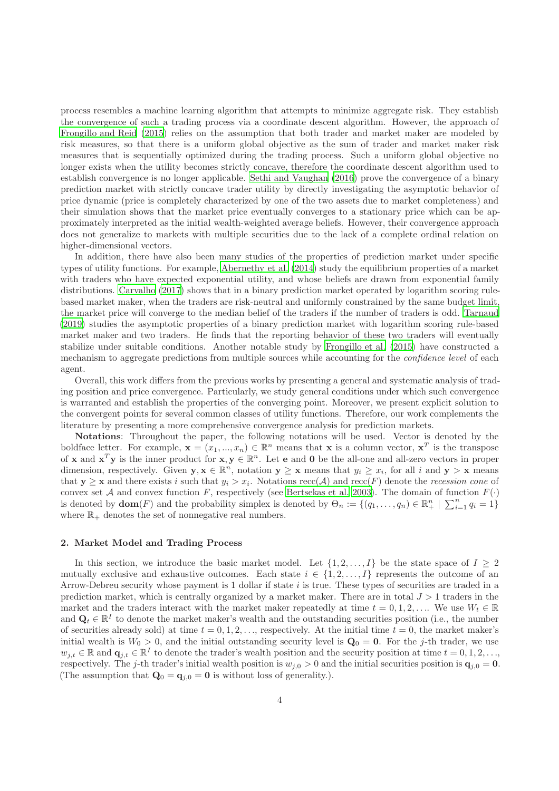process resembles a machine learning algorithm that attempts to minimize aggregate risk. They establish the convergence of such a trading process via a coordinate descent algorithm. However, the approach of [Frongillo and Reid \(2015\)](#page-17-5) relies on the assumption that both trader and market maker are modeled by risk measures, so that there is a uniform global objective as the sum of trader and market maker risk measures that is sequentially optimized during the trading process. Such a uniform global objective no longer exists when the utility becomes strictly concave, therefore the coordinate descent algorithm used to establish convergence is no longer applicable. [Sethi and Vaughan \(2016\)](#page-17-6) prove the convergence of a binary prediction market with strictly concave trader utility by directly investigating the asymptotic behavior of price dynamic (price is completely characterized by one of the two assets due to market completeness) and their simulation shows that the market price eventually converges to a stationary price which can be approximately interpreted as the initial wealth-weighted average beliefs. However, their convergence approach does not generalize to markets with multiple securities due to the lack of a complete ordinal relation on higher-dimensional vectors.

In addition, there have also been many studies of the properties of prediction market under specific types of utility functions. For example, [Abernethy et al. \(2014\)](#page-17-18) study the equilibrium properties of a market with traders who have expected exponential utility, and whose beliefs are drawn from exponential family distributions. [Carvalho \(2017\)](#page-18-0) shows that in a binary prediction market operated by logarithm scoring rulebased market maker, when the traders are risk-neutral and uniformly constrained by the same budget limit, the market price will converge to the median belief of the traders if the number of traders is odd. [Tarnaud](#page-18-1) [\(2019](#page-18-1)) studies the asymptotic properties of a binary prediction market with logarithm scoring rule-based market maker and two traders. He finds that the reporting behavior of these two traders will eventually stabilize under suitable conditions. Another notable study by [Frongillo et al. \(2015\)](#page-18-2) have constructed a mechanism to aggregate predictions from multiple sources while accounting for the *confidence level* of each agent.

Overall, this work differs from the previous works by presenting a general and systematic analysis of trading position and price convergence. Particularly, we study general conditions under which such convergence is warranted and establish the properties of the converging point. Moreover, we present explicit solution to the convergent points for several common classes of utility functions. Therefore, our work complements the literature by presenting a more comprehensive convergence analysis for prediction markets.

Notations: Throughout the paper, the following notations will be used. Vector is denoted by the boldface letter. For example,  $\mathbf{x} = (x_1, ..., x_n) \in \mathbb{R}^n$  means that  $\mathbf{x}$  is a column vector,  $\mathbf{x}^T$  is the transpose of **x** and  $x^T y$  is the inner product for  $x, y \in \mathbb{R}^n$ . Let **e** and **0** be the all-one and all-zero vectors in proper dimension, respectively. Given  $y, x \in \mathbb{R}^n$ , notation  $y \ge x$  means that  $y_i \ge x_i$ , for all i and  $y > x$  means that  $y \geq x$  and there exists i such that  $y_i > x_i$ . Notations  $\operatorname{recc}(\mathcal{A})$  and  $\operatorname{recc}(F)$  denote the *recession cone* of convex set A and convex function F, respectively (see [Bertsekas et al. 2003](#page-18-3)). The domain of function  $F(\cdot)$ is denoted by  $\textbf{dom}(F)$  and the probability simplex is denoted by  $\Theta_n := \{(q_1, \ldots, q_n) \in \mathbb{R}^n_+ \mid \sum_{i=1}^n q_i = 1\}$ where  $\mathbb{R}_+$  denotes the set of nonnegative real numbers.

### <span id="page-3-0"></span>2. Market Model and Trading Process

In this section, we introduce the basic market model. Let  $\{1, 2, ..., I\}$  be the state space of  $I \geq 2$ mutually exclusive and exhaustive outcomes. Each state  $i \in \{1, 2, \ldots, I\}$  represents the outcome of an Arrow-Debreu security whose payment is 1 dollar if state  $i$  is true. These types of securities are traded in a prediction market, which is centrally organized by a market maker. There are in total  $J > 1$  traders in the market and the traders interact with the market maker repeatedly at time  $t = 0, 1, 2, \ldots$  We use  $W_t \in \mathbb{R}$ and  $\mathbf{Q}_t \in \mathbb{R}^I$  to denote the market maker's wealth and the outstanding securities position (i.e., the number of securities already sold) at time  $t = 0, 1, 2, \ldots$ , respectively. At the initial time  $t = 0$ , the market maker's initial wealth is  $W_0 > 0$ , and the initial outstanding security level is  $\mathbf{Q}_0 = \mathbf{0}$ . For the j-th trader, we use  $w_{j,t} \in \mathbb{R}$  and  $\mathbf{q}_{j,t} \in \mathbb{R}^I$  to denote the trader's wealth position and the security position at time  $t = 0, 1, 2, \ldots$ respectively. The j-th trader's initial wealth position is  $w_{j,0} > 0$  and the initial securities position is  $\mathbf{q}_{j,0} = \mathbf{0}$ . (The assumption that  $\mathbf{Q}_0 = \mathbf{q}_{i,0} = \mathbf{0}$  is without loss of generality.).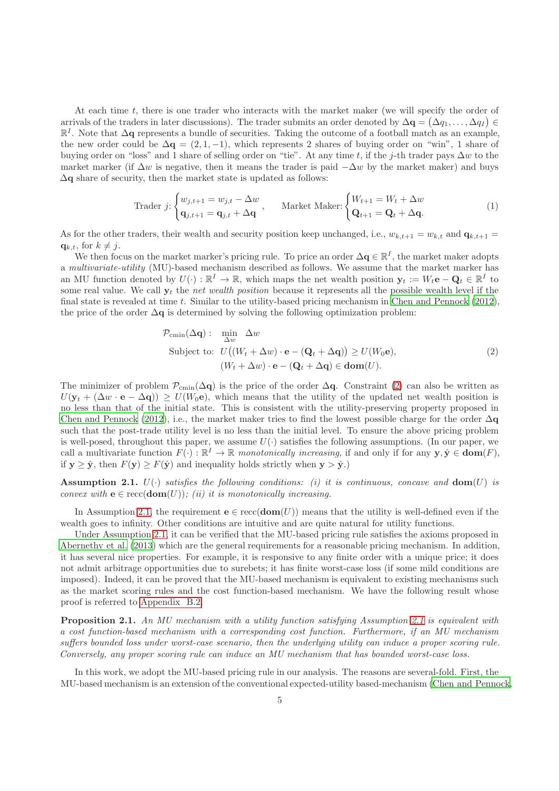At each time t, there is one trader who interacts with the market maker (we will specify the order of arrivals of the traders in later discussions). The trader submits an order denoted by  $\Delta \mathbf{q} = (\Delta q_1, \dots, \Delta q_I) \in$ R<sup>I</sup>. Note that ∆q represents a bundle of securities. Taking the outcome of a football match as an example, the new order could be  $\Delta \mathbf{q} = (2, 1, -1)$ , which represents 2 shares of buying order on "win", 1 share of buying order on "loss" and 1 share of selling order on "tie". At any time t, if the j-th trader pays  $\Delta w$  to the market marker (if  $\Delta w$  is negative, then it means the trader is paid  $-\Delta w$  by the market maker) and buys  $\Delta q$  share of security, then the market state is updated as follows:

$$
\text{Trader } j \colon \begin{cases} w_{j,t+1} = w_{j,t} - \Delta w \\ \mathbf{q}_{j,t+1} = \mathbf{q}_{j,t} + \Delta \mathbf{q} \end{cases}, \qquad \text{Market Maker: } \begin{cases} W_{t+1} = W_t + \Delta w \\ \mathbf{Q}_{t+1} = \mathbf{Q}_t + \Delta \mathbf{q}. \end{cases} \tag{1}
$$

As for the other traders, their wealth and security position keep unchanged, i.e.,  $w_{k,t+1} = w_{k,t}$  and  $\mathbf{q}_{k,t+1} =$  $q_{k,t}$ , for  $k \neq j$ .

We then focus on the market marker's pricing rule. To price an order  $\Delta q \in \mathbb{R}^I$ , the market maker adopts a multivariate-utility (MU)-based mechanism described as follows. We assume that the market marker has an MU function denoted by  $U(\cdot): \mathbb{R}^I \to \mathbb{R}$ , which maps the net wealth position  $\mathbf{y}_t := W_t \mathbf{e} - \mathbf{Q}_t \in \mathbb{R}^I$  to some real value. We call  $y_t$  the net wealth position because it represents all the possible wealth level if the final state is revealed at time  $t$ . Similar to the utility-based pricing mechanism in Chen and Pennock  $(2012)$ , the price of the order  $\Delta q$  is determined by solving the following optimization problem:

<span id="page-4-3"></span><span id="page-4-0"></span>
$$
\mathcal{P}_{\text{cmin}}(\Delta \mathbf{q}): \quad \min_{\Delta w} \quad \Delta w
$$
\n
$$
\text{Subject to: } U\big((W_t + \Delta w) \cdot \mathbf{e} - (\mathbf{Q}_t + \Delta \mathbf{q})\big) \ge U(W_0 \mathbf{e}),
$$
\n
$$
(W_t + \Delta w) \cdot \mathbf{e} - (\mathbf{Q}_t + \Delta \mathbf{q}) \in \text{dom}(U).
$$
\n
$$
(2)
$$

The minimizer of problem  $\mathcal{P}_{\text{cmin}}(\Delta q)$  is the price of the order  $\Delta q$ . Constraint [\(2\)](#page-4-0) can also be written as  $U(\mathbf{y}_t + (\Delta w \cdot \mathbf{e} - \Delta \mathbf{q})) \geq U(W_0 \mathbf{e}),$  which means that the utility of the updated net wealth position is no less than that of the initial state. This is consistent with the utility-preserving property proposed in [Chen and Pennock \(2012\)](#page-17-3), i.e., the market maker tries to find the lowest possible charge for the order  $\Delta q$ such that the post-trade utility level is no less than the initial level. To ensure the above pricing problem is well-posed, throughout this paper, we assume  $U(\cdot)$  satisfies the following assumptions. (In our paper, we call a multivariate function  $F(\cdot): \mathbb{R}^I \to \mathbb{R}$  monotonically increasing, if and only if for any  $y, \hat{y} \in \text{dom}(F)$ , if  $y \ge \hat{y}$ , then  $F(y) \ge F(\hat{y})$  and inequality holds strictly when  $y > \hat{y}$ .

<span id="page-4-1"></span>**Assumption 2.1.**  $U(\cdot)$  satisfies the following conditions: (i) it is continuous, concave and  $dom(U)$  is convex with  $\mathbf{e} \in \text{recc}(\text{dom}(U));$  (ii) it is monotonically increasing.

In Assumption [2.1,](#page-4-1) the requirement  $e \in \text{recc}(\text{dom}(U))$  means that the utility is well-defined even if the wealth goes to infinity. Other conditions are intuitive and are quite natural for utility functions.

Under Assumption [2.1,](#page-4-1) it can be verified that the MU-based pricing rule satisfies the axioms proposed in [Abernethy et al. \(2013](#page-17-9)) which are the general requirements for a reasonable pricing mechanism. In addition, it has several nice properties. For example, it is responsive to any finite order with a unique price; it does not admit arbitrage opportunities due to surebets; it has finite worst-case loss (if some mild conditions are imposed). Indeed, it can be proved that the MU-based mechanism is equivalent to existing mechanisms such as the market scoring rules and the cost function-based mechanism. We have the following result whose proof is referred to [Appendix B.2.](#page-29-0)

<span id="page-4-2"></span>Proposition [2.1](#page-4-1). An MU mechanism with a utility function satisfying Assumption 2.1 is equivalent with a cost function-based mechanism with a corresponding cost function. Furthermore, if an MU mechanism suffers bounded loss under worst-case scenario, then the underlying utility can induce a proper scoring rule. Conversely, any proper scoring rule can induce an MU mechanism that has bounded worst-case loss.

In this work, we adopt the MU-based pricing rule in our analysis. The reasons are several-fold. First, the MU-based mechanism is an extension of the conventional expected-utility based-mechanism [\(Chen and Pennock,](#page-17-3)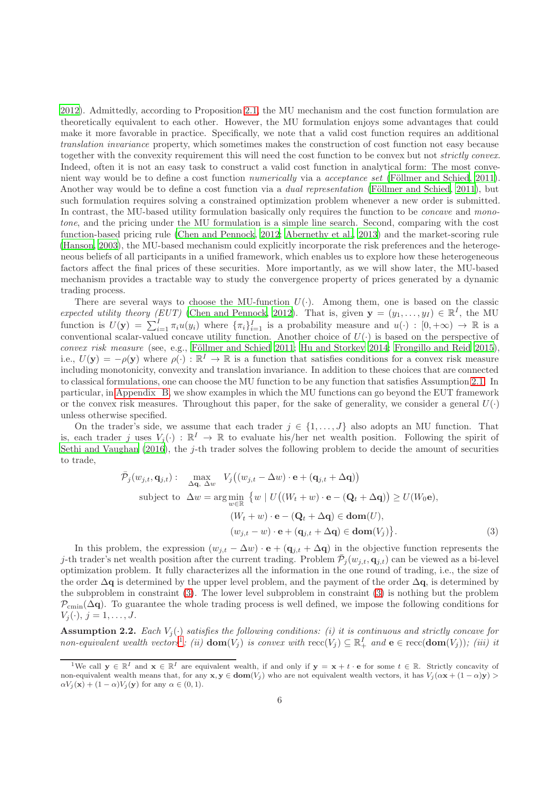[2012](#page-17-3)). Admittedly, according to Proposition [2.1,](#page-4-2) the MU mechanism and the cost function formulation are theoretically equivalent to each other. However, the MU formulation enjoys some advantages that could make it more favorable in practice. Specifically, we note that a valid cost function requires an additional translation invariance property, which sometimes makes the construction of cost function not easy because together with the convexity requirement this will need the cost function to be convex but not strictly convex. Indeed, often it is not an easy task to construct a valid cost function in analytical form: The most convenient way would be to define a cost function numerically via a acceptance set (Föllmer and Schied, 2011). Another way would be to define a cost function via a *dual representation* (Föllmer and Schied, [2011\)](#page-18-4), but such formulation requires solving a constrained optimization problem whenever a new order is submitted. In contrast, the MU-based utility formulation basically only requires the function to be *concave* and monotone, and the pricing under the MU formulation is a simple line search. Second, comparing with the cost function-based pricing rule [\(Chen and Pennock](#page-17-3), [2012;](#page-17-3) [Abernethy](#page-17-9) et al., [2013\)](#page-17-9) and the market-scoring rule [\(Hanson, 2003](#page-17-2)), the MU-based mechanism could explicitly incorporate the risk preferences and the heterogeneous beliefs of all participants in a unified framework, which enables us to explore how these heterogeneous factors affect the final prices of these securities. More importantly, as we will show later, the MU-based mechanism provides a tractable way to study the convergence property of prices generated by a dynamic trading process.

There are several ways to choose the MU-function  $U(\cdot)$ . Among them, one is based on the classic expected utility theory (EUT) [\(Chen and Pennock, 2012\)](#page-17-3). That is, given  $\mathbf{y} = (y_1, \ldots, y_I) \in \mathbb{R}^I$ , the MU function is  $U(\mathbf{y}) = \sum_{i=1}^{I} \pi_i u(y_i)$  where  $\{\pi_i\}_{i=1}^{I}$  is a probability measure and  $u(\cdot) : [0, +\infty) \to \mathbb{R}$  is a conventional scalar-valued concave utility function. Another choice of  $U(\cdot)$  is based on the perspective of  $convex\ risk\ measure$  (see, e.g., Föllmer and Schied 2011; [Hu and Storkey 2014;](#page-18-5) [Frongillo and Reid 2015\)](#page-17-5), i.e.,  $U(\mathbf{y}) = -\rho(\mathbf{y})$  where  $\rho(\cdot) : \mathbb{R}^I \to \mathbb{R}$  is a function that satisfies conditions for a convex risk measure including monotonicity, convexity and translation invariance. In addition to these choices that are connected to classical formulations, one can choose the MU function to be any function that satisfies Assumption [2.1.](#page-4-1) In particular, in [Appendix B,](#page-28-0) we show examples in which the MU functions can go beyond the EUT framework or the convex risk measures. Throughout this paper, for the sake of generality, we consider a general  $U(\cdot)$ unless otherwise specified.

On the trader's side, we assume that each trader  $j \in \{1, \ldots, J\}$  also adopts an MU function. That is, each trader j uses  $V_j(\cdot) : \mathbb{R}^I \to \mathbb{R}$  to evaluate his/her net wealth position. Following the spirit of [Sethi and Vaughan \(2016\)](#page-17-6), the j-th trader solves the following problem to decide the amount of securities to trade,

<span id="page-5-0"></span>
$$
\bar{\mathcal{P}}_j(w_{j,t}, \mathbf{q}_{j,t}) := \max_{\Delta \mathbf{q}, \ \Delta w} V_j((w_{j,t} - \Delta w) \cdot \mathbf{e} + (\mathbf{q}_{j,t} + \Delta \mathbf{q}))
$$
\nsubject to  $\Delta w = \arg \min_{w \in \mathbb{R}} \{ w \mid U((W_t + w) \cdot \mathbf{e} - (\mathbf{Q}_t + \Delta \mathbf{q})) \ge U(W_0 \mathbf{e}),$ \n
$$
(W_t + w) \cdot \mathbf{e} - (\mathbf{Q}_t + \Delta \mathbf{q}) \in \text{dom}(U),
$$
\n
$$
(w_{j,t} - w) \cdot \mathbf{e} + (\mathbf{q}_{j,t} + \Delta \mathbf{q}) \in \text{dom}(V_j) \}.
$$
\n(3)

In this problem, the expression  $(w_{j,t} - \Delta w) \cdot \mathbf{e} + (\mathbf{q}_{j,t} + \Delta \mathbf{q})$  in the objective function represents the j-th trader's net wealth position after the current trading. Problem  $\bar{P}_j(w_{j,t}, \mathbf{q}_{j,t})$  can be viewed as a bi-level optimization problem. It fully characterizes all the information in the one round of trading, i.e., the size of the order  $\Delta q$  is determined by the upper level problem, and the payment of the order  $\Delta q$ , is determined by the subproblem in constraint [\(3\)](#page-5-0). The lower level subproblem in constraint [\(3\)](#page-5-0) is nothing but the problem  $\mathcal{P}_{\text{cmin}}(\Delta q)$ . To guarantee the whole trading process is well defined, we impose the following conditions for  $V_i(\cdot), j = 1, \ldots, J.$ 

<span id="page-5-2"></span>**Assumption 2.2.** Each  $V_j(\cdot)$  satisfies the following conditions: (i) it is continuous and strictly concave for non-equivalent wealth vectors<sup>[1](#page-5-1)</sup>; (ii)  $dom(V_j)$  is convex with  $\operatorname{recc}(V_j) \subseteq \mathbb{R}^I_+$  and  $e \in \operatorname{recc}(dom(V_j))$ ; (iii) it

<span id="page-5-1"></span><sup>&</sup>lt;sup>1</sup>We call  $\mathbf{y} \in \mathbb{R}^I$  and  $\mathbf{x} \in \mathbb{R}^I$  are equivalent wealth, if and only if  $\mathbf{y} = \mathbf{x} + t \cdot \mathbf{e}$  for some  $t \in \mathbb{R}$ . Strictly concavity of non-equivalent wealth means that, for any  $\mathbf{x}, \mathbf{y} \in \text{dom}(V_j)$  who are not equivalent wealth vectors, it has  $V_j(\alpha \mathbf{x} + (1 - \alpha)\mathbf{y}) >$  $\alpha V_i(\mathbf{x}) + (1 - \alpha)V_i(\mathbf{y})$  for any  $\alpha \in (0, 1)$ .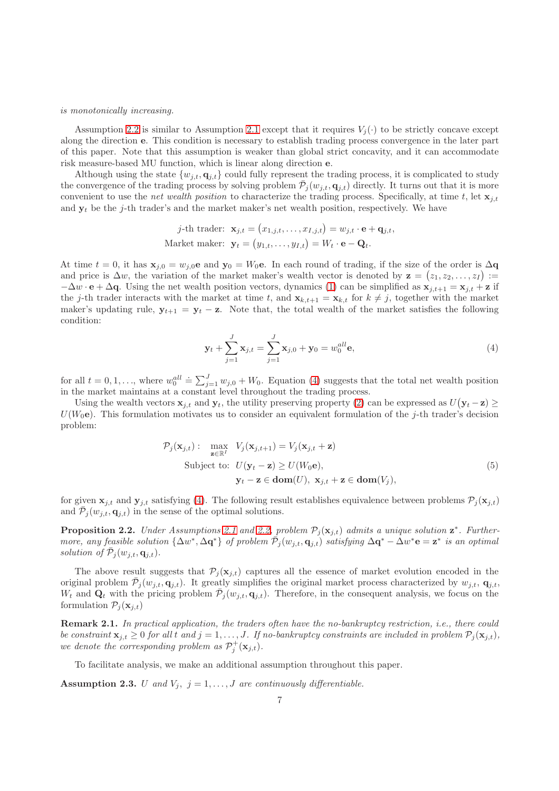# is monotonically increasing.

Assumption [2.2](#page-5-2) is similar to Assumption [2.1](#page-4-1) except that it requires  $V_i(\cdot)$  to be strictly concave except along the direction e. This condition is necessary to establish trading process convergence in the later part of this paper. Note that this assumption is weaker than global strict concavity, and it can accommodate risk measure-based MU function, which is linear along direction e.

Although using the state  $\{w_{j,t}, \mathbf{q}_{j,t}\}$  could fully represent the trading process, it is complicated to study the convergence of the trading process by solving problem  $\bar{P}_j(w_{j,t}, \mathbf{q}_{j,t})$  directly. It turns out that it is more convenient to use the net wealth position to characterize the trading process. Specifically, at time t, let  $\mathbf{x}_{j,t}$ and  $y_t$  be the j-th trader's and the market maker's net wealth position, respectively. We have

j-th trader: 
$$
\mathbf{x}_{j,t} = (x_{1,j,t}, \dots, x_{I,j,t}) = w_{j,t} \cdot \mathbf{e} + \mathbf{q}_{j,t},
$$
  
Market maker:  $\mathbf{y}_t = (y_{1,t}, \dots, y_{I,t}) = W_t \cdot \mathbf{e} - \mathbf{Q}_t.$ 

At time  $t = 0$ , it has  $\mathbf{x}_{j,0} = w_{j,0}e$  and  $\mathbf{y}_0 = W_0e$ . In each round of trading, if the size of the order is  $\Delta \mathbf{q}$ and price is  $\Delta w$ , the variation of the market maker's wealth vector is denoted by  $z = (z_1, z_2, \ldots, z_I) :=$  $-\Delta w \cdot \mathbf{e} + \Delta \mathbf{q}$ . Using the net wealth position vectors, dynamics [\(1\)](#page-4-3) can be simplified as  $\mathbf{x}_{i,t+1} = \mathbf{x}_{i,t} + \mathbf{z}$  if the j-th trader interacts with the market at time t, and  $\mathbf{x}_{k,t+1} = \mathbf{x}_{k,t}$  for  $k \neq j$ , together with the market maker's updating rule,  $y_{t+1} = y_t - z$ . Note that, the total wealth of the market satisfies the following condition:

<span id="page-6-0"></span>
$$
\mathbf{y}_t + \sum_{j=1}^J \mathbf{x}_{j,t} = \sum_{j=1}^J \mathbf{x}_{j,0} + \mathbf{y}_0 = w_0^{all} \mathbf{e},\tag{4}
$$

for all  $t = 0, 1, \ldots$ , where  $w_0^{all} \doteq \sum_{j=1}^J w_{j,0} + W_0$ . Equation [\(4\)](#page-6-0) suggests that the total net wealth position in the market maintains at a constant level throughout the trading process.

Using the wealth vectors  $\mathbf{x}_{j,t}$  and  $\mathbf{y}_t$ , the utility preserving property [\(2\)](#page-4-0) can be expressed as  $U(\mathbf{y}_t - \mathbf{z}) \geq$  $U(W_0e)$ . This formulation motivates us to consider an equivalent formulation of the j-th trader's decision problem:

$$
\mathcal{P}_j(\mathbf{x}_{j,t}) : \max_{\mathbf{z} \in \mathbb{R}^I} V_j(\mathbf{x}_{j,t+1}) = V_j(\mathbf{x}_{j,t} + \mathbf{z})
$$
  
Subject to:  $U(\mathbf{y}_t - \mathbf{z}) \ge U(W_0 \mathbf{e}),$   

$$
\mathbf{y}_t - \mathbf{z} \in \text{dom}(U), \ \mathbf{x}_{j,t} + \mathbf{z} \in \text{dom}(V_j),
$$
 (5)

for given  $\mathbf{x}_{j,t}$  and  $\mathbf{y}_{j,t}$  satisfying [\(4\)](#page-6-0). The following result establishes equivalence between problems  $\mathcal{P}_j(\mathbf{x}_{j,t})$ and  $\bar{\mathcal{P}}_j(w_{j,t}, \mathbf{q}_{j,t})$  in the sense of the optimal solutions.

<span id="page-6-2"></span>**Proposition 2.2.** Under Assumptions [2.1](#page-4-1) and [2.2,](#page-5-2) problem  $\mathcal{P}_j(\mathbf{x}_{j,t})$  admits a unique solution  $\mathbf{z}^*$ . Furthermore, any feasible solution  $\{\Delta w^*, \Delta q^*\}$  of problem  $\bar{\mathcal{P}}_j(w_{j,t}, q_{j,t})$  satisfying  $\Delta q^* - \Delta w^* e = \mathbf{z}^*$  is an optimal solution of  $\bar{\mathcal{P}}_j(w_{j,t}, \mathbf{q}_{j,t})$ .

The above result suggests that  $\mathcal{P}_i(\mathbf{x}_{i,t})$  captures all the essence of market evolution encoded in the original problem  $\bar{\mathcal{P}}_j(w_{j,t}, \mathbf{q}_{j,t})$ . It greatly simplifies the original market process characterized by  $w_{j,t}, \mathbf{q}_{j,t}$ ,  $W_t$  and  $\mathbf{Q}_t$  with the pricing problem  $\bar{\mathcal{P}}_j(w_{j,t}, \mathbf{q}_{j,t})$ . Therefore, in the consequent analysis, we focus on the formulation  $\mathcal{P}_i(\mathbf{x}_{i,t})$ 

Remark 2.1. In practical application, the traders often have the no-bankruptcy restriction, i.e., there could be constraint  $\mathbf{x}_{i,t} \geq 0$  for all t and  $j = 1, \ldots, J$ . If no-bankruptcy constraints are included in problem  $\mathcal{P}_i(\mathbf{x}_{i,t})$ , we denote the corresponding problem as  $\mathcal{P}_j^+(\mathbf{x}_{j,t})$ .

To facilitate analysis, we make an additional assumption throughout this paper.

<span id="page-6-1"></span>Assumption 2.3. U and  $V_j$ ,  $j = 1, \ldots, J$  are continuously differentiable.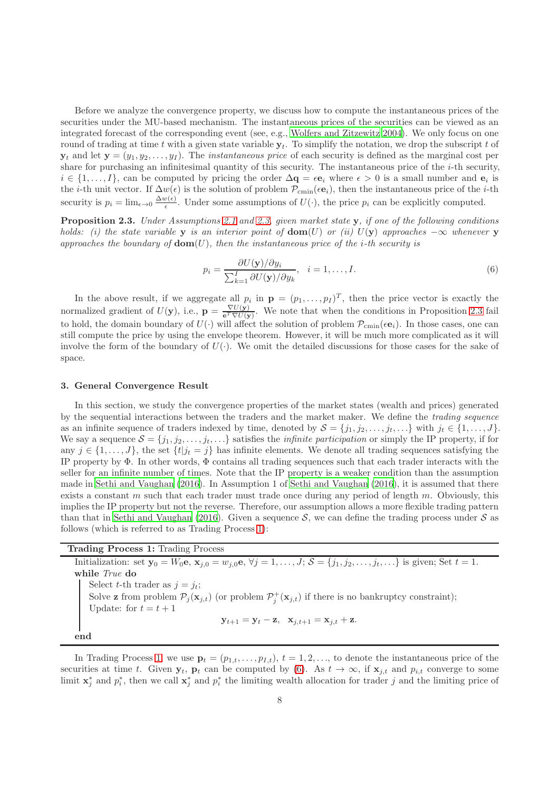Before we analyze the convergence property, we discuss how to compute the instantaneous prices of the securities under the MU-based mechanism. The instantaneous prices of the securities can be viewed as an integrated forecast of the corresponding event (see, e.g., [Wolfers and Zitzewitz 2004\)](#page-17-1). We only focus on one round of trading at time t with a given state variable  $y_t$ . To simplify the notation, we drop the subscript t of  $y_t$  and let  $y = (y_1, y_2, \dots, y_I)$ . The *instantaneous price* of each security is defined as the marginal cost per share for purchasing an infinitesimal quantity of this security. The instantaneous price of the i-th security,  $i \in \{1, \ldots, I\}$ , can be computed by pricing the order  $\Delta \mathbf{q} = \epsilon \mathbf{e}_i$  where  $\epsilon > 0$  is a small number and  $\mathbf{e}_i$  is the *i*-th unit vector. If  $\Delta w(\epsilon)$  is the solution of problem  $\mathcal{P}_{\text{cmin}}(\epsilon \mathbf{e}_i)$ , then the instantaneous price of the *i*-th security is  $p_i = \lim_{\epsilon \to 0} \frac{\Delta w(\epsilon)}{\epsilon}$  $\frac{\partial f(\epsilon)}{\epsilon}$ . Under some assumptions of  $U(\cdot)$ , the price  $p_i$  can be explicitly computed.

<span id="page-7-1"></span>Proposition 2.3. Under Assumptions [2.1](#page-4-1) and [2.3,](#page-6-1) given market state y, if one of the following conditions holds: (i) the state variable y is an interior point of  $dom(U)$  or (ii)  $U(y)$  approaches  $-\infty$  whenever y approaches the boundary of  $\text{dom}(U)$ , then the instantaneous price of the *i*-th security is

<span id="page-7-3"></span>
$$
p_i = \frac{\partial U(\mathbf{y})/\partial y_i}{\sum_{k=1}^I \partial U(\mathbf{y})/\partial y_k}, \quad i = 1, \dots, I.
$$
\n
$$
(6)
$$

In the above result, if we aggregate all  $p_i$  in  $\mathbf{p} = (p_1, \ldots, p_I)^T$ , then the price vector is exactly the normalized gradient of  $U(y)$ , i.e.,  $p = \frac{\nabla U(y)}{e^T \nabla U(y)}$ . We note that when the conditions in Proposition [2.3](#page-7-1) fail to hold, the domain boundary of  $U(\cdot)$  will affect the solution of problem  $\mathcal{P}_{\text{cmin}}(\epsilon \mathbf{e}_i)$ . In those cases, one can still compute the price by using the envelope theorem. However, it will be much more complicated as it will involve the form of the boundary of  $U(\cdot)$ . We omit the detailed discussions for those cases for the sake of space.

# <span id="page-7-0"></span>3. General Convergence Result

In this section, we study the convergence properties of the market states (wealth and prices) generated by the sequential interactions between the traders and the market maker. We define the trading sequence as an infinite sequence of traders indexed by time, denoted by  $S = \{j_1, j_2, \ldots, j_t, \ldots\}$  with  $j_t \in \{1, \ldots, J\}$ . We say a sequence  $S = \{j_1, j_2, \ldots, j_t, \ldots\}$  satisfies the *infinite participation* or simply the IP property, if for any  $j \in \{1, \ldots, J\}$ , the set  $\{t | j_t = j\}$  has infinite elements. We denote all trading sequences satisfying the IP property by  $\Phi$ . In other words,  $\Phi$  contains all trading sequences such that each trader interacts with the seller for an infinite number of times. Note that the IP property is a weaker condition than the assumption made in [Sethi and Vaughan \(2016\)](#page-17-6). In Assumption 1 of [Sethi and Vaughan \(2016\)](#page-17-6), it is assumed that there exists a constant m such that each trader must trade once during any period of length m. Obviously, this implies the IP property but not the reverse. Therefore, our assumption allows a more flexible trading pattern than that in [Sethi and Vaughan \(2016\)](#page-17-6). Given a sequence  $S$ , we can define the trading process under  $S$  as follows (which is referred to as Trading Process [1\)](#page-7-2):

# <span id="page-7-2"></span>Trading Process 1: Trading Process

Initialization: set  $\mathbf{y}_0 = W_0 \mathbf{e}$ ,  $\mathbf{x}_{j,0} = w_{j,0} \mathbf{e}$ ,  $\forall j = 1, \ldots, J;$   $\mathcal{S} = \{j_1, j_2, \ldots, j_t, \ldots\}$  is given; Set  $t = 1$ . while True do Select t-th trader as  $j = j_t$ ; Solve **z** from problem  $\mathcal{P}_j(\mathbf{x}_{j,t})$  (or problem  $\mathcal{P}_j^+(\mathbf{x}_{j,t})$  if there is no bankruptcy constraint); Update: for  $t = t + 1$  $y_{t+1} = y_t - z$ ,  $x_{i,t+1} = x_{i,t} + z$ . end

In Trading Process [1,](#page-7-2) we use  $\mathbf{p}_t = (p_{1,t}, \ldots, p_{I,t}), t = 1, 2, \ldots$ , to denote the instantaneous price of the securities at time t. Given  $y_t$ ,  $p_t$  can be computed by [\(6\)](#page-7-3). As  $t \to \infty$ , if  $x_{j,t}$  and  $p_{i,t}$  converge to some limit  $\mathbf{x}_j^*$  and  $p_i^*$ , then we call  $\mathbf{x}_j^*$  and  $p_i^*$  the limiting wealth allocation for trader j and the limiting price of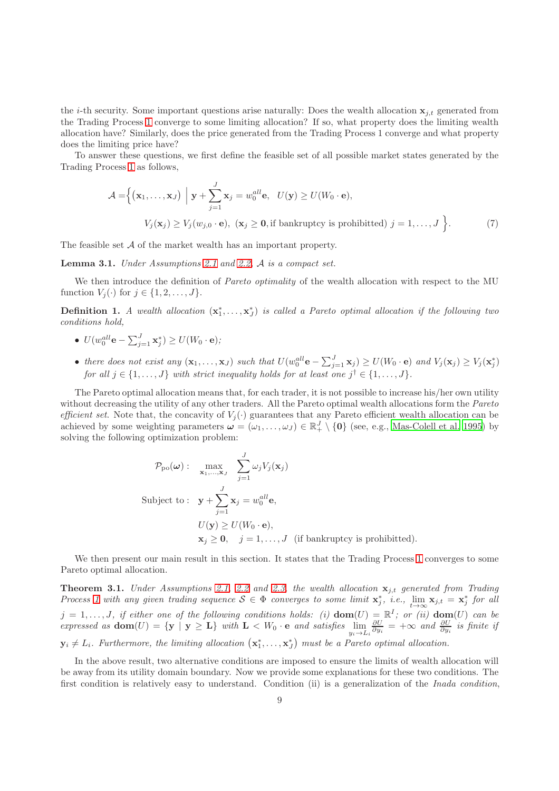the *i*-th security. Some important questions arise naturally: Does the wealth allocation  $x_{j,t}$  generated from the Trading Process [1](#page-7-2) converge to some limiting allocation? If so, what property does the limiting wealth allocation have? Similarly, does the price generated from the Trading Process 1 converge and what property does the limiting price have?

To answer these questions, we first define the feasible set of all possible market states generated by the Trading Process [1](#page-7-2) as follows,

$$
\mathcal{A} = \left\{ (\mathbf{x}_1, \dots, \mathbf{x}_J) \middle| \mathbf{y} + \sum_{j=1}^J \mathbf{x}_j = w_0^{all} \mathbf{e}, \quad U(\mathbf{y}) \ge U(W_0 \cdot \mathbf{e}),
$$
  

$$
V_j(\mathbf{x}_j) \ge V_j(w_{j,0} \cdot \mathbf{e}), \quad (\mathbf{x}_j \ge \mathbf{0}, \text{if bankruptcy is prohibited}) \quad j = 1, \dots, J \right\}.
$$
 (7)

The feasible set A of the market wealth has an important property.

<span id="page-8-2"></span>Lemma 3.1. Under Assumptions [2.1](#page-4-1) and [2.2,](#page-5-2) A is a compact set.

We then introduce the definition of *Pareto optimality* of the wealth allocation with respect to the MU function  $V_i(\cdot)$  for  $j \in \{1, 2, \ldots, J\}$ .

<span id="page-8-1"></span>**Definition 1.** A wealth allocation  $(\mathbf{x}_1^*, \ldots, \mathbf{x}_J^*)$  is called a Pareto optimal allocation if the following two conditions hold,

- $U(w_0^{all}\mathbf{e}-\sum_{j=1}^J\mathbf{x}_j^*)\geq U(W_0\cdot\mathbf{e});$
- there does not exist any  $(\mathbf{x}_1, \dots, \mathbf{x}_J)$  such that  $U(w_0^{all} \mathbf{e} \sum_{j=1}^J \mathbf{x}_j) \geq U(W_0 \cdot \mathbf{e})$  and  $V_j(\mathbf{x}_j) \geq V_j(\mathbf{x}_j^*)$ for all  $j \in \{1, \ldots, J\}$  with strict inequality holds for at least one  $j^{\dagger} \in \{1, \ldots, J\}$ .

The Pareto optimal allocation means that, for each trader, it is not possible to increase his/her own utility without decreasing the utility of any other traders. All the Pareto optimal wealth allocations form the *Pareto* efficient set. Note that, the concavity of  $V_j(\cdot)$  guarantees that any Pareto efficient wealth allocation can be achieved by some weighting parameters  $\boldsymbol{\omega} = (\omega_1, \dots, \omega_J) \in \mathbb{R}^J_+ \setminus \{\boldsymbol{0}\}$  (see, e.g., [Mas-Colell et al. 1995\)](#page-17-17) by solving the following optimization problem:

$$
\mathcal{P}_{\text{po}}(\boldsymbol{\omega}) : \max_{\mathbf{x}_1, \dots, \mathbf{x}_J} \sum_{j=1}^J \omega_j V_j(\mathbf{x}_j)
$$
  
Subject to :  $\mathbf{y} + \sum_{j=1}^J \mathbf{x}_j = w_0^{all} \mathbf{e},$   
 $U(\mathbf{y}) \ge U(W_0 \cdot \mathbf{e}),$   
 $\mathbf{x}_j \ge \mathbf{0}, \quad j = 1, \dots, J \text{ (if bankruptcy is prohibited)}.$ 

We then present our main result in this section. It states that the Trading Process [1](#page-7-2) converges to some Pareto optimal allocation.

<span id="page-8-0"></span>**Theorem 3.1.** Under Assumptions [2.1,](#page-4-1) [2.2](#page-5-2) and [2.3,](#page-6-1) the wealth allocation  $\mathbf{x}_{j,t}$  generated from Trading Process [1](#page-7-2) with any given trading sequence  $S \in \Phi$  converges to some limit  $\mathbf{x}_j^*, i.e., \lim_{t \to \infty} \mathbf{x}_{j,t} = \mathbf{x}_j^*$  for all  $j = 1, \ldots, J$ , if either one of the following conditions holds: (i)  $\textbf{dom}(U) = \mathbb{R}^I$ ; or (ii)  $\textbf{dom}(U)$  can be expressed as  $\text{dom}(U) = \{ \mathbf{y} \mid \mathbf{y} \geq \mathbf{L} \}$  with  $\mathbf{L} < W_0 \cdot \mathbf{e}$  and satisfies  $\lim_{y_i \to L_i}$  $\frac{\partial U}{\partial y_i}$  =  $+\infty$  and  $\frac{\partial U}{\partial y_i}$  is finite if  $\mathbf{y}_i \neq L_i$ . Furthermore, the limiting allocation  $(\mathbf{x}_1^*, \ldots, \mathbf{x}_J^*)$  must be a Pareto optimal allocation.

In the above result, two alternative conditions are imposed to ensure the limits of wealth allocation will be away from its utility domain boundary. Now we provide some explanations for these two conditions. The first condition is relatively easy to understand. Condition (ii) is a generalization of the Inada condition,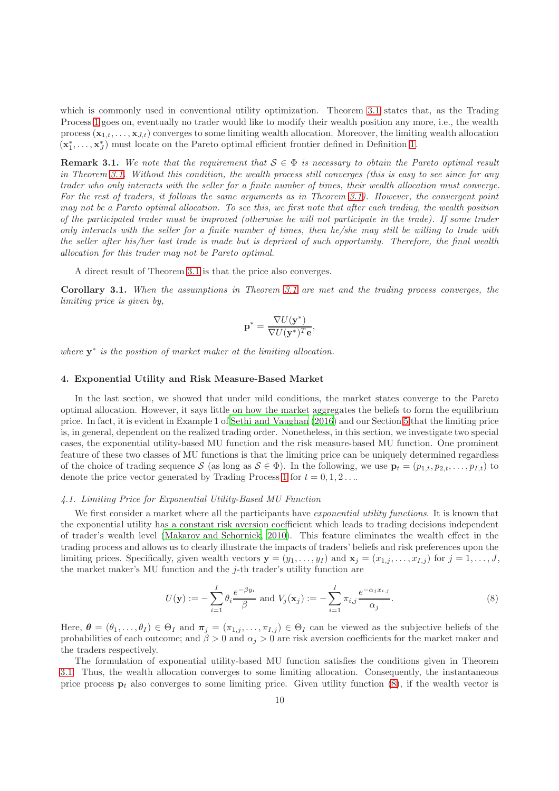which is commonly used in conventional utility optimization. Theorem [3.1](#page-8-0) states that, as the Trading Process [1](#page-7-2) goes on, eventually no trader would like to modify their wealth position any more, i.e., the wealth process  $(\mathbf{x}_{1,t},\ldots,\mathbf{x}_{J,t})$  converges to some limiting wealth allocation. Moreover, the limiting wealth allocation  $(\mathbf{x}_1^*, \ldots, \mathbf{x}_J^*)$  must locate on the Pareto optimal efficient frontier defined in Definition [1.](#page-8-1)

**Remark 3.1.** We note that the requirement that  $S \in \Phi$  is necessary to obtain the Pareto optimal result in Theorem [3.1.](#page-8-0) Without this condition, the wealth process still converges (this is easy to see since for any trader who only interacts with the seller for a finite number of times, their wealth allocation must converge. For the rest of traders, it follows the same arguments as in Theorem [3.1\)](#page-8-0). However, the convergent point may not be a Pareto optimal allocation. To see this, we first note that after each trading, the wealth position of the participated trader must be improved (otherwise he will not participate in the trade). If some trader only interacts with the seller for a finite number of times, then he/she may still be willing to trade with the seller after his/her last trade is made but is deprived of such opportunity. Therefore, the final wealth allocation for this trader may not be Pareto optimal.

A direct result of Theorem [3.1](#page-8-0) is that the price also converges.

Corollary 3.1. When the assumptions in Theorem [3.1](#page-8-0) are met and the trading process converges, the limiting price is given by,

$$
\mathbf{p}^* = \frac{\nabla U(\mathbf{y}^*)}{\nabla U(\mathbf{y}^*)^T \mathbf{e}},
$$

where  $y^*$  is the position of market maker at the limiting allocation.

# <span id="page-9-0"></span>4. Exponential Utility and Risk Measure-Based Market

In the last section, we showed that under mild conditions, the market states converge to the Pareto optimal allocation. However, it says little on how the market aggregates the beliefs to form the equilibrium price. In fact, it is evident in Example 1 of [Sethi and Vaughan \(2016\)](#page-17-6) and our Section [5](#page-12-0) that the limiting price is, in general, dependent on the realized trading order. Nonetheless, in this section, we investigate two special cases, the exponential utility-based MU function and the risk measure-based MU function. One prominent feature of these two classes of MU functions is that the limiting price can be uniquely determined regardless of the choice of trading sequence S (as long as  $S \in \Phi$ ). In the following, we use  $\mathbf{p}_t = (p_{1,t}, p_{2,t}, \ldots, p_{I,t})$  to denote the price vector generated by Trading Process [1](#page-7-2) for  $t = 0, 1, 2 \ldots$ 

#### <span id="page-9-2"></span>4.1. Limiting Price for Exponential Utility-Based MU Function

We first consider a market where all the participants have *exponential utility functions*. It is known that the exponential utility has a constant risk aversion coefficient which leads to trading decisions independent of trader's wealth level [\(Makarov and Schornick, 2010\)](#page-18-6). This feature eliminates the wealth effect in the trading process and allows us to clearly illustrate the impacts of traders' beliefs and risk preferences upon the limiting prices. Specifically, given wealth vectors  $\mathbf{y} = (y_1, \ldots, y_I)$  and  $\mathbf{x}_j = (x_{1,j}, \ldots, x_{I,j})$  for  $j = 1, \ldots, J$ , the market maker's MU function and the  $j$ -th trader's utility function are

<span id="page-9-1"></span>
$$
U(\mathbf{y}) := -\sum_{i=1}^{I} \theta_i \frac{e^{-\beta y_i}}{\beta} \text{ and } V_j(\mathbf{x}_j) := -\sum_{i=1}^{I} \pi_{i,j} \frac{e^{-\alpha_j x_{i,j}}}{\alpha_j}.
$$
 (8)

Here,  $\boldsymbol{\theta} = (\theta_1, \dots, \theta_I) \in \Theta_I$  and  $\boldsymbol{\pi}_j = (\pi_{1,j}, \dots, \pi_{I,j}) \in \Theta_I$  can be viewed as the subjective beliefs of the probabilities of each outcome; and  $\beta > 0$  and  $\alpha_j > 0$  are risk aversion coefficients for the market maker and the traders respectively.

The formulation of exponential utility-based MU function satisfies the conditions given in Theorem [3.1.](#page-8-0) Thus, the wealth allocation converges to some limiting allocation. Consequently, the instantaneous price process  $p_t$  also converges to some limiting price. Given utility function [\(8\)](#page-9-1), if the wealth vector is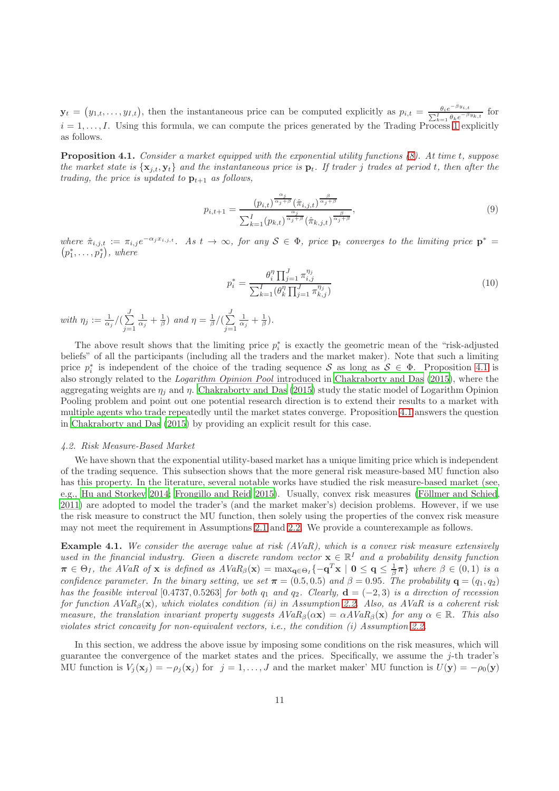$\mathbf{y}_t = (y_{1,t}, \ldots, y_{I,t}),$  then the instantaneous price can be computed explicitly as  $p_{i,t} = \frac{\theta_i e^{-\beta y_{i,t}}}{\sum_{t=0}^{I} \theta_i e^{-\beta t}}$  $\frac{\theta_i e^{-\beta y_i}, t}{\sum_{k=1}^I \theta_k e^{-\beta y_k}, t}$  for  $i = 1, \ldots, I$  $i = 1, \ldots, I$  $i = 1, \ldots, I$ . Using this formula, we can compute the prices generated by the Trading Process 1 explicitly as follows.

<span id="page-10-0"></span>Proposition 4.1. Consider a market equipped with the exponential utility functions  $(8)$ . At time t, suppose the market state is  $\{x_{j,t}, y_t\}$  and the instantaneous price is  $p_t$ . If trader j trades at period t, then after the trading, the price is updated to  $\mathbf{p}_{t+1}$  as follows,

$$
p_{i,t+1} = \frac{(p_{i,t})^{\frac{\alpha_j}{\alpha_j+\beta}}(\hat{\pi}_{i,j,t})^{\frac{\beta}{\alpha_j+\beta}}}{\sum_{k=1}^I (p_{k,t})^{\frac{\alpha_j}{\alpha_j+\beta}}(\hat{\pi}_{k,j,t})^{\frac{\beta}{\alpha_j+\beta}}},\tag{9}
$$

where  $\hat{\pi}_{i,j,t} := \pi_{i,j} e^{-\alpha_j x_{i,j,t}}$ . As  $t \to \infty$ , for any  $S \in \Phi$ , price  $p_t$  converges to the limiting price  $p^* =$  $(p_1^*, \ldots, p_I^*)$ , where

<span id="page-10-2"></span><span id="page-10-1"></span>
$$
p_i^* = \frac{\theta_i^{\eta} \prod_{j=1}^J \pi_{i,j}^{\eta_j}}{\sum_{k=1}^I (\theta_k^{\eta} \prod_{j=1}^J \pi_{k,j}^{\eta_j})}
$$
(10)

with  $\eta_j := \frac{1}{\alpha_j}/(\sum_{i=1}^J)$  $j=1$  $\frac{1}{\alpha_j} + \frac{1}{\beta}$ ) and  $\eta = \frac{1}{\beta} / (\sum_{i=1}^J$  $j=1$  $\frac{1}{\alpha_j}+\frac{1}{\beta}).$ 

The above result shows that the limiting price  $p_i^*$  is exactly the geometric mean of the "risk-adjusted" beliefs" of all the participants (including all the traders and the market maker). Note that such a limiting price  $p_i^*$  is independent of the choice of the trading sequence S as long as  $S \in \Phi$ . Proposition [4.1](#page-10-0) is also strongly related to the Logarithm Opinion Pool introduced in [Chakraborty and Das \(2015](#page-18-7)), where the aggregating weights are  $\eta_i$  and  $\eta$ . [Chakraborty and Das \(2015](#page-18-7)) study the static model of Logarithm Opinion Pooling problem and point out one potential research direction is to extend their results to a market with multiple agents who trade repeatedly until the market states converge. Proposition [4.1](#page-10-0) answers the question in [Chakraborty and Das \(2015\)](#page-18-7) by providing an explicit result for this case.

# 4.2. Risk Measure-Based Market

We have shown that the exponential utility-based market has a unique limiting price which is independent of the trading sequence. This subsection shows that the more general risk measure-based MU function also has this property. In the literature, several notable works have studied the risk measure-based market (see, e.g., [Hu and Storkey 2014;](#page-18-5) [Frongillo and Reid 2015\)](#page-17-5). Usually, convex risk measures (Föllmer and Schied, [2011](#page-18-4)) are adopted to model the trader's (and the market maker's) decision problems. However, if we use the risk measure to construct the MU function, then solely using the properties of the convex risk measure may not meet the requirement in Assumptions [2.1](#page-4-1) and [2.2.](#page-5-2) We provide a counterexample as follows.

**Example 4.1.** We consider the average value at risk  $(AVaR)$ , which is a convex risk measure extensively used in the financial industry. Given a discrete random vector  $\mathbf{x} \in \mathbb{R}^I$  and a probability density function  $\pi \in \Theta_I$ , the AVaR of x is defined as  $AVaR_{\beta}(\mathbf{x}) = \max_{\mathbf{q} \in \Theta_I} \{ -\mathbf{q}^T\mathbf{x} \mid \mathbf{0} \leq \mathbf{q} \leq \frac{1}{\beta}\pi \}$  where  $\beta \in (0,1)$  is a confidence parameter. In the binary setting, we set  $\pi = (0.5, 0.5)$  and  $\beta = 0.95$ . The probability  $\mathbf{q} = (q_1, q_2)$ has the feasible interval [0.4737, 0.5263] for both  $q_1$  and  $q_2$ . Clearly,  $\mathbf{d} = (-2, 3)$  is a direction of recession for function  $AVaR_{\beta}(\mathbf{x})$ , which violates condition (ii) in Assumption [2.2.](#page-5-2) Also, as AVaR is a coherent risk measure, the translation invariant property suggests  $AVaR_{\beta}(\alpha x) = \alpha AVaR_{\beta}(x)$  for any  $\alpha \in \mathbb{R}$ . This also violates strict concavity for non-equivalent vectors, i.e., the condition (i) Assumption [2.2.](#page-5-2)

In this section, we address the above issue by imposing some conditions on the risk measures, which will guarantee the convergence of the market states and the prices. Specifically, we assume the j-th trader's MU function is  $V_j(\mathbf{x}_j) = -\rho_j(\mathbf{x}_j)$  for  $j = 1, \ldots, J$  and the market maker' MU function is  $U(\mathbf{y}) = -\rho_0(\mathbf{y})$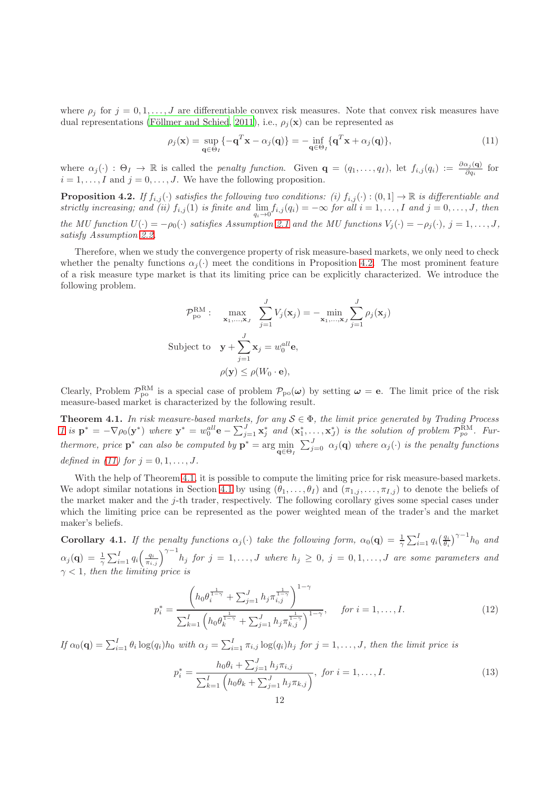where  $\rho_j$  for  $j = 0, 1, \ldots, J$  are differentiable convex risk measures. Note that convex risk measures have dual representations (Föllmer and Schied, 2011), i.e.,  $\rho_j(\mathbf{x})$  can be represented as

<span id="page-11-1"></span>
$$
\rho_j(\mathbf{x}) = \sup_{\mathbf{q} \in \Theta_I} \{-\mathbf{q}^T \mathbf{x} - \alpha_j(\mathbf{q})\} = -\inf_{\mathbf{q} \in \Theta_I} \{\mathbf{q}^T \mathbf{x} + \alpha_j(\mathbf{q})\},\tag{11}
$$

where  $\alpha_j(\cdot)$  :  $\Theta_I \to \mathbb{R}$  is called the *penalty function*. Given  $\mathbf{q} = (q_1, \ldots, q_I)$ , let  $f_{i,j}(q_i) := \frac{\partial \alpha_j(\mathbf{q})}{\partial q_i}$  for  $i = 1, \ldots, I$  and  $j = 0, \ldots, J$ . We have the following proposition.

<span id="page-11-0"></span>**Proposition 4.2.** If  $f_{i,j}(\cdot)$  satisfies the following two conditions: (i)  $f_{i,j}(\cdot) : (0,1] \to \mathbb{R}$  is differentiable and strictly increasing; and (ii)  $f_{i,j}(1)$  is finite and  $\lim_{q_i \to 0} f_{i,j}(q_i) = -\infty$  for all  $i = 1, ..., I$  and  $j = 0, ..., J$ , then the MU function  $U(\cdot) = -\rho_0(\cdot)$  satisfies Assumption [2.1](#page-4-1) and the MU functions  $V_j(\cdot) = -\rho_j(\cdot), j = 1, \ldots, J$ , satisfy Assumption [2.2.](#page-5-2)

Therefore, when we study the convergence property of risk measure-based markets, we only need to check whether the penalty functions  $\alpha_i(\cdot)$  meet the conditions in Proposition [4.2.](#page-11-0) The most prominent feature of a risk measure type market is that its limiting price can be explicitly characterized. We introduce the following problem.

$$
\mathcal{P}_{\text{po}}^{\text{RM}}: \max_{\mathbf{x}_1,\dots,\mathbf{x}_J} \sum_{j=1}^J V_j(\mathbf{x}_j) = -\min_{\mathbf{x}_1,\dots,\mathbf{x}_J} \sum_{j=1}^J \rho_j(\mathbf{x}_j)
$$
  
Subject to  $\mathbf{y} + \sum_{j=1}^J \mathbf{x}_j = w_0^{all} \mathbf{e},$   

$$
\rho(\mathbf{y}) \le \rho(W_0 \cdot \mathbf{e}),
$$

Clearly, Problem  $\mathcal{P}_{po}^{RM}$  is a special case of problem  $\mathcal{P}_{po}(\omega)$  by setting  $\omega = e$ . The limit price of the risk measure-based market is characterized by the following result.

<span id="page-11-2"></span>**Theorem 4.1.** In risk measure-based markets, for any  $S \in \Phi$ , the limit price generated by Trading Process [1](#page-7-2) is  $\mathbf{p}^* = -\nabla \rho_0(\mathbf{y}^*)$  where  $\mathbf{y}^* = w_0^{\text{all}} \mathbf{e} - \sum_{j=1}^J \mathbf{x}_j^*$  and  $(\mathbf{x}_1^*, \dots, \mathbf{x}_J^*)$  is the solution of problem  $\mathcal{P}_{po}^{\text{RM}}$ . Furthermore, price  $p^*$  can also be computed by  $p^* = \arg\min_{q \in \Theta_I} \sum_{j=0}^J \alpha_j(q)$  where  $\alpha_j(\cdot)$  is the penalty functions defined in [\(11\)](#page-11-1) for  $j = 0, 1, \ldots, J$ .

With the help of Theorem [4.1,](#page-11-2) it is possible to compute the limiting price for risk measure-based markets. We adopt similar notations in Section [4.1](#page-9-2) by using  $(\theta_1, \ldots, \theta_I)$  and  $(\pi_{1,j}, \ldots, \pi_{I,j})$  to denote the beliefs of the market maker and the j-th trader, respectively. The following corollary gives some special cases under which the limiting price can be represented as the power weighted mean of the trader's and the market maker's beliefs.

<span id="page-11-3"></span>**Corollary 4.1.** If the penalty functions  $\alpha_j(\cdot)$  take the following form,  $\alpha_0(\mathbf{q}) = \frac{1}{\gamma} \sum_{i=1}^I q_i \left(\frac{q_i}{\theta_i}\right)^{\gamma-1} h_0$  and  $\alpha_j(\mathbf{q}) = \frac{1}{\gamma} \sum_{i=1}^I q_i \Big(\frac{q_i}{\pi_{i,j}}\Big)^{\gamma-1} h_j$  for  $j=1,\ldots,J$  where  $h_j \geq 0$ ,  $j=0,1,\ldots,J$  are some parameters and  $\gamma$  < 1, then the limiting price is

$$
p_i^* = \frac{\left(h_0 \theta_i^{\frac{1}{1-\gamma}} + \sum_{j=1}^J h_j \pi_{i,j}^{\frac{1}{1-\gamma}}\right)^{1-\gamma}}{\sum_{k=1}^I \left(h_0 \theta_k^{\frac{1}{1-\gamma}} + \sum_{j=1}^J h_j \pi_{k,j}^{\frac{1}{1-\gamma}}\right)^{1-\gamma}}, \quad \text{for } i = 1, \dots, I. \tag{12}
$$

If  $\alpha_0(\mathbf{q}) = \sum_{i=1}^I \theta_i \log(q_i) h_0$  with  $\alpha_j = \sum_{i=1}^I \pi_{i,j} \log(q_i) h_j$  for  $j = 1, \ldots, J$ , then the limit price is

$$
p_i^* = \frac{h_0 \theta_i + \sum_{j=1}^J h_j \pi_{i,j}}{\sum_{k=1}^I \left( h_0 \theta_k + \sum_{j=1}^J h_j \pi_{k,j} \right)}, \text{ for } i = 1, \dots, I. \tag{13}
$$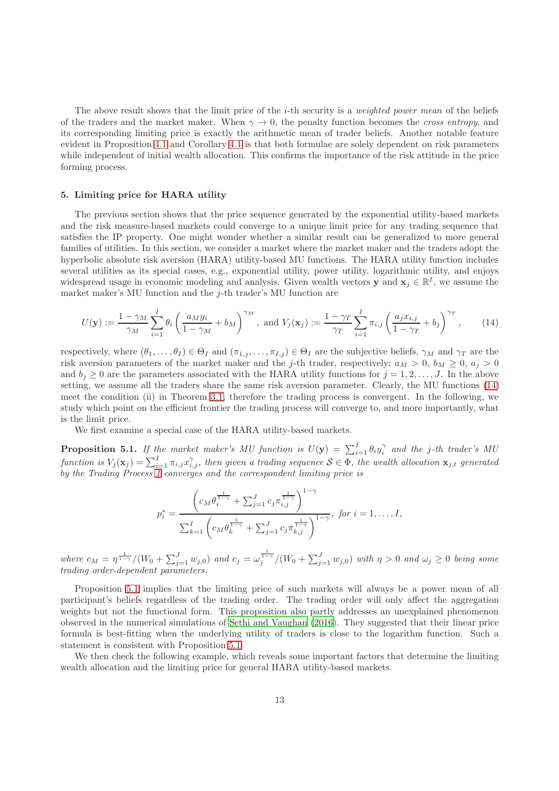The above result shows that the limit price of the *i*-th security is a *weighted power mean* of the beliefs of the traders and the market maker. When  $\gamma \to 0$ , the penalty function becomes the *cross entropy*, and its corresponding limiting price is exactly the arithmetic mean of trader beliefs. Another notable feature evident in Proposition [4.1](#page-10-0) and Corollary [4.1](#page-11-3) is that both formulae are solely dependent on risk parameters while independent of initial wealth allocation. This confirms the importance of the risk attitude in the price forming process.

# <span id="page-12-0"></span>5. Limiting price for HARA utility

The previous section shows that the price sequence generated by the exponential utility-based markets and the risk measure-based markets could converge to a unique limit price for any trading sequence that satisfies the IP property. One might wonder whether a similar result can be generalized to more general families of utilities. In this section, we consider a market where the market maker and the traders adopt the hyperbolic absolute risk aversion (HARA) utility-based MU functions. The HARA utility function includes several utilities as its special cases, e.g., exponential utility, power utility, logarithmic utility, and enjoys widespread usage in economic modeling and analysis. Given wealth vectors y and  $x_j \in \mathbb{R}^I$ , we assume the market maker's MU function and the  $j$ -th trader's MU function are

$$
U(\mathbf{y}) := \frac{1 - \gamma_M}{\gamma_M} \sum_{i=1}^I \theta_i \left( \frac{a_M y_i}{1 - \gamma_M} + b_M \right)^{\gamma_M}, \text{ and } V_j(\mathbf{x}_j) := \frac{1 - \gamma_T}{\gamma_T} \sum_{i=1}^I \pi_{i,j} \left( \frac{a_j x_{i,j}}{1 - \gamma_T} + b_j \right)^{\gamma_T}, \qquad (14)
$$

respectively, where  $(\theta_1, \ldots, \theta_I) \in \Theta_I$  and  $(\pi_{1,j}, \ldots, \pi_{I,j}) \in \Theta_I$  are the subjective beliefs,  $\gamma_M$  and  $\gamma_T$  are the risk aversion parameters of the market maker and the j-th trader, respectively;  $a_M > 0$ ,  $b_M \ge 0$ ,  $a_j > 0$ and  $b_j \geq 0$  are the parameters associated with the HARA utility functions for  $j = 1, 2, \ldots, J$ . In the above setting, we assume all the traders share the same risk aversion parameter. Clearly, the MU functions [\(14\)](#page-12-1) meet the condition (ii) in Theorem [3.1,](#page-8-0) therefore the trading process is convergent. In the following, we study which point on the efficient frontier the trading process will converge to, and more importantly, what is the limit price.

We first examine a special case of the HARA utility-based markets.

<span id="page-12-2"></span>**Proposition 5.1.** If the market maker's MU function is  $U(\mathbf{y}) = \sum_{i=1}^{I} \theta_i y_i^{\gamma}$  and the j-th trader's MU function is  $V_j(\mathbf{x}_j) = \sum_{i=1}^I \pi_{i,j} x_{i,j}^{\gamma}$ , then given a trading sequence  $\mathcal{S} \in \Phi$ , the wealth allocation  $\mathbf{x}_{j,t}$  generated by the Trading Process [1](#page-7-2) converges and the correspondent limiting price is

<span id="page-12-1"></span>
$$
p_i^* = \frac{\left(c_M \theta_i^{\frac{1}{1-\gamma}} + \sum_{j=1}^J c_j \pi_{i,j}^{\frac{1}{1-\gamma}}\right)^{1-\gamma}}{\sum_{k=1}^I \left(c_M \theta_k^{\frac{1}{1-\gamma}} + \sum_{j=1}^J c_j \pi_{k,j}^{\frac{1}{1-\gamma}}\right)^{1-\gamma}}, \text{ for } i = 1, \dots, I,
$$

where  $c_M = \eta^{\frac{1}{1-\gamma}}/(W_0 + \sum_{j=1}^J w_{j,0})$  and  $c_j = \omega_j^{\frac{1}{1-\gamma}}/(W_0 + \sum_{j=1}^J w_{j,0})$  with  $\eta > 0$  and  $\omega_j \ge 0$  being some trading order-dependent parameters.

Proposition [5.1](#page-12-2) implies that the limiting price of such markets will always be a power mean of all participant's beliefs regardless of the trading order. The trading order will only affect the aggregation weights but not the functional form. This proposition also partly addresses an unexplained phenomenon observed in the numerical simulations of [Sethi and Vaughan \(2016\)](#page-17-6). They suggested that their linear price formula is best-fitting when the underlying utility of traders is close to the logarithm function. Such a statement is consistent with Proposition [5.1.](#page-12-2)

We then check the following example, which reveals some important factors that determine the limiting wealth allocation and the limiting price for general HARA utility-based markets.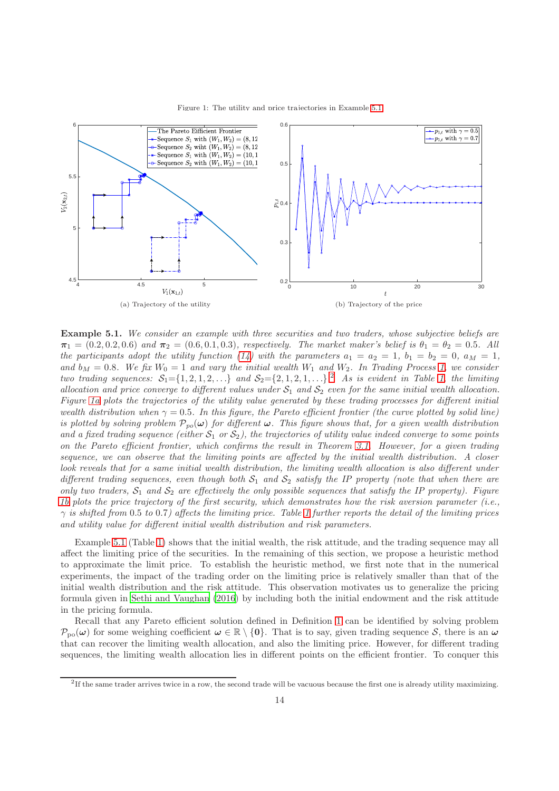

<span id="page-13-2"></span>

<span id="page-13-0"></span>Example 5.1. We consider an example with three securities and two traders, whose subjective beliefs are  $\pi_1 = (0.2, 0.2, 0.6)$  and  $\pi_2 = (0.6, 0.1, 0.3)$ , respectively. The market maker's belief is  $\theta_1 = \theta_2 = 0.5$ . All the participants adopt the utility function [\(14\)](#page-12-1) with the parameters  $a_1 = a_2 = 1$ ,  $b_1 = b_2 = 0$ ,  $a_M = 1$ , and  $b_M = 0.8$ . We fix  $W_0 = 1$  and vary the initial wealth  $W_1$  and  $W_2$ . In Trading Process [1,](#page-7-2) we consider two trading sequences:  $S_1 = \{1, 2, 1, 2, \ldots\}$  $S_1 = \{1, 2, 1, 2, \ldots\}$  $S_1 = \{1, 2, 1, 2, \ldots\}$  $S_1 = \{1, 2, 1, 2, \ldots\}$  $S_1 = \{1, 2, 1, 2, \ldots\}$  and  $S_2 = \{2, 1, 2, 1, \ldots\}$ . As is evident in Table 1, the limiting allocation and price converge to different values under  $S_1$  and  $S_2$  even for the same initial wealth allocation. Figure [1a](#page-13-2) plots the trajectories of the utility value generated by these trading processes for different initial wealth distribution when  $\gamma = 0.5$ . In this figure, the Pareto efficient frontier (the curve plotted by solid line) is plotted by solving problem  $\mathcal{P}_{po}(\omega)$  for different  $\omega$ . This figure shows that, for a given wealth distribution and a fixed trading sequence (either  $S_1$  or  $S_2$ ), the trajectories of utility value indeed converge to some points on the Pareto efficient frontier, which confirms the result in Theorem [3.1.](#page-8-0) However, for a given trading sequence, we can observe that the limiting points are affected by the initial wealth distribution. A closer look reveals that for a same initial wealth distribution, the limiting wealth allocation is also different under different trading sequences, even though both  $S_1$  and  $S_2$  satisfy the IP property (note that when there are only two traders,  $S_1$  and  $S_2$  are effectively the only possible sequences that satisfy the IP property). Figure [1b](#page-13-2) plots the price trajectory of the first security, which demonstrates how the risk aversion parameter (i.e.,  $\gamma$  is shifted from 0.5 to 0.7) affects the limiting price. Table [1](#page-14-0) further reports the detail of the limiting prices and utility value for different initial wealth distribution and risk parameters.

Example [5.1](#page-13-0) (Table [1\)](#page-14-0) shows that the initial wealth, the risk attitude, and the trading sequence may all affect the limiting price of the securities. In the remaining of this section, we propose a heuristic method to approximate the limit price. To establish the heuristic method, we first note that in the numerical experiments, the impact of the trading order on the limiting price is relatively smaller than that of the initial wealth distribution and the risk attitude. This observation motivates us to generalize the pricing formula given in [Sethi and Vaughan \(2016\)](#page-17-6) by including both the initial endowment and the risk attitude in the pricing formula.

Recall that any Pareto efficient solution defined in Definition [1](#page-8-1) can be identified by solving problem  $\mathcal{P}_{po}(\omega)$  for some weighing coefficient  $\omega \in \mathbb{R} \setminus \{0\}$ . That is to say, given trading sequence S, there is an  $\omega$ that can recover the limiting wealth allocation, and also the limiting price. However, for different trading sequences, the limiting wealth allocation lies in different points on the efficient frontier. To conquer this

<span id="page-13-1"></span><sup>&</sup>lt;sup>2</sup>If the same trader arrives twice in a row, the second trade will be vacuous because the first one is already utility maximizing.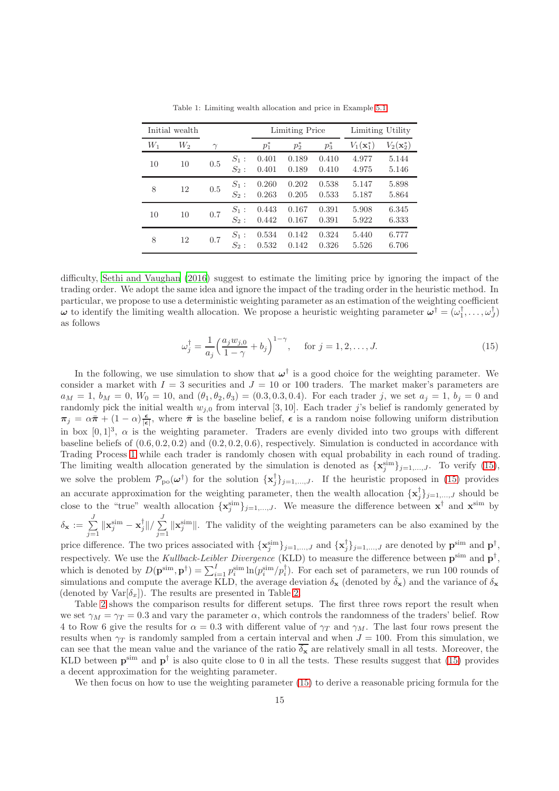<span id="page-14-0"></span>

| Initial wealth |       |          |                    | <b>Limiting Price</b> |                | Limiting Utility |                    |                       |
|----------------|-------|----------|--------------------|-----------------------|----------------|------------------|--------------------|-----------------------|
| $W_1$          | $W_2$ | $\gamma$ |                    | *<br>$p_1$            | *<br>$p_2$     | $\ast$<br>$p_3$  | $V_1({\bf x}_1^*)$ | $V_2(\mathbf{x}_2^*)$ |
| 10             | 10    | 0.5      | $S_1$ :<br>$S_2$ : | 0.401<br>0.401        | 0.189<br>0.189 | 0.410<br>0.410   | 4.977<br>4.975     | 5.144<br>5.146        |
| 8              | 12    | 0.5      | $S_1$ :<br>$S_2$ : | 0.260<br>0.263        | 0.202<br>0.205 | 0.538<br>0.533   | 5.147<br>5.187     | 5.898<br>5.864        |
| 10             | 10    | 0.7      | $S_1$ :<br>$S_2$ : | 0.443<br>0.442        | 0.167<br>0.167 | 0.391<br>0.391   | 5.908<br>5.922     | 6.345<br>6.333        |
| 8              | 12    | 0.7      | $S_1$ :<br>$S_2$ : | 0.534<br>0.532        | 0.142<br>0.142 | 0.324<br>0.326   | 5.440<br>5.526     | 6.777<br>6.706        |

Table 1: Limiting wealth allocation and price in Example [5.1](#page-13-0)

difficulty, [Sethi and Vaughan \(2016\)](#page-17-6) suggest to estimate the limiting price by ignoring the impact of the trading order. We adopt the same idea and ignore the impact of the trading order in the heuristic method. In particular, we propose to use a deterministic weighting parameter as an estimation of the weighting coefficient  $\omega$  to identify the limiting wealth allocation. We propose a heuristic weighting parameter  $\omega^{\dagger} = (\omega_1^{\dagger}, \dots, \omega_J^{\dagger})$ as follows

<span id="page-14-1"></span>
$$
\omega_j^{\dagger} = \frac{1}{a_j} \left( \frac{a_j w_{j,0}}{1 - \gamma} + b_j \right)^{1 - \gamma}, \quad \text{for } j = 1, 2, \dots, J. \tag{15}
$$

In the following, we use simulation to show that  $\omega^{\dagger}$  is a good choice for the weighting parameter. We consider a market with  $I = 3$  securities and  $J = 10$  or 100 traders. The market maker's parameters are  $a_M = 1, b_M = 0, W_0 = 10, \text{ and } (\theta_1, \theta_2, \theta_3) = (0.3, 0.3, 0.4).$  For each trader j, we set  $a_j = 1, b_j = 0$  and randomly pick the initial wealth  $w_{j,0}$  from interval [3, 10]. Each trader j's belief is randomly generated by  $\pi_j = \alpha \bar{\pi} + (1 - \alpha) \frac{\epsilon}{|\epsilon|}$ , where  $\bar{\pi}$  is the baseline belief,  $\epsilon$  is a random noise following uniform distribution in box  $[0,1]^3$ ,  $\alpha$  is the weighting parameter. Traders are evenly divided into two groups with different baseline beliefs of  $(0.6, 0.2, 0.2)$  and  $(0.2, 0.2, 0.6)$ , respectively. Simulation is conducted in accordance with Trading Process [1](#page-7-2) while each trader is randomly chosen with equal probability in each round of trading. The limiting wealth allocation generated by the simulation is denoted as  $\{x_j^{\text{sim}}\}_{j=1,\dots,J}$ . To verify [\(15\)](#page-14-1), we solve the problem  $\mathcal{P}_{po}(\omega^{\dagger})$  for the solution  $\{x_j^{\dagger}\}_{j=1,\dots,J}$ . If the heuristic proposed in [\(15\)](#page-14-1) provides an accurate approximation for the weighting parameter, then the wealth allocation  $\{\mathbf x_j^{\dagger}\}_{j=1,\dots,J}$  should be close to the "true" wealth allocation  $\{x_j^{\text{sim}}\}_{j=1,\dots,J}$ . We measure the difference between  $x^{\dagger}$  and  $x^{\text{sim}}$  by  $\delta_{\mathbf{x}} := \sum^J$  $j=1$  $\|\mathbf{x}_j^{\textrm{sim}} - \mathbf{x}_j^{\dagger} \| / \sum_{j=1}^J$  $j=1$  $\|\mathbf{x}_j^{\text{sim}}\|$ . The validity of the weighting parameters can be also examined by the

price difference. The two prices associated with  $\{x_j^{\text{sim}}\}_{j=1,\dots,J}$  and  $\{x_j^{\dagger}\}_{j=1,\dots,J}$  are denoted by  $p^{\text{sim}}$  and  $p^{\dagger}$ , respectively. We use the Kullback-Leibler Divergence (KLD) to measure the difference between  $\mathbf{p}^{\text{sim}}$  and  $\mathbf{p}^{\dagger}$ , which is denoted by  $D(\mathbf{p}^{\text{sim}}, \mathbf{p}^{\dagger}) = \sum_{i=1}^{I} p_i^{\text{sim}} \ln(p_i^{\text{sim}}/p_i^{\dagger})$ . For each set of parameters, we run 100 rounds of simulations and compute the average KLD, the average deviation  $\delta_{\mathbf{x}}$  (denoted by  $\bar{\delta}_{\mathbf{x}}$ ) and the variance of  $\delta_{\mathbf{x}}$ (denoted by  $\text{Var}[\delta_x]$ ). The results are presented in Table [2.](#page-15-0)

Table [2](#page-15-0) shows the comparison results for different setups. The first three rows report the result when we set  $\gamma_M = \gamma_T = 0.3$  and vary the parameter  $\alpha$ , which controls the randomness of the traders' belief. Row 4 to Row 6 give the results for  $\alpha = 0.3$  with different value of  $\gamma_T$  and  $\gamma_M$ . The last four rows present the results when  $\gamma_T$  is randomly sampled from a certain interval and when  $J = 100$ . From this simulation, we can see that the mean value and the variance of the ratio  $\overline{\delta_{\mathbf{x}}}$  are relatively small in all tests. Moreover, the KLD between  $\mathbf{p}^{\text{sim}}$  and  $\mathbf{p}^{\dagger}$  is also quite close to 0 in all the tests. These results suggest that [\(15\)](#page-14-1) provides a decent approximation for the weighting parameter.

We then focus on how to use the weighting parameter [\(15\)](#page-14-1) to derive a reasonable pricing formula for the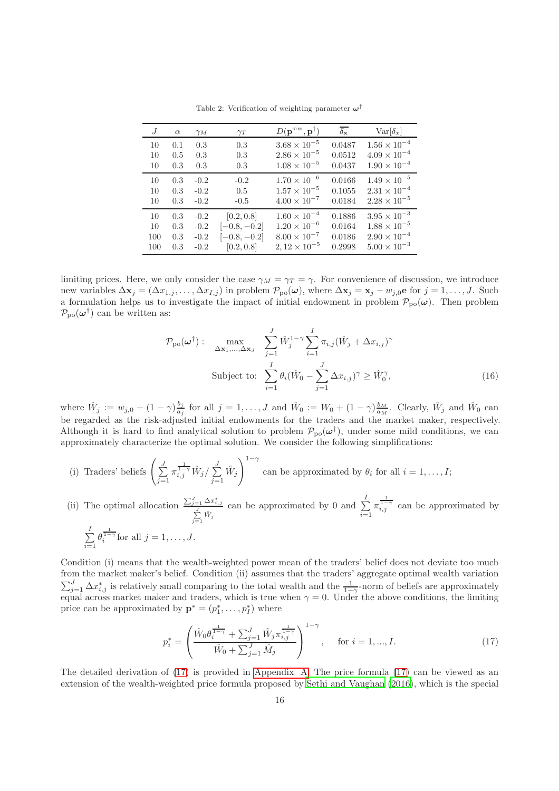<span id="page-15-0"></span>

| J   | $\alpha$ | $\gamma_M$ | $\gamma_T$     | $D(\mathbf{p}^{\textrm{sim}}, \mathbf{p}^{\dagger})$ | $\delta_{\mathbf{x}}$ | $Var[\delta_x]$       |
|-----|----------|------------|----------------|------------------------------------------------------|-----------------------|-----------------------|
| 10  | 0.1      | 0.3        | 0.3            | $3.68 \times 10^{-5}$                                | 0.0487                | $1.56\times10^{-4}$   |
| 10  | 0.5      | 0.3        | 0.3            | $2.86 \times 10^{-5}$                                | 0.0512                | $4.09 \times 10^{-4}$ |
| 10  | 0.3      | 0.3        | 0.3            | $1.08 \times 10^{-5}$                                | 0.0437                | $1.90 \times 10^{-4}$ |
| 10  | 0.3      | $-0.2$     | $-0.2$         | $1.70 \times 10^{-6}$                                | 0.0166                | $1.49 \times 10^{-5}$ |
| 10  | 0.3      | $-0.2$     | 0.5            | $1.57 \times 10^{-5}$                                | 0.1055                | $2.31\times10^{-4}$   |
| 10  | 0.3      | $-0.2$     | $-0.5$         | $4.00 \times 10^{-7}$                                | 0.0184                | $2.28 \times 10^{-5}$ |
| 10  | 0.3      | $-0.2$     | [0.2, 0.8]     | $1.60 \times 10^{-4}$                                | 0.1886                | $3.95 \times 10^{-3}$ |
| 10  | 0.3      | $-0.2$     | $[-0.8, -0.2]$ | $1.20 \times 10^{-6}$                                | 0.0164                | $1.88 \times 10^{-5}$ |
| 100 | 0.3      | $-0.2$     | $[-0.8, -0.2]$ | $8.00 \times 10^{-7}$                                | 0.0186                | $2.90 \times 10^{-4}$ |
| 100 | 0.3      | $-0.2$     | [0.2, 0.8]     | $2,12 \times 10^{-5}$                                | 0.2998                | $5.00 \times 10^{-3}$ |

Table 2: Verification of weighting parameter  $\omega^{\dagger}$ 

limiting prices. Here, we only consider the case  $\gamma_M = \gamma_T = \gamma$ . For convenience of discussion, we introduce new variables  $\Delta \mathbf{x}_j = (\Delta x_{1,j}, \dots, \Delta x_{I,j})$  in problem  $\mathcal{P}_{\text{po}}(\boldsymbol{\omega})$ , where  $\Delta \mathbf{x}_j = \mathbf{x}_j - w_{j,0}$ e for  $j = 1, \dots, J$ . Such a formulation helps us to investigate the impact of initial endowment in problem  $\mathcal{P}_{po}(\omega)$ . Then problem  $\mathcal{P}_{\rm po}(\boldsymbol{\omega}^{\dagger})$  can be written as:

<span id="page-15-2"></span>
$$
\mathcal{P}_{\text{po}}(\boldsymbol{\omega}^{\dagger}) : \max_{\Delta \mathbf{x}_1, \dots, \Delta \mathbf{x}_J} \sum_{j=1}^J \hat{W}_j^{1-\gamma} \sum_{i=1}^I \pi_{i,j} (\hat{W}_j + \Delta x_{i,j})^{\gamma}
$$
  
Subject to: 
$$
\sum_{i=1}^I \theta_i (\hat{W}_0 - \sum_{j=1}^J \Delta x_{i,j})^{\gamma} \ge \hat{W}_0^{\gamma},
$$
(16)

where  $\hat{W}_j := w_{j,0} + (1 - \gamma) \frac{b_j}{a_j}$  $\frac{b_j}{a_j}$  for all  $j = 1, ..., J$  and  $\hat{W}_0 := W_0 + (1 - \gamma) \frac{b_M}{a_M}$ . Clearly,  $\hat{W}_j$  and  $\hat{W}_0$  can be regarded as the risk-adjusted initial endowments for the traders and the market maker, respectively. Although it is hard to find analytical solution to problem  $\mathcal{P}_{\text{po}}(\omega^{\dagger})$ , under some mild conditions, we can approximately characterize the optimal solution. We consider the following simplifications:

- (i) Traders' beliefs  $\left(\frac{J}{\sum}\right)$  $j=1$  $\pi_{i,j}^{\frac{1}{1-\gamma}} \hat{W}_j / \sum^J$  $j=1$  $\hat{W}_j$  $\setminus$ <sup>1-γ</sup> can be approximated by  $\theta_i$  for all  $i = 1, \ldots, I;$
- (ii) The optimal allocation  $\frac{\sum_{j=1}^{J} \Delta x_{i,j}^*}{\sum_{j=1}^{J} \hat{W}_j}$ can be approximated by 0 and  $\sum_{ }^{ }$  $i=1$  $\pi_{i,j}^{\frac{1}{1-\gamma}}$  can be approximated by  $\sum^I$  $i=1$  $\theta_i^{\frac{1}{1-\gamma}}$  for all  $j=1,\ldots,J$ .

Condition (i) means that the wealth-weighted power mean of the traders' belief does not deviate too much from the market maker's belief. Condition (ii) assumes that the traders' aggregate optimal wealth variation  $\sum_{j=1}^{J} \Delta x_{i,j}^*$  is relatively small comparing to the total wealth and the  $\frac{1}{1-\gamma}$ -norm of beliefs are approximately equal across market maker and traders, which is true when  $\gamma = 0$ . Under the above conditions, the limiting price can be approximated by  $\mathbf{p}^* = (p_1^*, \dots, p_I^*)$  where

<span id="page-15-1"></span>
$$
p_i^* = \left(\frac{\hat{W}_0 \theta_i^{\frac{1}{1-\gamma}} + \sum_{j=1}^J \hat{W}_j \pi_{i,j}^{\frac{1}{1-\gamma}}}{\hat{W}_0 + \sum_{j=1}^J \hat{M}_j}\right)^{1-\gamma}, \quad \text{for } i = 1, ..., I.
$$
 (17)

The detailed derivation of [\(17\)](#page-15-1) is provided in [Appendix A.](#page-19-0) The price formula [\(17\)](#page-15-1) can be viewed as an extension of the wealth-weighted price formula proposed by Sethi [and Vaughan \(2016\)](#page-17-6), which is the special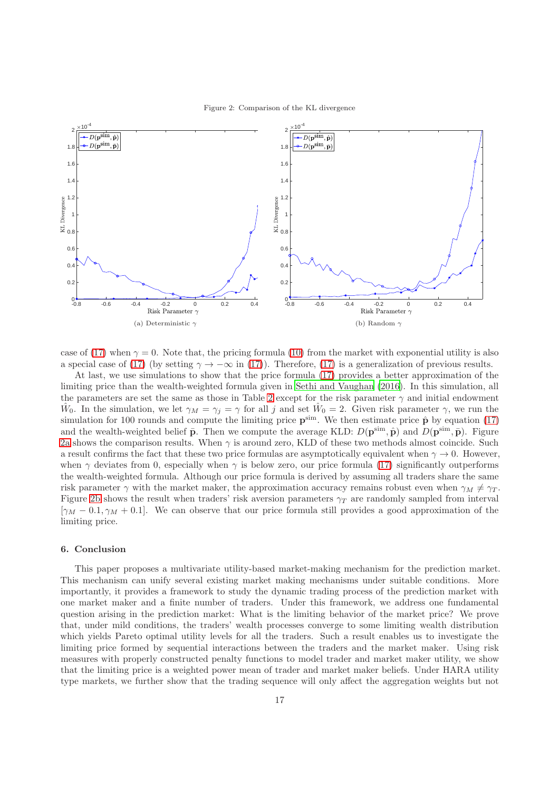

<span id="page-16-1"></span>

case of [\(17\)](#page-15-1) when  $\gamma = 0$ . Note that, the pricing formula [\(10\)](#page-10-1) from the market with exponential utility is also a special case of [\(17\)](#page-15-1) (by setting  $\gamma \to -\infty$  in (17)). Therefore, (17) is a generalization of previous results.

At last, we use simulations to show that the price formula [\(17\)](#page-15-1) provides a better approximation of the limiting price than the wealth-weighted formula given in [Sethi and Vaughan \(2016](#page-17-6)). In this simulation, all the parameters are set the same as those in Table [2](#page-15-0) except for the risk parameter  $\gamma$  and initial endowment  $\hat{W}_0$ . In the simulation, we let  $\gamma_M = \gamma_j = \gamma$  for all j and set  $\hat{W}_0 = 2$ . Given risk parameter  $\gamma$ , we run the simulation for 100 rounds and compute the limiting price  $\mathbf{p}^{\text{sim}}$ . We then estimate price  $\hat{\mathbf{p}}$  by equation [\(17\)](#page-15-1) and the wealth-weighted belief  $\bar{p}$ . Then we compute the average KLD:  $D(p^{\text{sim}}, \hat{p})$  and  $D(p^{\text{sim}}, \bar{p})$ . Figure [2a](#page-16-1) shows the comparison results. When  $\gamma$  is around zero, KLD of these two methods almost coincide. Such a result confirms the fact that these two price formulas are asymptotically equivalent when  $\gamma \to 0$ . However, when  $\gamma$  deviates from 0, especially when  $\gamma$  is below zero, our price formula [\(17\)](#page-15-1) significantly outperforms the wealth-weighted formula. Although our price formula is derived by assuming all traders share the same risk parameter  $\gamma$  with the market maker, the approximation accuracy remains robust even when  $\gamma_M \neq \gamma_T$ . Figure [2b](#page-16-1) shows the result when traders' risk aversion parameters  $\gamma_T$  are randomly sampled from interval  $[\gamma_M - 0.1, \gamma_M + 0.1]$ . We can observe that our price formula still provides a good approximation of the limiting price.

# <span id="page-16-0"></span>6. Conclusion

This paper proposes a multivariate utility-based market-making mechanism for the prediction market. This mechanism can unify several existing market making mechanisms under suitable conditions. More importantly, it provides a framework to study the dynamic trading process of the prediction market with one market maker and a finite number of traders. Under this framework, we address one fundamental question arising in the prediction market: What is the limiting behavior of the market price? We prove that, under mild conditions, the traders' wealth processes converge to some limiting wealth distribution which yields Pareto optimal utility levels for all the traders. Such a result enables us to investigate the limiting price formed by sequential interactions between the traders and the market maker. Using risk measures with properly constructed penalty functions to model trader and market maker utility, we show that the limiting price is a weighted power mean of trader and market maker beliefs. Under HARA utility type markets, we further show that the trading sequence will only affect the aggregation weights but not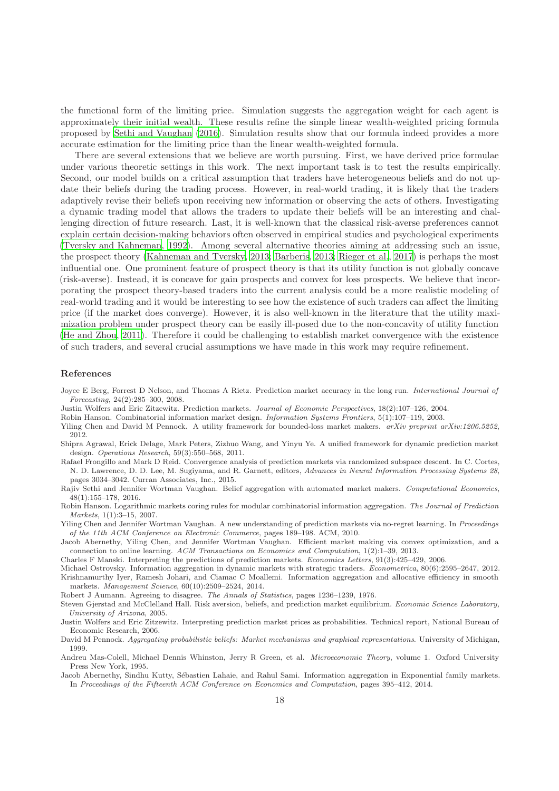the functional form of the limiting price. Simulation suggests the aggregation weight for each agent is approximately their initial wealth. These results refine the simple linear wealth-weighted pricing formula proposed by [Sethi and Vaughan \(2016](#page-17-6)). Simulation results show that our formula indeed provides a more accurate estimation for the limiting price than the linear wealth-weighted formula.

There are several extensions that we believe are worth pursuing. First, we have derived price formulae under various theoretic settings in this work. The next important task is to test the results empirically. Second, our model builds on a critical assumption that traders have heterogeneous beliefs and do not update their beliefs during the trading process. However, in real-world trading, it is likely that the traders adaptively revise their beliefs upon receiving new information or observing the acts of others. Investigating a dynamic trading model that allows the traders to update their beliefs will be an interesting and challenging direction of future research. Last, it is well-known that the classical risk-averse preferences cannot explain certain decision-making behaviors often observed in empirical studies and psychological experiments [\(Tversky and Kahneman, 1992](#page-18-8)). Among several alternative theories aiming at addressing such an issue, the prospect theory [\(Kahneman and Tversky, 2013;](#page-18-9) [Barberis](#page-18-10), [2013;](#page-18-10) [Rieger et al., 2017\)](#page-18-11) is perhaps the most influential one. One prominent feature of prospect theory is that its utility function is not globally concave (risk-averse). Instead, it is concave for gain prospects and convex for loss prospects. We believe that incorporating the prospect theory-based traders into the current analysis could be a more realistic modeling of real-world trading and it would be interesting to see how the existence of such traders can affect the limiting price (if the market does converge). However, it is also well-known in the literature that the utility maximization problem under prospect theory can be easily ill-posed due to the non-concavity of utility function [\(He and Zhou, 2011](#page-18-12)). Therefore it could be challenging to establish market convergence with the existence of such traders, and several crucial assumptions we have made in this work may require refinement.

## References

- <span id="page-17-0"></span>Joyce E Berg, Forrest D Nelson, and Thomas A Rietz. Prediction market accuracy in the long run. *International Journal of Forecasting*, 24(2):285–300, 2008.
- <span id="page-17-1"></span>Justin Wolfers and Eric Zitzewitz. Prediction markets. *Journal of Economic Perspectives*, 18(2):107–126, 2004.
- <span id="page-17-2"></span>Robin Hanson. Combinatorial information market design. *Information Systems Frontiers*, 5(1):107–119, 2003.
- <span id="page-17-3"></span>Yiling Chen and David M Pennock. A utility framework for bounded-loss market makers. *arXiv preprint arXiv:1206.5252*, 2012.
- <span id="page-17-4"></span>Shipra Agrawal, Erick Delage, Mark Peters, Zizhuo Wang, and Yinyu Ye. A unified framework for dynamic prediction market design. *Operations Research*, 59(3):550–568, 2011.

<span id="page-17-5"></span>Rafael Frongillo and Mark D Reid. Convergence analysis of prediction markets via randomized subspace descent. In C. Cortes, N. D. Lawrence, D. D. Lee, M. Sugiyama, and R. Garnett, editors, *Advances in Neural Information Processing Systems 28*, pages 3034–3042. Curran Associates, Inc., 2015.

<span id="page-17-6"></span>Rajiv Sethi and Jennifer Wortman Vaughan. Belief aggregation with automated market makers. *Computational Economics*, 48(1):155–178, 2016.

<span id="page-17-7"></span>Robin Hanson. Logarithmic markets coring rules for modular combinatorial information aggregation. *The Journal of Prediction Markets*, 1(1):3–15, 2007.

<span id="page-17-8"></span>Yiling Chen and Jennifer Wortman Vaughan. A new understanding of prediction markets via no-regret learning. In *Proceedings of the 11th ACM Conference on Electronic Commerce*, pages 189–198. ACM, 2010.

<span id="page-17-9"></span>Jacob Abernethy, Yiling Chen, and Jennifer Wortman Vaughan. Efficient market making via convex optimization, and a connection to online learning. *ACM Transactions on Economics and Computation*, 1(2):1–39, 2013.

<span id="page-17-10"></span>Charles F Manski. Interpreting the predictions of prediction markets. *Economics Letters*, 91(3):425–429, 2006.

<span id="page-17-12"></span><span id="page-17-11"></span>Michael Ostrovsky. Information aggregation in dynamic markets with strategic traders. *Econometrica*, 80(6):2595–2647, 2012. Krishnamurthy Iyer, Ramesh Johari, and Ciamac C Moallemi. Information aggregation and allocative efficiency in smooth markets. *Management Science*, 60(10):2509–2524, 2014.

<span id="page-17-13"></span>Robert J Aumann. Agreeing to disagree. *The Annals of Statistics*, pages 1236–1239, 1976.

<span id="page-17-14"></span>Steven Gjerstad and McClelland Hall. Risk aversion, beliefs, and prediction market equilibrium. *Economic Science Laboratory, University of Arizona*, 2005.

<span id="page-17-15"></span>Justin Wolfers and Eric Zitzewitz. Interpreting prediction market prices as probabilities. Technical report, National Bureau of Economic Research, 2006.

<span id="page-17-16"></span>David M Pennock. *Aggregating probabilistic beliefs: Market mechanisms and graphical representations*. University of Michigan, 1999.

<span id="page-17-17"></span>Andreu Mas-Colell, Michael Dennis Whinston, Jerry R Green, et al. *Microeconomic Theory*, volume 1. Oxford University Press New York, 1995.

<span id="page-17-18"></span>Jacob Abernethy, Sindhu Kutty, Sébastien Lahaie, and Rahul Sami. Information aggregation in Exponential family markets. In *Proceedings of the Fifteenth ACM Conference on Economics and Computation*, pages 395–412, 2014.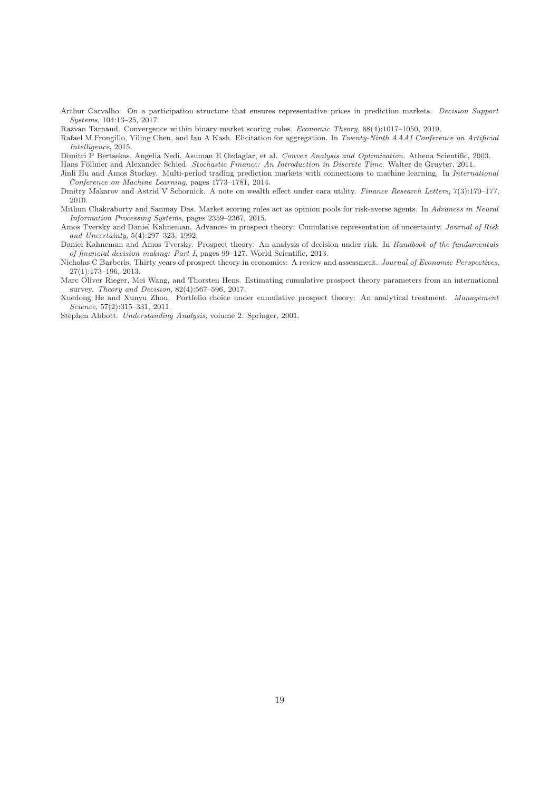<span id="page-18-0"></span>Arthur Carvalho. On a participation structure that ensures representative prices in prediction markets. *Decision Support Systems*, 104:13–25, 2017.

<span id="page-18-1"></span>Razvan Tarnaud. Convergence within binary market scoring rules. *Economic Theory*, 68(4):1017–1050, 2019.

<span id="page-18-2"></span>Rafael M Frongillo, Yiling Chen, and Ian A Kash. Elicitation for aggregation. In *Twenty-Ninth AAAI Conference on Artificial Intelligence*, 2015.

<span id="page-18-3"></span>Dimitri P Bertsekas, Angelia Nedi, Asuman E Ozdaglar, et al. *Convex Analysis and Optimization*. Athena Scientific, 2003.

<span id="page-18-4"></span>Hans Föllmer and Alexander Schied. *Stochastic Finance: An Introduction in Discrete Time*. Walter de Gruyter, 2011.

<span id="page-18-5"></span>Jinli Hu and Amos Storkey. Multi-period trading prediction markets with connections to machine learning. In *International Conference on Machine Learning*, pages 1773–1781, 2014.

<span id="page-18-6"></span>Dmitry Makarov and Astrid V Schornick. A note on wealth effect under cara utility. *Finance Research Letters*, 7(3):170–177, 2010.

<span id="page-18-7"></span>Mithun Chakraborty and Sanmay Das. Market scoring rules act as opinion pools for risk-averse agents. In *Advances in Neural Information Processing Systems*, pages 2359–2367, 2015.

<span id="page-18-8"></span>Amos Tversky and Daniel Kahneman. Advances in prospect theory: Cumulative representation of uncertainty. *Journal of Risk and Uncertainty*, 5(4):297–323, 1992.

<span id="page-18-9"></span>Daniel Kahneman and Amos Tversky. Prospect theory: An analysis of decision under risk. In *Handbook of the fundamentals of financial decision making: Part I*, pages 99–127. World Scientific, 2013.

<span id="page-18-10"></span>Nicholas C Barberis. Thirty years of prospect theory in economics: A review and assessment. *Journal of Economic Perspectives*, 27(1):173–196, 2013.

<span id="page-18-11"></span>Marc Oliver Rieger, Mei Wang, and Thorsten Hens. Estimating cumulative prospect theory parameters from an international survey. *Theory and Decision*, 82(4):567–596, 2017.

<span id="page-18-12"></span>Xuedong He and Xunyu Zhou. Portfolio choice under cumulative prospect theory: An analytical treatment. *Management Science*, 57(2):315–331, 2011.

<span id="page-18-13"></span>Stephen Abbott. *Understanding Analysis*, volume 2. Springer, 2001.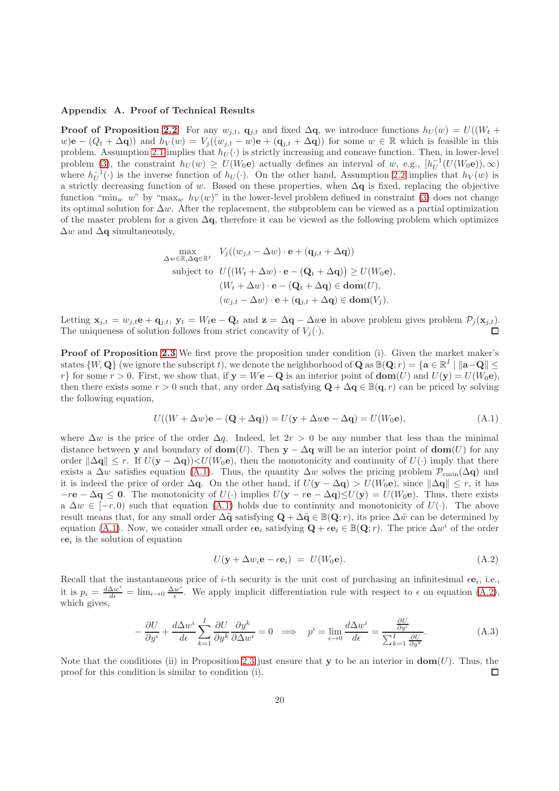# <span id="page-19-0"></span>Appendix A. Proof of Technical Results

**Proof of Proposition [2.2](#page-6-2).** For any  $w_{i,t}$ ,  $q_{i,t}$  and fixed  $\Delta q$ , we introduce functions  $h_U(w) = U((W_t +$  $w$ )e –  $(Q_t + \Delta q)$  and  $h_V(w) = V_j((w_{j,t} - w)e + (q_{j,t} + \Delta q))$  for some  $w \in \mathbb{R}$  which is feasible in this problem. Assumption [2.1](#page-4-1) implies that  $h_U(\cdot)$  is strictly increasing and concave function. Then, in lower-level problem [\(3\)](#page-5-0), the constraint  $h_U(w) \ge U(W_0e)$  actually defines an interval of w, e.g.,  $[h_U^{-1}(U(W_0e)), \infty)$ where  $h_U^{-1}(\cdot)$  is the inverse function of  $h_U(\cdot)$ . On the other hand, Assumption [2.2](#page-5-2) implies that  $h_V(w)$  is a strictly decreasing function of w. Based on these properties, when  $\Delta q$  is fixed, replacing the objective function "min<sub>w</sub> w" by "max<sub>w</sub>  $h_V(w)$ " in the lower-level problem defined in constraint [\(3\)](#page-5-0) does not change its optimal solution for  $\Delta w$ . After the replacement, the subproblem can be viewed as a partial optimization of the master problem for a given  $\Delta q$ , therefore it can be viewed as the following problem which optimizes  $\Delta w$  and  $\Delta q$  simultaneously,

$$
\begin{aligned}\n\max_{\Delta w \in \mathbb{R}, \Delta \mathbf{q} \in \mathbb{R}^I} \quad & V_j((w_{j,t} - \Delta w) \cdot \mathbf{e} + (\mathbf{q}_{j,t} + \Delta \mathbf{q})) \\
\text{subject to} \quad & U\big((W_t + \Delta w) \cdot \mathbf{e} - (\mathbf{Q}_t + \Delta \mathbf{q})\big) \ge U(W_0 \mathbf{e}), \\
& (W_t + \Delta w) \cdot \mathbf{e} - (\mathbf{Q}_t + \Delta \mathbf{q}) \in \text{dom}(U), \\
& (w_{j,t} - \Delta w) \cdot \mathbf{e} + (\mathbf{q}_{j,t} + \Delta \mathbf{q}) \in \text{dom}(V_j).\n\end{aligned}
$$

Letting  $\mathbf{x}_{j,t} = w_{j,t} \mathbf{e} + \mathbf{q}_{j,t}$ ,  $\mathbf{y}_t = W_t \mathbf{e} - \mathbf{Q}_t$  and  $\mathbf{z} = \Delta \mathbf{q} - \Delta w \mathbf{e}$  in above problem gives problem  $\mathcal{P}_j(\mathbf{x}_{j,t})$ . The uniqueness of solution follows from strict concavity of  $V_j(\cdot)$ .

Proof of Proposition [2.3](#page-7-1) We first prove the proposition under condition (i). Given the market maker's states  $\{W, \mathbf{Q}\}$  (we ignore the subscript t), we denote the neighborhood of  $\mathbf{Q}$  as  $\mathbb{B}(\mathbf{Q}; r) = \{\mathbf{a} \in \mathbb{R}^I \mid \|\mathbf{a} - \mathbf{Q}\| \leq \mathbf{Q}\}$ r} for some  $r > 0$ . First, we show that, if  $y = We - Q$  is an interior point of  $dom(U)$  and  $U(y) = U(W_0e)$ , then there exists some  $r > 0$  such that, any order  $\Delta q$  satisfying  $Q + \Delta q \in \mathbb{B}(q, r)$  can be priced by solving the following equation,

$$
U((W + \Delta w)\mathbf{e} - (\mathbf{Q} + \Delta \mathbf{q})) = U(\mathbf{y} + \Delta w\mathbf{e} - \Delta \mathbf{q}) = U(W_0\mathbf{e}),
$$
\n(A.1)

where  $\Delta w$  is the price of the order  $\Delta q$ . Indeed, let  $2r > 0$  be any number that less than the minimal distance between y and boundary of  $\text{dom}(U)$ . Then y –  $\Delta q$  will be an interior point of  $\text{dom}(U)$  for any order  $\|\Delta \mathbf{q}\| \leq r$ . If  $U(\mathbf{y} - \Delta \mathbf{q})\leq U(W_0\mathbf{e})$ , then the monotonicity and continuity of  $U(\cdot)$  imply that there exists a  $\Delta w$  satisfies equation [\(A.1\)](#page-19-1). Thus, the quantity  $\Delta w$  solves the pricing problem  $\mathcal{P}_{\text{cmin}}(\Delta q)$  and it is indeed the price of order  $\Delta q$ . On the other hand, if  $U(y - \Delta q) > U(W_0 e)$ , since  $\|\Delta q\| \leq r$ , it has  $-r\mathbf{e} - \Delta \mathbf{q} \leq \mathbf{0}$ . The monotonicity of  $U(\cdot)$  implies  $U(\mathbf{y} - r\mathbf{e} - \Delta \mathbf{q}) \leq U(\mathbf{y}) = U(W_0\mathbf{e})$ . Thus, there exists a  $\Delta w \in [-r, 0)$  such that equation [\(A.1\)](#page-19-1) holds due to continuity and monotonicity of  $U(\cdot)$ . The above result means that, for any small order  $\Delta \tilde{q}$  satisfying  $Q + \Delta \tilde{q} \in \mathbb{B}(\mathbf{Q}; r)$ , its price  $\Delta \tilde{w}$  can be determined by equation [\(A.1\)](#page-19-1). Now, we consider small order  $\epsilon \mathbf{e}_i$  satisfying  $\mathbf{Q} + \epsilon \mathbf{e}_i \in \mathbb{B}(\mathbf{Q}; r)$ . The price  $\Delta w^i$  of the order  $\epsilon \mathbf{e}_i$  is the solution of equation

<span id="page-19-2"></span><span id="page-19-1"></span>
$$
U(\mathbf{y} + \Delta w_i \mathbf{e} - \epsilon \mathbf{e}_i) = U(W_0 \mathbf{e}). \tag{A.2}
$$

Recall that the instantaneous price of *i*-th security is the unit cost of purchasing an infinitesimal  $\epsilon \mathbf{e}_i$ , i.e., it is  $p_i = \frac{d\Delta w^i}{d\epsilon} = \lim_{\epsilon \to 0} \frac{\Delta w^i}{\epsilon}$  $\frac{w}{\epsilon}$ . We apply implicit differentiation rule with respect to  $\epsilon$  on equation [\(A.2\)](#page-19-2), which gives,

$$
-\frac{\partial U}{\partial y^i} + \frac{d\Delta w^i}{d\epsilon} \sum_{k=1}^I \frac{\partial U}{\partial y^k} \frac{\partial y^k}{\partial \Delta w^i} = 0 \implies p^i = \lim_{\epsilon \to 0} \frac{d\Delta w^i}{d\epsilon} = \frac{\frac{\partial U}{\partial y^i}}{\sum_{k=1}^I \frac{\partial U}{\partial y^k}}.
$$
(A.3)

Note that the conditions (ii) in Proposition [2.3](#page-7-1) just ensure that y to be an interior in  $dom(U)$ . Thus, the proof for this condition is similar to condition (i).  $\Box$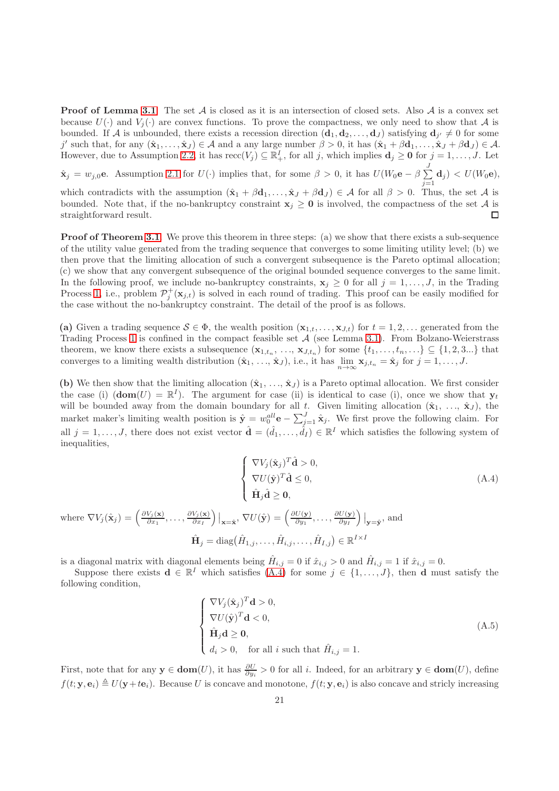**Proof of Lemma [3.1](#page-8-2).** The set A is closed as it is an intersection of closed sets. Also A is a convex set because  $U(\cdot)$  and  $V_i(\cdot)$  are convex functions. To prove the compactness, we only need to show that A is bounded. If A is unbounded, there exists a recession direction  $(d_1, d_2, \ldots, d_J)$  satisfying  $d_{j'} \neq 0$  for some j' such that, for any  $(\hat{\mathbf{x}}_1, \ldots, \hat{\mathbf{x}}_J) \in \mathcal{A}$  and a any large number  $\beta > 0$ , it has  $(\hat{\mathbf{x}}_1 + \beta \mathbf{d}_1, \ldots, \hat{\mathbf{x}}_J + \beta \mathbf{d}_J) \in \mathcal{A}$ . However, due to Assumption [2.2,](#page-5-2) it has  $\text{rec}(V_j) \subseteq \mathbb{R}_+^I$ , for all j, which implies  $\mathbf{d}_j \geq \mathbf{0}$  for  $j = 1, \ldots, J$ . Let

 $\hat{\mathbf{x}}_j = w_{j,0}$ e. Assumption [2.1](#page-4-1) for  $U(\cdot)$  implies that, for some  $\beta > 0$ , it has  $U(W_0 \mathbf{e} - \beta \sum_{j=1}^J$  $\sum\limits_{j=1}\mathbf{d}_{j} \big) < U(W_{0}\mathbf{e}),$ 

which contradicts with the assumption  $(\hat{\mathbf{x}}_1 + \beta \mathbf{d}_1, \dots, \hat{\mathbf{x}}_J + \beta \mathbf{d}_J) \in \mathcal{A}$  for all  $\beta > 0$ . Thus, the set  $\mathcal{A}$  is bounded. Note that, if the no-bankruptcy constraint  $x_j \ge 0$  is involved, the compactness of the set A is  $\Box$ straightforward result.

**Proof of Theorem [3.1](#page-8-0).** We prove this theorem in three steps: (a) we show that there exists a sub-sequence of the utility value generated from the trading sequence that converges to some limiting utility level; (b) we then prove that the limiting allocation of such a convergent subsequence is the Pareto optimal allocation; (c) we show that any convergent subsequence of the original bounded sequence converges to the same limit. In the following proof, we include no-bankruptcy constraints,  $\mathbf{x}_j \geq 0$  for all  $j = 1, \ldots, J$ , in the Trading Process [1,](#page-7-2) i.e., problem  $\mathcal{P}_j^+(\mathbf{x}_{j,t})$  is solved in each round of trading. This proof can be easily modified for the case without the no-bankruptcy constraint. The detail of the proof is as follows.

(a) Given a trading sequence  $S \in \Phi$ , the wealth position  $(\mathbf{x}_{1,t}, \ldots, \mathbf{x}_{J,t})$  for  $t = 1, 2, \ldots$  generated from the Trading Process [1](#page-7-2) is confined in the compact feasible set  $A$  (see Lemma [3.1\)](#page-8-2). From Bolzano-Weierstrass theorem, we know there exists a subsequence  $(\mathbf{x}_{1,t_n}, \ldots, \mathbf{x}_{J,t_n})$  for some  $\{t_1, \ldots, t_n, \ldots\} \subseteq \{1, 2, 3 \ldots\}$  that converges to a limiting wealth distribution  $(\hat{\mathbf{x}}_1, ..., \hat{\mathbf{x}}_J)$ , i.e., it has  $\lim_{n\to\infty} \mathbf{x}_{j,t_n} = \hat{\mathbf{x}}_j$  for  $j = 1, ..., J$ .

(b) We then show that the limiting allocation  $(\hat{\mathbf{x}}_1, \ldots, \hat{\mathbf{x}}_J)$  is a Pareto optimal allocation. We first consider the case (i)  $(\mathbf{dom}(U) = \mathbb{R}^I)$ . The argument for case (ii) is identical to case (i), once we show that  $\mathbf{y}_t$ will be bounded away from the domain boundary for all t. Given limiting allocation  $(\hat{\mathbf{x}}_1, \ldots, \hat{\mathbf{x}}_J)$ , the market maker's limiting wealth position is  $\hat{\mathbf{y}} = w_0^{all} \mathbf{e} - \sum_{j=1}^J \hat{\mathbf{x}}_j$ . We first prove the following claim. For all  $j = 1, \ldots, J$ , there does not exist vector  $\hat{\mathbf{d}} = (\hat{d}_1, \ldots, \hat{d}_I) \in \mathbb{R}^I$  which satisfies the following system of inequalities,

$$
\begin{cases}\n\nabla V_j(\hat{\mathbf{x}}_j)^T \hat{\mathbf{d}} > 0, \\
\nabla U(\hat{\mathbf{y}})^T \hat{\mathbf{d}} \le 0, \\
\hat{\mathbf{H}}_j \hat{\mathbf{d}} \ge \mathbf{0}, \\
(\hat{\mathbf{x}}_j) = \left(\frac{\partial V_j(\mathbf{x})}{\partial x_1}, \dots, \frac{\partial V_j(\mathbf{x})}{\partial x_I}\right)\big|_{\mathbf{x} = \hat{\mathbf{x}}}, \nabla U(\hat{\mathbf{y}}) = \left(\frac{\partial U(\mathbf{y})}{\partial y_1}, \dots, \frac{\partial U(\mathbf{y})}{\partial y_I}\right)\big|_{\mathbf{y} = \hat{\mathbf{y}}}, \text{ and} \\
\hat{\mathbf{H}}_j = \text{diag}\big(\hat{H}_{1,j}, \dots, \hat{H}_{i,j}, \dots, \hat{H}_{I,j}\big) \in \mathbb{R}^{I \times I}\n\end{cases}
$$
\n(A.4)

is a diagonal matrix with diagonal elements being  $\hat{H}_{i,j} = 0$  if  $\hat{x}_{i,j} > 0$  and  $\hat{H}_{i,j} = 1$  if  $\hat{x}_{i,j} = 0$ .

where  $\nabla V_j$ 

Suppose there exists  $\mathbf{d} \in \mathbb{R}^I$  which satisfies  $(A, 4)$  for some  $j \in \{1, \ldots, J\}$ , then  $\mathbf d$  must satisfy the following condition,

<span id="page-20-1"></span><span id="page-20-0"></span>
$$
\begin{cases}\n\nabla V_j(\hat{\mathbf{x}}_j)^T \mathbf{d} > 0, \\
\nabla U(\hat{\mathbf{y}})^T \mathbf{d} < 0, \\
\hat{\mathbf{H}}_j \mathbf{d} \ge \mathbf{0}, \\
d_i > 0, \quad \text{for all } i \text{ such that } \hat{H}_{i,j} = 1.\n\end{cases} \tag{A.5}
$$

First, note that for any  $y \in \text{dom}(U)$ , it has  $\frac{\partial U}{\partial y_i} > 0$  for all i. Indeed, for an arbitrary  $y \in \text{dom}(U)$ , define  $f(t; y, e_i) \triangleq U(y+te_i)$ . Because U is concave and monotone,  $f(t; y, e_i)$  is also concave and stricly increasing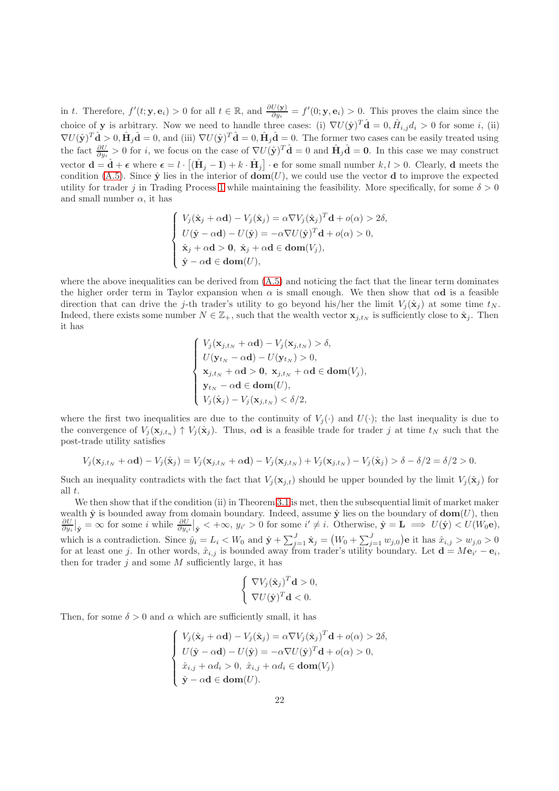in t. Therefore,  $f'(t; \mathbf{y}, \mathbf{e}_i) > 0$  for all  $t \in \mathbb{R}$ , and  $\frac{\partial U(\mathbf{y})}{\partial y_i} = f'(0; \mathbf{y}, \mathbf{e}_i) > 0$ . This proves the claim since the choice of y is arbitrary. Now we need to handle three cases: (i)  $\nabla U(\hat{\mathbf{y}})^T \hat{\mathbf{d}} = 0, \hat{H}_{i,j} d_i > 0$  for some i, (ii)  $\nabla U(\hat{\mathbf{y}})^T \hat{\mathbf{d}} > 0, \hat{\mathbf{H}}_j \hat{\mathbf{d}} = 0$ , and (iii)  $\nabla U(\hat{\mathbf{y}})^T \hat{\mathbf{d}} = 0, \hat{\mathbf{H}}_j \hat{\mathbf{d}} = 0$ . The former two cases can be easily treated using the fact  $\frac{\partial U}{\partial y_i} > 0$  for i, we focus on the case of  $\nabla U(\hat{\mathbf{y}})^T \hat{\mathbf{d}} = 0$  and  $\hat{\mathbf{H}}_j \hat{\mathbf{d}} = \mathbf{0}$ . In this case we may construct vector  $\mathbf{d} = \hat{\mathbf{d}} + \boldsymbol{\epsilon}$  where  $\boldsymbol{\epsilon} = l \cdot [(\hat{\mathbf{H}}_j - \mathbf{I}) + k \cdot \hat{\mathbf{H}}_j] \cdot \mathbf{e}$  for some small number  $k, l > 0$ . Clearly, d meets the condition [\(A.5\)](#page-20-1). Since  $\hat{\mathbf{y}}$  lies in the interior of  $\textbf{dom}(U)$ , we could use the vector **d** to improve the expected utility for trader j in Trading Process [1](#page-7-2) while maintaining the feasibility. More specifically, for some  $\delta > 0$ and small number  $\alpha$ , it has

$$
\begin{cases}\nV_j(\hat{\mathbf{x}}_j + \alpha \mathbf{d}) - V_j(\hat{\mathbf{x}}_j) = \alpha \nabla V_j(\hat{\mathbf{x}}_j)^T \mathbf{d} + o(\alpha) > 2\delta, \\
U(\hat{\mathbf{y}} - \alpha \mathbf{d}) - U(\hat{\mathbf{y}}) = -\alpha \nabla U(\hat{\mathbf{y}})^T \mathbf{d} + o(\alpha) > 0, \\
\hat{\mathbf{x}}_j + \alpha \mathbf{d} > \mathbf{0}, \ \hat{\mathbf{x}}_j + \alpha \mathbf{d} \in \text{dom}(V_j), \\
\hat{\mathbf{y}} - \alpha \mathbf{d} \in \text{dom}(U),\n\end{cases}
$$

where the above inequalities can be derived from  $(A.5)$  and noticing the fact that the linear term dominates the higher order term in Taylor expansion when  $\alpha$  is small enough. We then show that  $\alpha d$  is a feasible direction that can drive the j-th trader's utility to go beyond his/her the limit  $V_i(\hat{\mathbf{x}}_i)$  at some time  $t_N$ . Indeed, there exists some number  $N \in \mathbb{Z}_+$ , such that the wealth vector  $\mathbf{x}_{j,t_N}$  is sufficiently close to  $\hat{\mathbf{x}}_j$ . Then it has

$$
\begin{cases}\nV_j(\mathbf{x}_{j,t_N} + \alpha \mathbf{d}) - V_j(\mathbf{x}_{j,t_N}) > \delta, \\
U(\mathbf{y}_{t_N} - \alpha \mathbf{d}) - U(\mathbf{y}_{t_N}) > 0, \\
\mathbf{x}_{j,t_N} + \alpha \mathbf{d} > \mathbf{0}, \ \mathbf{x}_{j,t_N} + \alpha \mathbf{d} \in \text{dom}(V_j), \\
\mathbf{y}_{t_N} - \alpha \mathbf{d} \in \text{dom}(U), \\
V_j(\hat{\mathbf{x}}_j) - V_j(\mathbf{x}_{j,t_N}) < \delta/2,\n\end{cases}
$$

where the first two inequalities are due to the continuity of  $V_i(\cdot)$  and  $U(\cdot)$ ; the last inequality is due to the convergence of  $V_j(\mathbf{x}_{j,t_n}) \uparrow V_j(\hat{\mathbf{x}}_j)$ . Thus,  $\alpha \mathbf{d}$  is a feasible trade for trader j at time  $t_N$  such that the post-trade utility satisfies

$$
V_j(\mathbf{x}_{j,t_N} + \alpha \mathbf{d}) - V_j(\hat{\mathbf{x}}_j) = V_j(\mathbf{x}_{j,t_N} + \alpha \mathbf{d}) - V_j(\mathbf{x}_{j,t_N}) + V_j(\mathbf{x}_{j,t_N}) - V_j(\hat{\mathbf{x}}_j) > \delta - \delta/2 = \delta/2 > 0.
$$

Such an inequality contradicts with the fact that  $V_i(\mathbf{x}_{i,t})$  should be upper bounded by the limit  $V_i(\hat{\mathbf{x}}_i)$  for all t.

We then show that if the condition (ii) in Theorem [3.1](#page-8-0) is met, then the subsequential limit of market maker wealth  $\hat{y}$  is bounded away from domain boundary. Indeed, assume  $\hat{y}$  lies on the boundary of  $\text{dom}(U)$ , then  $\frac{\partial U}{\partial y_i}\big|_{\hat{\mathbf{y}}} = \infty$  for some i while  $\frac{\partial U}{\partial y_i}\big|_{\hat{\mathbf{y}}} < +\infty$ ,  $y_{i'} > 0$  for some  $i' \neq i$ . Otherwise,  $\hat{\mathbf{y}} = \mathbf{L} \implies U(\hat{\mathbf{y}}) < U(W_0 \mathbf{e})$ , which is a contradiction. Since  $\hat{y}_i = L_i < W_0$  and  $\hat{\mathbf{y}} + \sum_{j=1}^J \hat{\mathbf{x}}_j = (W_0 + \sum_{j=1}^J w_{j,0})\mathbf{e}$  it has  $\hat{x}_{i,j} > w_{j,0} > 0$ for at least one j. In other words,  $\hat{x}_{i,j}$  is bounded away from trader's utility boundary. Let  $\mathbf{d} = M\mathbf{e}_{i'} - \mathbf{e}_i$ , then for trader  $j$  and some  $M$  sufficiently large, it has

$$
\begin{cases} \nabla V_j(\hat{\mathbf{x}}_j)^T \mathbf{d} > 0, \\ \nabla U(\hat{\mathbf{y}})^T \mathbf{d} < 0. \end{cases}
$$

Then, for some  $\delta > 0$  and  $\alpha$  which are sufficiently small, it has

$$
\begin{cases}\nV_j(\hat{\mathbf{x}}_j + \alpha \mathbf{d}) - V_j(\hat{\mathbf{x}}_j) = \alpha \nabla V_j(\hat{\mathbf{x}}_j)^T \mathbf{d} + o(\alpha) > 2\delta, \\
U(\hat{\mathbf{y}} - \alpha \mathbf{d}) - U(\hat{\mathbf{y}}) = -\alpha \nabla U(\hat{\mathbf{y}})^T \mathbf{d} + o(\alpha) > 0, \\
\hat{x}_{i,j} + \alpha d_i > 0, \ \hat{x}_{i,j} + \alpha d_i \in \textbf{dom}(V_j) \\
\hat{\mathbf{y}} - \alpha \mathbf{d} \in \textbf{dom}(U).\n\end{cases}
$$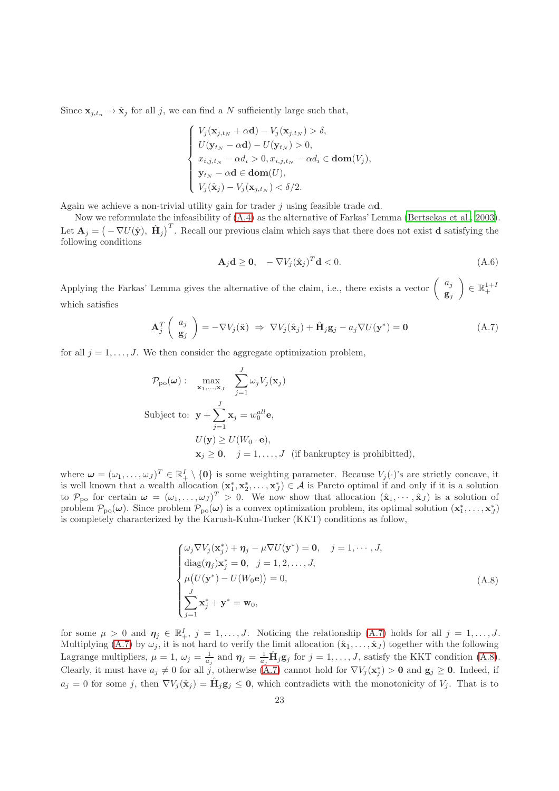Since  $\mathbf{x}_{j,t_n} \to \hat{\mathbf{x}}_j$  for all j, we can find a N sufficiently large such that,

$$
\begin{cases}\nV_j(\mathbf{x}_{j,t_N} + \alpha \mathbf{d}) - V_j(\mathbf{x}_{j,t_N}) > \delta, \\
U(\mathbf{y}_{t_N} - \alpha \mathbf{d}) - U(\mathbf{y}_{t_N}) > 0, \\
x_{i,j,t_N} - \alpha d_i > 0, x_{i,j,t_N} - \alpha d_i \in \mathbf{dom}(V_j), \\
\mathbf{y}_{t_N} - \alpha \mathbf{d} \in \mathbf{dom}(U), \\
V_j(\hat{\mathbf{x}}_j) - V_j(\mathbf{x}_{j,t_N}) < \delta/2.\n\end{cases}
$$

Again we achieve a non-trivial utility gain for trader j using feasible trade  $\alpha d$ .

Now we reformulate the infeasibility of [\(A.4\)](#page-20-0) as the alternative of Farkas' Lemma [\(Bertsekas et al., 2003](#page-18-3)). Let  $\mathbf{A}_j = \left(-\nabla U(\hat{\mathbf{y}}), \hat{\mathbf{H}}_j\right)^T$ . Recall our previous claim which says that there does not exist **d** satisfying the following conditions

<span id="page-22-0"></span>
$$
\mathbf{A}_j \mathbf{d} \ge \mathbf{0}, \quad -\nabla V_j(\hat{\mathbf{x}}_j)^T \mathbf{d} < 0. \tag{A.6}
$$

Applying the Farkas' Lemma gives the alternative of the claim, i.e., there exists a vector  $\begin{pmatrix} a_j \\ a_k \end{pmatrix}$  $\mathbf{g}_j$  $\Big) \in \mathbb{R}^{1+I}_{+}$ which satisfies

$$
\mathbf{A}_{j}^{T} \begin{pmatrix} a_{j} \\ \mathbf{g}_{j} \end{pmatrix} = -\nabla V_{j}(\hat{\mathbf{x}}) \Rightarrow \nabla V_{j}(\hat{\mathbf{x}}_{j}) + \hat{\mathbf{H}}_{j} \mathbf{g}_{j} - a_{j} \nabla U(\mathbf{y}^{*}) = \mathbf{0}
$$
\n(A.7)

for all  $j = 1, \ldots, J$ . We then consider the aggregate optimization problem,

$$
\mathcal{P}_{\text{po}}(\boldsymbol{\omega}) : \max_{\mathbf{x}_1, \dots, \mathbf{x}_J} \sum_{j=1}^J \omega_j V_j(\mathbf{x}_j)
$$
  
Subject to:  $\mathbf{y} + \sum_{j=1}^J \mathbf{x}_j = w_0^{all} \mathbf{e},$   
 $U(\mathbf{y}) \ge U(W_0 \cdot \mathbf{e}),$   
 $\mathbf{x}_j \ge \mathbf{0}, \quad j = 1, \dots, J \text{ (if bankruptcy is prohibited)},$ 

where  $\boldsymbol{\omega} = (\omega_1, \ldots, \omega_J)^T \in \mathbb{R}_+^I \setminus \{\mathbf{0}\}\$ is some weighting parameter. Because  $V_j(\cdot)$ 's are strictly concave, it is well known that a wealth allocation  $(\mathbf{x}_1^*, \mathbf{x}_2^*, \dots, \mathbf{x}_J^*) \in \mathcal{A}$  is Pareto optimal if and only if it is a solution to  $\mathcal{P}_{\text{po}}$  for certain  $\boldsymbol{\omega} = (\omega_1, \ldots, \omega_J)^T > 0$ . We now show that allocation  $(\hat{\mathbf{x}}_1, \cdots, \hat{\mathbf{x}}_J)$  is a solution of problem  $\mathcal{P}_{po}(\omega)$ . Since problem  $\mathcal{P}_{po}(\omega)$  is a convex optimization problem, its optimal solution  $(\mathbf{x}_1^*, \ldots, \mathbf{x}_J^*)$ is completely characterized by the Karush-Kuhn-Tucker (KKT) conditions as follow,

<span id="page-22-1"></span>
$$
\begin{cases}\n\omega_j \nabla V_j(\mathbf{x}_j^*) + \boldsymbol{\eta}_j - \mu \nabla U(\mathbf{y}^*) = \mathbf{0}, \quad j = 1, \cdots, J, \\
\text{diag}(\boldsymbol{\eta}_j) \mathbf{x}_j^* = \mathbf{0}, \quad j = 1, 2, \ldots, J, \\
\mu(U(\mathbf{y}^*) - U(W_0 \mathbf{e})) = 0, \\
\sum_{j=1}^J \mathbf{x}_j^* + \mathbf{y}^* = \mathbf{w}_0,\n\end{cases} \tag{A.8}
$$

for some  $\mu > 0$  and  $\eta_j \in \mathbb{R}^I_+, j = 1, \ldots, J$ . Noticing the relationship [\(A.7\)](#page-22-0) holds for all  $j = 1, \ldots, J$ . Multiplying [\(A.7\)](#page-22-0) by  $\omega_j$ , it is not hard to verify the limit allocation  $(\hat{\mathbf{x}}_1,\ldots,\hat{\mathbf{x}}_J)$  together with the following Lagrange multipliers,  $\mu = 1$ ,  $\omega_j = \frac{1}{a_j}$  and  $\eta_j = \frac{1}{a_j} \hat{H}_j g_j$  for  $j = 1, \ldots, J$ , satisfy the KKT condition [\(A.8\)](#page-22-1). Clearly, it must have  $a_j \neq 0$  for all j, otherwise [\(A.7\)](#page-22-0) cannot hold for  $\nabla V_j(\mathbf{x}_j^*) > 0$  and  $\mathbf{g}_j \geq 0$ . Indeed, if  $a_j = 0$  for some j, then  $\nabla V_j(\hat{\mathbf{x}}_j) = \hat{\mathbf{H}}_j \mathbf{g}_j \leq \mathbf{0}$ , which contradicts with the monotonicity of  $V_j$ . That is to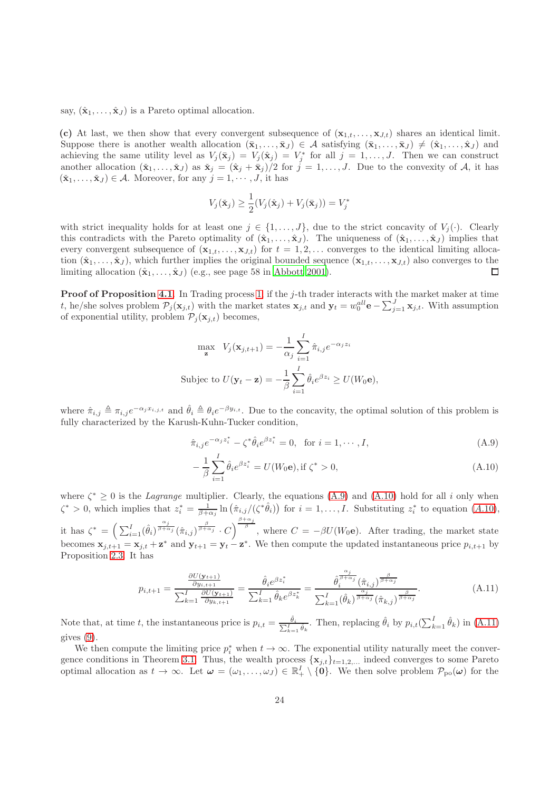say,  $(\hat{\mathbf{x}}_1, \ldots, \hat{\mathbf{x}}_J)$  is a Pareto optimal allocation.

(c) At last, we then show that every convergent subsequence of  $(\mathbf{x}_{1,t},\ldots,\mathbf{x}_{J,t})$  shares an identical limit. Suppose there is another wealth allocation  $(\bar{\mathbf{x}}_1, \ldots, \bar{\mathbf{x}}_J) \in \mathcal{A}$  satisfying  $(\bar{\mathbf{x}}_1, \ldots, \bar{\mathbf{x}}_J) \neq (\hat{\mathbf{x}}_1, \ldots, \hat{\mathbf{x}}_J)$  and achieving the same utility level as  $V_j(\bar{\mathbf{x}}_j) = V_j(\hat{\mathbf{x}}_j) = V_j^*$  for all  $j = 1, \ldots, J$ . Then we can construct another allocation  $(\dot{\mathbf{x}}_1, \ldots, \dot{\mathbf{x}}_J)$  as  $\dot{\mathbf{x}}_j = (\dot{\mathbf{x}}_j + \dot{\mathbf{x}}_j)/2$  for  $j = 1, \ldots, J$ . Due to the convexity of A, it has  $(\check{\mathbf{x}}_1, \ldots, \check{\mathbf{x}}_J) \in \mathcal{A}$ . Moreover, for any  $j = 1, \cdots, J$ , it has

$$
V_j(\check{\mathbf{x}}_j) \ge \frac{1}{2}(V_j(\hat{\mathbf{x}}_j) + V_j(\bar{\mathbf{x}}_j)) = V_j^*
$$

with strict inequality holds for at least one  $j \in \{1, \ldots, J\}$ , due to the strict concavity of  $V_j(\cdot)$ . Clearly this contradicts with the Pareto optimality of  $(\hat{\mathbf{x}}_1, \ldots, \hat{\mathbf{x}}_J)$ . The uniqueness of  $(\hat{\mathbf{x}}_1, \ldots, \hat{\mathbf{x}}_J)$  implies that every convergent subsequence of  $(\mathbf{x}_{1,t}, \ldots, \mathbf{x}_{J,t})$  for  $t = 1, 2, \ldots$  converges to the identical limiting allocation  $(\hat{\mathbf{x}}_1, \ldots, \hat{\mathbf{x}}_J)$ , which further implies the original bounded sequence  $(\mathbf{x}_{1,t}, \ldots, \mathbf{x}_{J,t})$  also converges to the limiting allocation  $(\hat{\mathbf{x}}_1, \dots, \hat{\mathbf{x}}_J)$  (e.g., see page 58 in [Abbott 2001\)](#page-18-13).  $\Box$ 

**Proof of Proposition [4.1](#page-10-0)**. In Trading process [1,](#page-7-2) if the j-th trader interacts with the market maker at time t, he/she solves problem  $\mathcal{P}_j(\mathbf{x}_{j,t})$  with the market states  $\mathbf{x}_{j,t}$  and  $\mathbf{y}_t = w_0^{all} \mathbf{e} - \sum_{j=1}^J \mathbf{x}_{j,t}$ . With assumption of exponential utility, problem  $\mathcal{P}_i(\mathbf{x}_{i,t})$  becomes,

$$
\max_{\mathbf{z}} V_j(\mathbf{x}_{j,t+1}) = -\frac{1}{\alpha_j} \sum_{i=1}^I \hat{\pi}_{i,j} e^{-\alpha_j z_i}
$$
  
Subject to  $U(\mathbf{y}_t - \mathbf{z}) = -\frac{1}{\beta} \sum_{i=1}^I \hat{\theta}_i e^{\beta z_i} \ge U(W_0 \mathbf{e}),$ 

where  $\hat{\pi}_{i,j} \triangleq \pi_{i,j} e^{-\alpha_j x_{i,j,t}}$  and  $\hat{\theta}_i \triangleq \theta_i e^{-\beta y_{i,t}}$ . Due to the concavity, the optimal solution of this problem is fully characterized by the Karush-Kuhn-Tucker condition,

$$
\hat{\pi}_{i,j}e^{-\alpha_j z_i^*} - \zeta^* \hat{\theta}_i e^{\beta z_i^*} = 0, \text{ for } i = 1, \cdots, I,
$$
\n(A.9)

<span id="page-23-2"></span><span id="page-23-1"></span><span id="page-23-0"></span>
$$
-\frac{1}{\beta} \sum_{i=1}^{I} \hat{\theta}_{i} e^{\beta z_{i}^{*}} = U(W_{0} \mathbf{e}), \text{if } \zeta^{*} > 0,
$$
\n(A.10)

where  $\zeta^* \geq 0$  is the *Lagrange* multiplier. Clearly, the equations [\(A.9\)](#page-23-0) and [\(A.10\)](#page-23-1) hold for all i only when  $\zeta^* > 0$ , which implies that  $z_i^* = \frac{1}{\beta + \alpha_j} \ln \left( \hat{\pi}_{i,j}/(\zeta^* \hat{\theta}_i) \right)$  for  $i = 1, \ldots, I$ . Substituting  $z_i^*$  to equation  $(A.10)$  $(A.10)$ , it has  $\zeta^* = \left(\sum_{i=1}^I (\hat{\theta}_i)^{\frac{\alpha_j}{\beta+\alpha_j}} (\hat{\pi}_{i,j})^{\frac{\beta}{\beta+\alpha_j}} \cdot C\right)^{\frac{\beta+\alpha_j}{\beta}}$ , where  $C = -\beta U(W_0 \mathbf{e})$ . After trading, the market state becomes  $\mathbf{x}_{j,t+1} = \mathbf{x}_{j,t} + \mathbf{z}^*$  and  $\mathbf{y}_{t+1} = \mathbf{y}_t - \mathbf{z}^*$ . We then compute the updated instantaneous price  $p_{i,t+1}$  by Proposition [2.3.](#page-7-1) It has

$$
p_{i,t+1} = \frac{\frac{\partial U(\mathbf{y}_{t+1})}{\partial y_{i,t+1}}}{\sum_{k=1}^{I} \frac{\partial U(\mathbf{y}_{t+1})}{\partial y_{k,t+1}}} = \frac{\hat{\theta}_i e^{\beta z_i^*}}{\sum_{k=1}^{I} \hat{\theta}_k e^{\beta z_k^*}} = \frac{\hat{\theta}_i^{\frac{\alpha_j}{\beta + \alpha_j}}(\hat{\pi}_{i,j})^{\frac{\beta}{\beta + \alpha_j}}}{\sum_{k=1}^{I} (\hat{\theta}_k)^{\frac{\alpha_j}{\beta + \alpha_j}}(\hat{\pi}_{k,j})^{\frac{\beta}{\beta + \alpha_j}}}.
$$
(A.11)

Note that, at time t, the instantaneous price is  $p_{i,t} = \frac{\hat{\theta}_i}{\sum_{k=1}^I \hat{\theta}_k}$ . Then, replacing  $\hat{\theta}_i$  by  $p_{i,t}(\sum_{k=1}^I \hat{\theta}_k)$  in  $(A.11)$ gives [\(9\)](#page-10-2).

We then compute the limiting price  $p_i^*$  when  $t \to \infty$ . The exponential utility naturally meet the conver-gence conditions in Theorem [3.1.](#page-8-0) Thus, the wealth process  $\{\mathbf{x}_{j,t}\}_{t=1,2,...}$  indeed converges to some Pareto optimal allocation as  $t \to \infty$ . Let  $\omega = (\omega_1, \ldots, \omega_J) \in \mathbb{R}^I_+ \setminus \{0\}$ . We then solve problem  $\mathcal{P}_{\text{po}}(\omega)$  for the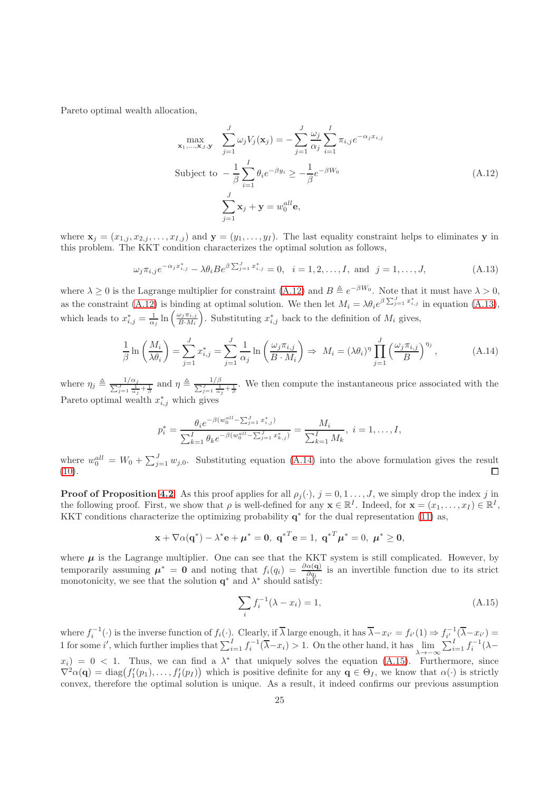Pareto optimal wealth allocation,

<span id="page-24-1"></span><span id="page-24-0"></span>
$$
\max_{\mathbf{x}_1,\dots,\mathbf{x}_J,\mathbf{y}} \sum_{j=1}^J \omega_j V_j(\mathbf{x}_j) = -\sum_{j=1}^J \frac{\omega_j}{\alpha_j} \sum_{i=1}^I \pi_{i,j} e^{-\alpha_j x_{i,j}}
$$
  
Subject to 
$$
-\frac{1}{\beta} \sum_{i=1}^I \theta_i e^{-\beta y_i} \ge -\frac{1}{\beta} e^{-\beta W_0}
$$

$$
\sum_{j=1}^J \mathbf{x}_j + \mathbf{y} = w_0^{all} \mathbf{e},
$$
 (A.12)

where  $\mathbf{x}_j = (x_{1,j}, x_{2,j}, \dots, x_{I,j})$  and  $\mathbf{y} = (y_1, \dots, y_I)$ . The last equality constraint helps to eliminates y in this problem. The KKT condition characterizes the optimal solution as follows,

$$
\omega_j \pi_{i,j} e^{-\alpha_j x_{i,j}^*} - \lambda \theta_i B e^{\beta \sum_{j=1}^J x_{i,j}^*} = 0, \quad i = 1, 2, \dots, I, \text{ and } j = 1, \dots, J,
$$
 (A.13)

where  $\lambda \geq 0$  is the Lagrange multiplier for constraint [\(A.12\)](#page-24-0) and  $B \triangleq e^{-\beta W_0}$ . Note that it must have  $\lambda > 0$ , as the constraint [\(A.12\)](#page-24-0) is binding at optimal solution. We then let  $M_i = \lambda \theta_i e^{\beta \sum_{j=1}^J x_{i,j}^*}$  in equation [\(A.13\)](#page-24-1), which leads to  $x_{i,j}^* = \frac{1}{\alpha_j} \ln \left( \frac{\omega_j \pi_{i,j}}{B \cdot M_i} \right)$  $\frac{\omega_j \pi_{i,j}}{B \cdot M_i}$ . Substituting  $x^*_{i,j}$  back to the definition of  $M_i$  gives,

$$
\frac{1}{\beta} \ln \left( \frac{M_i}{\lambda \theta_i} \right) = \sum_{j=1}^J x_{i,j}^* = \sum_{j=1}^J \frac{1}{\alpha_j} \ln \left( \frac{\omega_j \pi_{i,j}}{B \cdot M_i} \right) \Rightarrow M_i = (\lambda \theta_i)^{\eta} \prod_{j=1}^J \left( \frac{\omega_j \pi_{i,j}}{B} \right)^{\eta_j}, \tag{A.14}
$$

where  $\eta_j \triangleq \frac{\ }{ \sum_{j=1}^{n} a_j }$  $\frac{1/\alpha_j}{\frac{J}{\alpha_j+1} \frac{1}{\beta}}$  and  $\eta \triangleq \frac{\sum_{j=1}^{j} \binom{J}{j}}{\sum_{j=1}^{j}}$  $\frac{1}{\gamma}$   $\frac{1}{\alpha_j} + \frac{1}{\beta}$ . We then compute the instantaneous price associated with the Pareto optimal wealth  $x_{i,j}^*$  which gives

<span id="page-24-2"></span>
$$
p_i^* = \frac{\theta_i e^{-\beta (w_0^{all} - \sum_{j=1}^J x_{i,j}^*)}}{\sum_{k=1}^I \theta_k e^{-\beta (w_0^{all} - \sum_{j=1}^J x_{k,j}^*)}} = \frac{M_i}{\sum_{k=1}^I M_k}, \ i = 1, \dots, I,
$$

where  $w_0^{all} = W_0 + \sum_{j=1}^{J} w_{j,0}$ . Substituting equation [\(A.14\)](#page-24-2) into the above formulation gives the result  $(10).$  $(10).$ 

**Proof of Proposition [4.2](#page-11-0)**. As this proof applies for all  $\rho_j(\cdot)$ ,  $j = 0, 1, \ldots, J$ , we simply drop the index j in the following proof. First, we show that  $\rho$  is well-defined for any  $\mathbf{x} \in \mathbb{R}^I$ . Indeed, for  $\mathbf{x} = (x_1, \ldots, x_I) \in \mathbb{R}^I$ , KKT conditions characterize the optimizing probability  $q^*$  for the dual representation [\(11\)](#page-11-1) as,

$$
\mathbf{x} + \nabla \alpha(\mathbf{q}^*) - \lambda^* \mathbf{e} + \boldsymbol{\mu}^* = \mathbf{0}, \; \mathbf{q}^{*T} \mathbf{e} = 1, \; \mathbf{q}^{*T} \boldsymbol{\mu}^* = 0, \; \boldsymbol{\mu}^* \geq \mathbf{0},
$$

where  $\mu$  is the Lagrange multiplier. One can see that the KKT system is still complicated. However, by temporarily assuming  $\mu^* = 0$  and noting that  $f_i(q_i) = \frac{\partial \alpha(q)}{\partial q_i}$  is an invertible function due to its strict monotonicity, we see that the solution  $\mathbf{q}^*$  and  $\lambda^*$  should satisfy:

<span id="page-24-3"></span>
$$
\sum_{i} f_{i}^{-1}(\lambda - x_{i}) = 1, \tag{A.15}
$$

where  $f_i^{-1}(\cdot)$  is the inverse function of  $f_i(\cdot)$ . Clearly, if  $\overline{\lambda}$  large enough, it has  $\overline{\lambda} - x_{i'} = f_{i'}(1) \Rightarrow f_{i'}^{-1}(\overline{\lambda} - x_{i'}) =$ 1 for some i', which further implies that  $\sum_{i=1}^{I} f_i^{-1}(\overline{\lambda} - x_i) > 1$ . On the other hand, it has  $\lim_{\lambda \to -\infty} \sum_{i=1}^{I} f_i^{-1}(\lambda - x_i)$  $x_i$  = 0 < 1. Thus, we can find a  $\lambda^*$  that uniquely solves the equation [\(A.15\)](#page-24-3). Furthermore, since  $\nabla^2 \alpha(\mathbf{q}) = \text{diag}(f'_1(p_1), \ldots, f'_I(p_I))$  which is positive definite for any  $\mathbf{q} \in \Theta_I$ , we know that  $\alpha(\cdot)$  is strictly convex, therefore the optimal solution is unique. As a result, it indeed confirms our previous assumption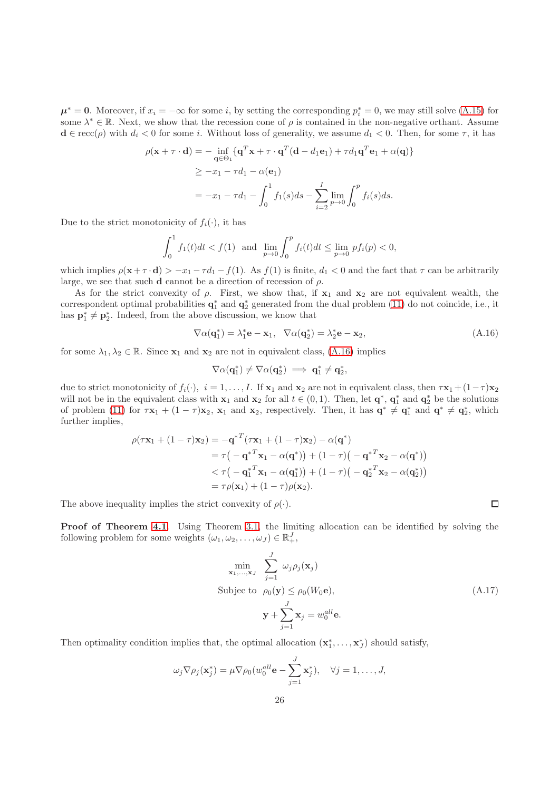$\mu^* = 0$ . Moreover, if  $x_i = -\infty$  for some i, by setting the corresponding  $p_i^* = 0$ , we may still solve [\(A.15\)](#page-24-3) for some  $\lambda^* \in \mathbb{R}$ . Next, we show that the recession cone of  $\rho$  is contained in the non-negative orthant. Assume  $\mathbf{d} \in \text{recc}(\rho)$  with  $d_i < 0$  for some i. Without loss of generality, we assume  $d_1 < 0$ . Then, for some  $\tau$ , it has

$$
\rho(\mathbf{x} + \tau \cdot \mathbf{d}) = -\inf_{\mathbf{q} \in \Theta_1} \{ \mathbf{q}^T \mathbf{x} + \tau \cdot \mathbf{q}^T (\mathbf{d} - d_1 \mathbf{e}_1) + \tau d_1 \mathbf{q}^T \mathbf{e}_1 + \alpha(\mathbf{q}) \}
$$
  
\n
$$
\geq -x_1 - \tau d_1 - \alpha(\mathbf{e}_1)
$$
  
\n
$$
= -x_1 - \tau d_1 - \int_0^1 f_1(s) ds - \sum_{i=2}^I \lim_{p \to 0} \int_0^p f_i(s) ds.
$$

Due to the strict monotonicity of  $f_i(\cdot)$ , it has

$$
\int_0^1 f_1(t)dt < f(1) \quad \text{and} \quad \lim_{p \to 0} \int_0^p f_i(t)dt \le \lim_{p \to 0} \, p f_i(p) < 0,
$$

which implies  $\rho(\mathbf{x}+\tau \cdot \mathbf{d}) > -x_1 - \tau d_1 - f(1)$ . As  $f(1)$  is finite,  $d_1 < 0$  and the fact that  $\tau$  can be arbitrarily large, we see that such **d** cannot be a direction of recession of  $\rho$ .

As for the strict convexity of  $\rho$ . First, we show that, if  $x_1$  and  $x_2$  are not equivalent wealth, the correspondent optimal probabilities  $q_1^*$  and  $q_2^*$  generated from the dual problem [\(11\)](#page-11-1) do not coincide, i.e., it has  $\mathbf{p}_1^* \neq \mathbf{p}_2^*$ . Indeed, from the above discussion, we know that

$$
\nabla \alpha(\mathbf{q}_1^*) = \lambda_1^* \mathbf{e} - \mathbf{x}_1, \quad \nabla \alpha(\mathbf{q}_2^*) = \lambda_2^* \mathbf{e} - \mathbf{x}_2,\tag{A.16}
$$

for some  $\lambda_1, \lambda_2 \in \mathbb{R}$ . Since  $\mathbf{x}_1$  and  $\mathbf{x}_2$  are not in equivalent class, [\(A.16\)](#page-25-0) implies

$$
\nabla \alpha(\mathbf{q}_1^*) \neq \nabla \alpha(\mathbf{q}_2^*) \implies \mathbf{q}_1^* \neq \mathbf{q}_2^*,
$$

due to strict monotonicity of  $f_i(\cdot)$ ,  $i = 1, \ldots, I$ . If  $\mathbf{x}_1$  and  $\mathbf{x}_2$  are not in equivalent class, then  $\tau \mathbf{x}_1 + (1 - \tau) \mathbf{x}_2$ will not be in the equivalent class with  $x_1$  and  $x_2$  for all  $t \in (0,1)$ . Then, let  $\mathbf{q}^*, \mathbf{q}_1^*$  and  $\mathbf{q}_2^*$  be the solutions of problem [\(11\)](#page-11-1) for  $\tau \mathbf{x}_1 + (1 - \tau)\mathbf{x}_2$ ,  $\mathbf{x}_1$  and  $\mathbf{x}_2$ , respectively. Then, it has  $\mathbf{q}^* \neq \mathbf{q}_1^*$  and  $\mathbf{q}^* \neq \mathbf{q}_2^*$ , which further implies,

$$
\rho(\tau \mathbf{x}_1 + (1 - \tau)\mathbf{x}_2) = -\mathbf{q}^{*T}(\tau \mathbf{x}_1 + (1 - \tau)\mathbf{x}_2) - \alpha(\mathbf{q}^*)
$$
  
\n
$$
= \tau(-\mathbf{q}^{*T}\mathbf{x}_1 - \alpha(\mathbf{q}^*)) + (1 - \tau)(-\mathbf{q}^{*T}\mathbf{x}_2 - \alpha(\mathbf{q}^*))
$$
  
\n
$$
< \tau(-\mathbf{q}_1^{*T}\mathbf{x}_1 - \alpha(\mathbf{q}_1^*)) + (1 - \tau)(-\mathbf{q}_2^{*T}\mathbf{x}_2 - \alpha(\mathbf{q}_2^*))
$$
  
\n
$$
= \tau \rho(\mathbf{x}_1) + (1 - \tau)\rho(\mathbf{x}_2).
$$

The above inequality implies the strict convexity of  $\rho(\cdot)$ .

Proof of Theorem [4.1](#page-11-2). Using Theorem [3.1,](#page-8-0) the limiting allocation can be identified by solving the following problem for some weights  $(\omega_1, \omega_2, \dots, \omega_J) \in \mathbb{R}^J_+$ ,

$$
\min_{\mathbf{x}_1, ..., \mathbf{x}_J} \sum_{j=1}^{J} \omega_j \rho_j(\mathbf{x}_j)
$$
\n
$$
\text{Subject to } \rho_0(\mathbf{y}) \le \rho_0(W_0 \mathbf{e}),
$$
\n
$$
\mathbf{y} + \sum_{j=1}^{J} \mathbf{x}_j = w_0^{all} \mathbf{e}.
$$
\n(A.17)

Then optimality condition implies that, the optimal allocation  $(\mathbf{x}_1^*, \ldots, \mathbf{x}_J^*)$  should satisfy,

$$
\omega_j \nabla \rho_j(\mathbf{x}_j^*) = \mu \nabla \rho_0(w_0^{all} \mathbf{e} - \sum_{j=1}^J \mathbf{x}_j^*), \quad \forall j = 1, \dots, J,
$$

<span id="page-25-1"></span><span id="page-25-0"></span> $\Box$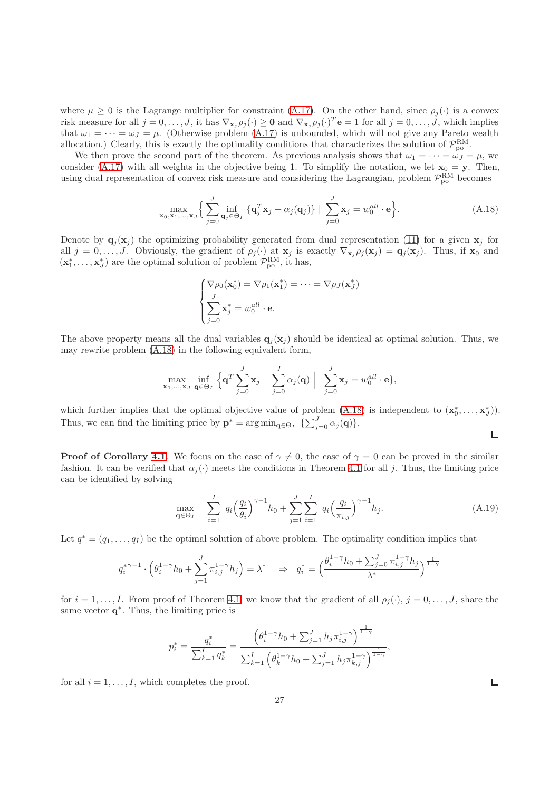where  $\mu \geq 0$  is the Lagrange multiplier for constraint [\(A.17\)](#page-25-1). On the other hand, since  $\rho_i(\cdot)$  is a convex risk measure for all  $j = 0, \ldots, J$ , it has  $\nabla_{\mathbf{x}_j} \rho_j(\cdot) \geq \mathbf{0}$  and  $\nabla_{\mathbf{x}_j} \rho_j(\cdot)^T \mathbf{e} = 1$  for all  $j = 0, \ldots, J$ , which implies that  $\omega_1 = \cdots = \omega_J = \mu$ . (Otherwise problem [\(A.17\)](#page-25-1) is unbounded, which will not give any Pareto wealth allocation.) Clearly, this is exactly the optimality conditions that characterizes the solution of  $\mathcal{P}_{po}^{RM}$ .

We then prove the second part of the theorem. As previous analysis shows that  $\omega_1 = \cdots = \omega_J = \mu$ , we consider [\(A.17\)](#page-25-1) with all weights in the objective being 1. To simplify the notation, we let  $\mathbf{x}_0 = \mathbf{y}$ . Then, using dual representation of convex risk measure and considering the Lagrangian, problem  $\mathcal{P}_{po}^{RM}$  becomes

$$
\max_{\mathbf{x}_0, \mathbf{x}_1, \dots, \mathbf{x}_J} \left\{ \sum_{j=0}^J \inf_{\mathbf{q}_j \in \Theta_I} \left\{ \mathbf{q}_j^T \mathbf{x}_j + \alpha_j(\mathbf{q}_j) \right\} \mid \sum_{j=0}^J \mathbf{x}_j = w_0^{all} \cdot \mathbf{e} \right\}.
$$
 (A.18)

Denote by  $\mathbf{q}_j(\mathbf{x}_j)$  the optimizing probability generated from dual representation [\(11\)](#page-11-1) for a given  $\mathbf{x}_j$  for all  $j = 0, \ldots, J$ . Obviously, the gradient of  $\rho_j(\cdot)$  at  $\mathbf{x}_j$  is exactly  $\nabla_{\mathbf{x}_j} \rho_j(\mathbf{x}_j) = \mathbf{q}_j(\mathbf{x}_j)$ . Thus, if  $\mathbf{x}_0$  and  $(\mathbf{x}_1^*, \ldots, \mathbf{x}_J^*)$  are the optimal solution of problem  $\mathcal{P}_{po}^{RM}$ , it has,

$$
\begin{cases}\n\nabla \rho_0(\mathbf{x}_0^*) = \nabla \rho_1(\mathbf{x}_1^*) = \dots = \nabla \rho_J(\mathbf{x}_J^*) \\
\sum_{j=0}^J \mathbf{x}_j^* = w_0^{all} \cdot \mathbf{e}.\n\end{cases}
$$

The above property means all the dual variables  $q_i(\mathbf{x}_i)$  should be identical at optimal solution. Thus, we may rewrite problem [\(A.18\)](#page-26-0) in the following equivalent form,

$$
\max_{\mathbf{x}_0,\dots,\mathbf{x}_J} \inf_{\mathbf{q}\in\Theta_I} \left\{ \mathbf{q}^T \sum_{j=0}^J \mathbf{x}_j + \sum_{j=0}^J \alpha_j(\mathbf{q}) \middle| \sum_{j=0}^J \mathbf{x}_j = w_0^{all} \cdot \mathbf{e} \right\},\
$$

which further implies that the optimal objective value of problem  $(A.18)$  is independent to  $(\mathbf{x}_0^*, \ldots, \mathbf{x}_J^*)$ . Thus, we can find the limiting price by  $\mathbf{p}^* = \arg \min_{\mathbf{q} \in \Theta_I} \{\sum_{j=0}^J \alpha_j(\mathbf{q})\}.$ 

**Proof of Corollary [4.1](#page-11-3).** We focus on the case of  $\gamma \neq 0$ , the case of  $\gamma = 0$  can be proved in the similar fashion. It can be verified that  $\alpha_i(\cdot)$  meets the conditions in Theorem [4.1](#page-11-2) for all j. Thus, the limiting price can be identified by solving

$$
\max_{\mathbf{q} \in \Theta_I} \quad \sum_{i=1}^I \ q_i \left(\frac{q_i}{\theta_i}\right)^{\gamma-1} h_0 + \sum_{j=1}^J \sum_{i=1}^I \ q_i \left(\frac{q_i}{\pi_{i,j}}\right)^{\gamma-1} h_j. \tag{A.19}
$$

Let  $q^* = (q_1, \ldots, q_I)$  be the optimal solution of above problem. The optimality condition implies that

$$
q_i^{*\gamma-1}\cdot\Big(\theta_i^{1-\gamma}h_0+\sum_{j=1}^J\pi_{i,j}^{1-\gamma}h_j\Big)=\lambda^*\quad\Rightarrow\quad q_i^*=\Big(\frac{\theta_i^{1-\gamma}h_0+\sum_{j=0}^J\pi_{i,j}^{1-\gamma}h_j}{\lambda^*}\Big)^{\frac{1}{1-\gamma}}
$$

for  $i = 1, \ldots, I$ . From proof of Theorem [4.1,](#page-11-2) we know that the gradient of all  $\rho_j(\cdot), j = 0, \ldots, J$ , share the same vector  $q^*$ . Thus, the limiting price is

$$
p_i^* = \frac{q_i^*}{\sum_{k=1}^I q_k^*} = \frac{\left(\theta_i^{1-\gamma} h_0 + \sum_{j=1}^J h_j \pi_{i,j}^{1-\gamma}\right)^{\frac{1}{1-\gamma}}}{\sum_{k=1}^I \left(\theta_k^{1-\gamma} h_0 + \sum_{j=1}^J h_j \pi_{k,j}^{1-\gamma}\right)^{\frac{1}{1-\gamma}}},
$$

for all  $i = 1, \ldots, I$ , which completes the proof.

 $\Box$ 

<span id="page-26-0"></span> $\Box$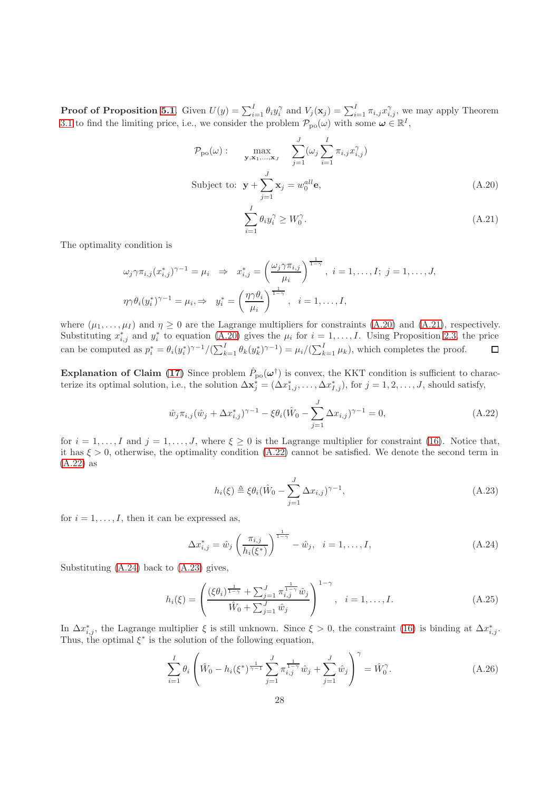**Proof of Proposition [5.1](#page-12-2)**. Given  $U(y) = \sum_{i=1}^{I} \theta_i y_i^{\gamma}$  and  $V_j(\mathbf{x}_j) = \sum_{i=1}^{I} \pi_{i,j} x_{i,j}^{\gamma}$ , we may apply Theorem [3.1](#page-8-0) to find the limiting price, i.e., we consider the problem  $\mathcal{P}_{\text{po}}(\omega)$  with some  $\omega \in \mathbb{R}^I$ ,

$$
\mathcal{P}_{po}(\omega) : \max_{\mathbf{y}, \mathbf{x}_1, \dots, \mathbf{x}_J} \sum_{j=1}^J (\omega_j \sum_{i=1}^I \pi_{i,j} x_{i,j}^\gamma)
$$
  
Subject to:  $\mathbf{y} + \sum_{j=1}^J \mathbf{x}_j = w_0^{all} \mathbf{e},$  (A.20)

<span id="page-27-1"></span><span id="page-27-0"></span>
$$
\sum_{i=1}^{I} \theta_i y_i^{\gamma} \ge W_0^{\gamma}.
$$
\n(A.21)

The optimality condition is

$$
\omega_j \gamma \pi_{i,j} (x_{i,j}^*)^{\gamma - 1} = \mu_i \Rightarrow x_{i,j}^* = \left(\frac{\omega_j \gamma \pi_{i,j}}{\mu_i}\right)^{\frac{1}{1 - \gamma}}, i = 1, \dots, I; j = 1, \dots, J,
$$
  

$$
\eta \gamma \theta_i (y_i^*)^{\gamma - 1} = \mu_i \Rightarrow y_i^* = \left(\frac{\eta \gamma \theta_i}{\mu_i}\right)^{\frac{1}{1 - \gamma}}, i = 1, \dots, I,
$$

where  $(\mu_1, \ldots, \mu_I)$  and  $\eta \geq 0$  are the Lagrange multipliers for constraints [\(A.20\)](#page-27-0) and [\(A.21\)](#page-27-1), respectively. Substituting  $x_{i,j}^*$  and  $y_i^*$  to equation [\(A.20\)](#page-27-0) gives the  $\mu_i$  for  $i = 1, \ldots, I$ . Using Proposition [2.3,](#page-7-1) the price can be computed as  $p_i^* = \theta_i(y_i^*)^{\gamma - 1}/(\sum_{k=1}^I \theta_k(y_k^*)^{\gamma - 1}) = \mu_i/(\sum_{k=1}^I \mu_k)$ , which completes the proof.

**Explanation of Claim [\(17\)](#page-15-1)** Since problem  $\hat{P}_{po}(\omega^{\dagger})$  is convex, the KKT condition is sufficient to characterize its optimal solution, i.e., the solution  $\Delta \mathbf{x}_j^* = (\Delta x_{1,j}^*, \ldots, \Delta x_{I,j}^*)$ , for  $j = 1, 2, \ldots, J$ , should satisfy,

$$
\hat{w}_j \pi_{i,j} (\hat{w}_j + \Delta x_{i,j}^*)^{\gamma - 1} - \xi \theta_i (\hat{W}_0 - \sum_{j=1}^J \Delta x_{i,j})^{\gamma - 1} = 0,
$$
\n(A.22)

for  $i = 1, \ldots, I$  and  $j = 1, \ldots, J$ , where  $\xi \geq 0$  is the Lagrange multiplier for constraint [\(16\)](#page-15-2). Notice that, it has  $\xi > 0$ , otherwise, the optimality condition [\(A.22\)](#page-27-2) cannot be satisfied. We denote the second term in [\(A.22\)](#page-27-2) as

<span id="page-27-5"></span><span id="page-27-4"></span><span id="page-27-3"></span><span id="page-27-2"></span>
$$
h_i(\xi) \triangleq \xi \theta_i (\hat{W}_0 - \sum_{j=1}^J \Delta x_{i,j})^{\gamma - 1},\tag{A.23}
$$

for  $i = 1, \ldots, I$ , then it can be expressed as,

$$
\Delta x_{i,j}^* = \hat{w}_j \left( \frac{\pi_{i,j}}{h_i(\xi^*)} \right)^{\frac{1}{1-\gamma}} - \hat{w}_j, \quad i = 1, \dots, I,
$$
\n(A.24)

Substituting [\(A.24\)](#page-27-3) back to [\(A.23\)](#page-27-4) gives,

$$
h_i(\xi) = \left(\frac{(\xi \theta_i)^{\frac{1}{1-\gamma}} + \sum_{j=1}^J \pi_{i,j}^{\frac{1}{1-\gamma}} \hat{w}_j}{\hat{W}_0 + \sum_{j=1}^J \hat{w}_j}\right)^{1-\gamma}, \quad i = 1, \dots, I.
$$
 (A.25)

In  $\Delta x^*_{i,j}$ , the Lagrange multiplier  $\xi$  is still unknown. Since  $\xi > 0$ , the constraint [\(16\)](#page-15-2) is binding at  $\Delta x^*_{i,j}$ . Thus, the optimal  $\xi^*$  is the solution of the following equation,

<span id="page-27-6"></span>
$$
\sum_{i=1}^{I} \theta_i \left( \hat{W}_0 - h_i(\xi^*)^{\frac{1}{\gamma - 1}} \sum_{j=1}^{J} \pi_{i,j}^{\frac{1}{1 - \gamma}} \hat{w}_j + \sum_{j=1}^{J} \hat{w}_j \right)^{\gamma} = \hat{W}_0^{\gamma}.
$$
 (A.26)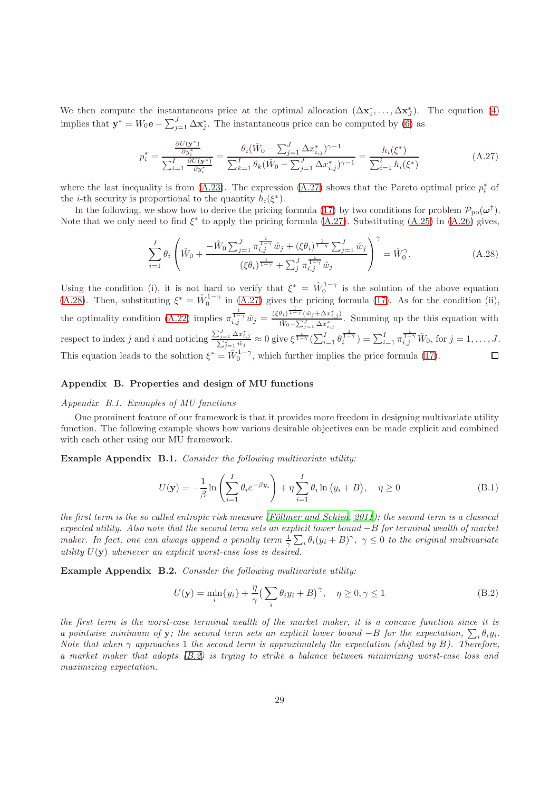We then compute the instantaneous price at the optimal allocation  $(\Delta x_1^*, \ldots, \Delta x_J^*)$ . The equation [\(4\)](#page-6-0) implies that  $\mathbf{y}^* = W_0 \mathbf{e} - \sum_{j=1}^J \Delta \mathbf{x}_j^*$ . The instantaneous price can be computed by [\(6\)](#page-7-3) as

<span id="page-28-1"></span>
$$
p_i^* = \frac{\frac{\partial U(\mathbf{y}^*)}{\partial y_i^*}}{\sum_{i=1}^I \frac{\partial U(\mathbf{y}^*)}{\partial y_i^*}} = \frac{\theta_i(\hat{W}_0 - \sum_{j=1}^J \Delta x_{i,j}^*)^{\gamma - 1}}{\sum_{k=1}^I \theta_k(\hat{W}_0 - \sum_{j=1}^J \Delta x_{i,j}^*)^{\gamma - 1}} = \frac{h_i(\xi^*)}{\sum_{i=1}^i h_i(\xi^*)}
$$
(A.27)

where the last inequality is from [\(A.23\)](#page-27-4). The expression [\(A.27\)](#page-28-1) shows that the Pareto optimal price  $p_i^*$  of the *i*-th security is proportional to the quantity  $h_i(\xi^*)$ .

In the following, we show how to derive the pricing formula [\(17\)](#page-15-1) by two conditions for problem  $\mathcal{P}_{\text{po}}(\omega^{\dagger})$ . Note that we only need to find  $\xi^*$  to apply the pricing formula [\(A.27\)](#page-28-1). Substituting [\(A.25\)](#page-27-5) in [\(A.26\)](#page-27-6) gives,

<span id="page-28-2"></span>
$$
\sum_{i=1}^{I} \theta_i \left( \hat{W}_0 + \frac{-\hat{W}_0 \sum_{j=1}^{J} \pi_{i,j}^{\frac{1}{1-\gamma}} \hat{w}_j + (\xi \theta_i)^{\frac{1}{1-\gamma}} \sum_{j=1}^{J} \hat{w}_j}{(\xi \theta_i)^{\frac{1}{1-\gamma}} + \sum_{j}^{J} \pi_{i,j}^{\frac{1}{1-\gamma}} \hat{w}_j} \right)^{\gamma} = \hat{W}_0^{\gamma}.
$$
\n(A.28)

Using the condition (i), it is not hard to verify that  $\xi^* = \hat{W}_0^{1-\gamma}$  is the solution of the above equation 0 [\(A.28\)](#page-28-2). Then, substituting  $\xi^* = \hat{W}_0^{1-\gamma}$  in [\(A.27\)](#page-28-1) gives the pricing formula [\(17\)](#page-15-1). As for the condition (ii), the optimality condition [\(A.22\)](#page-27-2) implies  $\pi_{i,j}^{\frac{1}{1-\gamma}}\hat{w}_j = \frac{(\xi\theta_i)^{\frac{1}{1-\gamma}}(\hat{w}_j + \Delta x_{i,j}^*)}{\hat{W}_0 - \sum_{i=1}^j \Delta x_{i,j}^*}$  $\frac{\hat{w}_i - \sum_{j=1}^J \Delta x_{i,j}^j}{\hat{w}_0 - \sum_{j=1}^J \Delta x_{i,j}^*}$ . Summing up the this equation with respect to index j and i and noticing  $\frac{\sum_{j=1}^{J} \Delta x_{i,j}^*}{\sum_{j=1}^{J} \hat{w}_j} \approx 0$  give  $\xi^{\frac{1}{1-\gamma}}(\sum_{i=1}^{I} \theta_i^{\frac{1}{1-\gamma}}) = \sum_{i=1}^{I} \pi_{i,j}^{\frac{1}{1-\gamma}} \hat{W}_0$ , for  $j = 1, \ldots, J$ . This equation leads to the solution  $\xi^* = \hat{W}_0^{1-\gamma}$ , which further implies the price formula [\(17\)](#page-15-1).

# <span id="page-28-0"></span>Appendix B. Properties and design of MU functions

## Appendix B.1. Examples of MU functions

One prominent feature of our framework is that it provides more freedom in designing multivariate utility function. The following example shows how various desirable objectives can be made explicit and combined with each other using our MU framework.

Example Appendix B.1. Consider the following multivariate utility:

$$
U(\mathbf{y}) = -\frac{1}{\beta} \ln \left( \sum_{i=1}^{I} \theta_i e^{-\beta y_i} \right) + \eta \sum_{i=1}^{I} \theta_i \ln \left( y_i + B \right), \quad \eta \ge 0
$$
 (B.1)

the first term is the so called entropic risk measure (Föllmer and Schied, 2011); the second term is a classical expected utility. Also note that the second term sets an explicit lower bound −B for terminal wealth of market maker. In fact, one can always append a penalty term  $\frac{1}{\gamma}\sum_i \theta_i(y_i+B)^{\gamma}$ ,  $\gamma \leq 0$  to the original multivariate utility  $U(y)$  whenever an explicit worst-case loss is desired.

Example Appendix B.2. Consider the following multivariate utility:

<span id="page-28-3"></span>
$$
U(\mathbf{y}) = \min_{i} \{y_i\} + \frac{\eta}{\gamma} \left(\sum_{i} \theta_i y_i + B\right)^{\gamma}, \quad \eta \ge 0, \gamma \le 1
$$
\n(B.2)

the first term is the worst-case terminal wealth of the market maker, it is a concave function since it is a pointwise minimum of y; the second term sets an explicit lower bound  $-B$  for the expectation,  $\sum_i \theta_i y_i$ . Note that when  $\gamma$  approaches 1 the second term is approximately the expectation (shifted by B). Therefore, a market maker that adopts [\(B.2\)](#page-28-3) is trying to strike a balance between minimizing worst-case loss and maximizing expectation.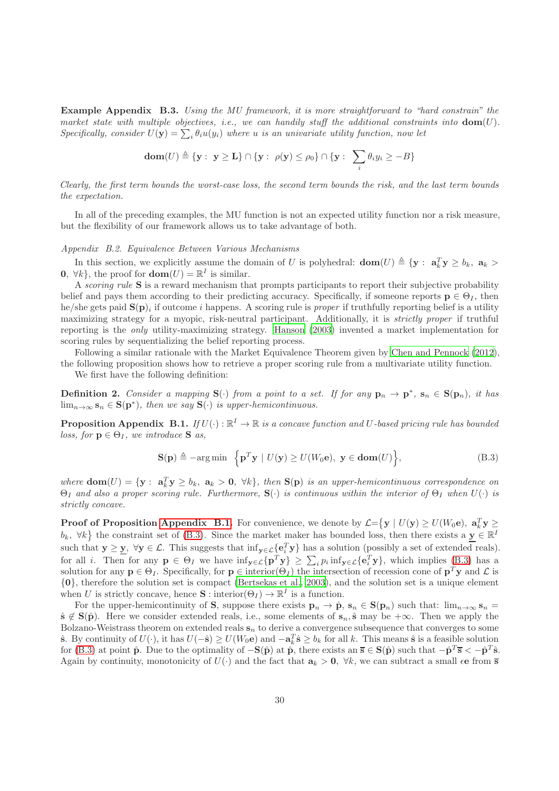Example Appendix B.3. Using the MU framework, it is more straightforward to "hard constrain" the market state with multiple objectives, i.e., we can handily stuff the additional constraints into  $dom(U)$ . Specifically, consider  $U(\mathbf{y}) = \sum_i \theta_i u(y_i)$  where u is an univariate utility function, now let

$$
\textbf{dom}(U) \triangleq \{ \mathbf{y} : \ \mathbf{y} \ge \mathbf{L} \} \cap \{ \mathbf{y} : \ \rho(\mathbf{y}) \le \rho_0 \} \cap \{ \mathbf{y} : \ \sum_i \theta_i y_i \ge -B \}
$$

Clearly, the first term bounds the worst-case loss, the second term bounds the risk, and the last term bounds the expectation.

In all of the preceding examples, the MU function is not an expected utility function nor a risk measure, but the flexibility of our framework allows us to take advantage of both.

# <span id="page-29-0"></span>Appendix B.2. Equivalence Between Various Mechanisms

In this section, we explicitly assume the domain of U is polyhedral:  $\textbf{dom}(U) \triangleq \{y : a_k^T y \ge b_k, a_k > 0\}$ **0**,  $\forall k$ , the proof for **dom** $(U) = \mathbb{R}^I$  is similar.

A scoring rule S is a reward mechanism that prompts participants to report their subjective probability belief and pays them according to their predicting accuracy. Specifically, if someone reports  $\mathbf{p} \in \Theta_I$ , then he/she gets paid  $S(p)_i$  if outcome i happens. A scoring rule is *proper* if truthfully reporting belief is a utility maximizing strategy for a myopic, risk-neutral participant. Additionally, it is strictly proper if truthful reporting is the only utility-maximizing strategy. [Hanson \(2003\)](#page-17-2) invented a market implementation for scoring rules by sequentializing the belief reporting process.

Following a similar rationale with the Market Equivalence Theorem given by [Chen and Pennock \(2012\)](#page-17-3), the following proposition shows how to retrieve a proper scoring rule from a multivariate utility function.

We first have the following definition:

**Definition 2.** Consider a mapping  $S(\cdot)$  from a point to a set. If for any  $p_n \to p^*$ ,  $s_n \in S(p_n)$ , it has  $\lim_{n\to\infty}$   $\mathbf{s}_n \in \mathbf{S}(\mathbf{p}^*)$ , then we say  $\mathbf{S}(\cdot)$  is upper-hemicontinuous.

<span id="page-29-1"></span>**Proposition Appendix B.1.** If  $U(\cdot): \mathbb{R}^I \to \mathbb{R}$  is a concave function and U-based pricing rule has bounded loss, for  $\mathbf{p} \in \Theta_I$ , we introduce **S** as,

<span id="page-29-2"></span>
$$
\mathbf{S(p)} \triangleq -\arg\min \left\{ \mathbf{p}^T \mathbf{y} \mid U(\mathbf{y}) \ge U(W_0 \mathbf{e}), \ \mathbf{y} \in \text{dom}(U) \right\},\tag{B.3}
$$

where  $\textbf{dom}(U) = \{ \mathbf{y} : \mathbf{a}_k^T \mathbf{y} \ge b_k, \mathbf{a}_k > \mathbf{0}, \forall k \}$ , then  $\mathbf{S}(\mathbf{p})$  is an upper-hemicontinuous correspondence on  $\Theta_I$  and also a proper scoring rule. Furthermore,  $\mathbf{S}(\cdot)$  is continuous within the interior of  $\Theta_I$  when  $U(\cdot)$  is strictly concave.

**Proof of Proposition [Appendix B.1.](#page-29-1)** For convenience, we denote by  $\mathcal{L} = \{ \mathbf{y} \mid U(\mathbf{y}) \geq U(W_0 \mathbf{e}), \mathbf{a}_k^T \mathbf{y} \geq \mathbf{a}_k \}$  $b_k$ ,  $\forall k$  the constraint set of [\(B.3\)](#page-29-2). Since the market maker has bounded loss, then there exists a  $y \in \mathbb{R}^N$ such that  $y \ge y$ ,  $\forall y \in \mathcal{L}$ . This suggests that  $\inf_{y \in \mathcal{L}} \{e_i^T y\}$  has a solution (possibly a set of extended reals). for all *i*. Then for any  $p \in \Theta_I$  we have  $\inf_{y \in \mathcal{L}} \{p^T y\} \ge \sum_i p_i \inf_{y \in \mathcal{L}} \{e_i^T y\}$ , which implies [\(B.3\)](#page-29-2) has a solution for any  $p \in \Theta_I$ . Specifically, for  $p \in \text{interior}(\Theta_I)$  the intersection of recession cone of  $p^T y$  and  $\mathcal{L}$  is {0}, therefore the solution set is compact [\(Bertsekas et al., 2003](#page-18-3)), and the solution set is a unique element when U is strictly concave, hence  $\mathbf{S}:$  interior $(\Theta_I) \to \mathbb{R}^I$  is a function.

For the upper-hemicontinuity of S, suppose there exists  $\mathbf{p}_n \to \hat{\mathbf{p}}$ ,  $\mathbf{s}_n \in \mathbf{S}(\mathbf{p}_n)$  such that:  $\lim_{n\to\infty} \mathbf{s}_n =$  $\hat{\mathbf{s}} \notin \mathbf{S}(\hat{\mathbf{p}})$ . Here we consider extended reals, i.e., some elements of  $\mathbf{s}_n$ ,  $\hat{\mathbf{s}}$  may be  $+\infty$ . Then we apply the Bolzano-Weistrass theorem on extended reals  $s_n$  to derive a convergence subsequence that converges to some  $\hat{\mathbf{s}}$ . By continuity of  $U(\cdot)$ , it has  $U(-\hat{\mathbf{s}}) \geq U(W_0\mathbf{e})$  and  $-\mathbf{a}_k^T\hat{\mathbf{s}} \geq b_k$  for all k. This means  $\hat{\mathbf{s}}$  is a feasible solution for [\(B.3\)](#page-29-2) at point  $\hat{\mathbf{p}}$ . Due to the optimality of  $-\mathbf{S}(\hat{\mathbf{p}})$  at  $\hat{\mathbf{p}}$ , there exists an  $\overline{\mathbf{s}} \in \mathbf{S}(\hat{\mathbf{p}})$  such that  $-\hat{\mathbf{p}}^T \overline{\mathbf{s}} < -\hat{\mathbf{p}}^T \hat{\mathbf{s}}$ . Again by continuity, monotonicity of  $U(\cdot)$  and the fact that  $a_k > 0$ ,  $\forall k$ , we can subtract a small  $\epsilon e$  from  $\overline{s}$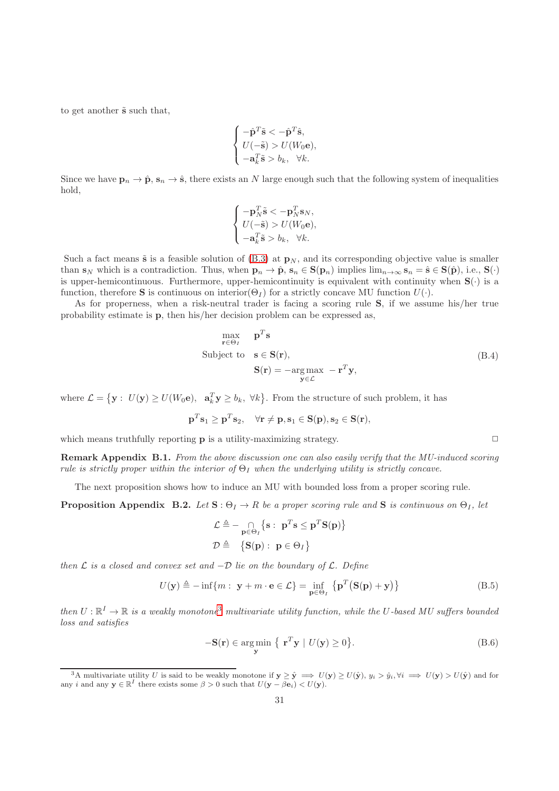to get another  $\tilde{s}$  such that,

$$
\begin{cases}\n-\hat{\mathbf{p}}^T \tilde{\mathbf{s}} < -\hat{\mathbf{p}}^T \hat{\mathbf{s}}, \\
U(-\tilde{\mathbf{s}}) > U(W_0 \mathbf{e}), \\
-a_k^T \tilde{\mathbf{s}} > b_k, \quad \forall k.\n\end{cases}
$$

Since we have  $\mathbf{p}_n \to \hat{\mathbf{p}}, \mathbf{s}_n \to \hat{\mathbf{s}},$  there exists an N large enough such that the following system of inequalities hold,

$$
\begin{cases}\n-\mathbf{p}_N^T \tilde{\mathbf{s}} < -\mathbf{p}_N^T \mathbf{s}_N, \\
U(-\tilde{\mathbf{s}}) > U(W_0 \mathbf{e}), \\
-\mathbf{a}_k^T \tilde{\mathbf{s}} > b_k, \quad \forall k.\n\end{cases}
$$

Such a fact means  $\tilde{s}$  is a feasible solution of [\(B.3\)](#page-29-2) at  $\mathbf{p}_N$ , and its corresponding objective value is smaller than  $s_N$  which is a contradiction. Thus, when  $p_n \to \hat{p}$ ,  $s_n \in S(p_n)$  implies  $\lim_{n\to\infty} s_n = \hat{s} \in S(\hat{p})$ , i.e.,  $S(\cdot)$ is upper-hemicontinuous. Furthermore, upper-hemicontinuity is equivalent with continuity when  $S(\cdot)$  is a function, therefore **S** is continuous on interior( $\Theta_I$ ) for a strictly concave MU function  $U(\cdot)$ .

As for properness, when a risk-neutral trader is facing a scoring rule S, if we assume his/her true probability estimate is p, then his/her decision problem can be expressed as,

$$
\max_{\mathbf{r} \in \Theta_I} \quad \mathbf{p}^T \mathbf{s}
$$
\nSubject to  $\mathbf{s} \in \mathbf{S}(\mathbf{r}),$ 

\n
$$
\mathbf{S}(\mathbf{r}) = -\underset{\mathbf{y} \in \mathcal{L}}{\arg \max} -\mathbf{r}^T \mathbf{y},
$$
\n(B.4)

where  $\mathcal{L} = \{ \mathbf{y} : U(\mathbf{y}) \geq U(W_0 \mathbf{e}), \mathbf{a}_k^T \mathbf{y} \geq b_k, \forall k \}.$  From the structure of such problem, it has

$$
\mathbf{p}^T\mathbf{s}_1 \geq \mathbf{p}^T\mathbf{s}_2, \quad \forall \mathbf{r} \neq \mathbf{p}, \mathbf{s}_1 \in \mathbf{S}(\mathbf{p}), \mathbf{s}_2 \in \mathbf{S}(\mathbf{r}),
$$

which means truthfully reporting  $\bf{p}$  is a utility-maximizing strategy.  $\Box$ 

Remark Appendix B.1. From the above discussion one can also easily verify that the MU-induced scoring rule is strictly proper within the interior of  $\Theta_I$  when the underlying utility is strictly concave.

The next proposition shows how to induce an MU with bounded loss from a proper scoring rule.

<span id="page-30-1"></span>**Proposition Appendix B.2.** Let  $S : \Theta_I \to R$  be a proper scoring rule and S is continuous on  $\Theta_I$ , let

$$
\mathcal{L} \triangleq -\bigcap_{\mathbf{p} \in \Theta_I} \{ \mathbf{s} : \ \mathbf{p}^T \mathbf{s} \leq \mathbf{p}^T \mathbf{S}(\mathbf{p}) \}
$$

$$
\mathcal{D} \triangleq \{ \mathbf{S}(\mathbf{p}) : \ \mathbf{p} \in \Theta_I \}
$$

then  $\mathcal L$  is a closed and convex set and  $-\mathcal D$  lie on the boundary of  $\mathcal L$ . Define

$$
U(\mathbf{y}) \triangleq -\inf\{m : \ \mathbf{y} + m \cdot \mathbf{e} \in \mathcal{L}\} = \inf_{\mathbf{p} \in \Theta_I} \left\{ \mathbf{p}^T \big( \mathbf{S}(\mathbf{p}) + \mathbf{y} \big) \right\} \tag{B.5}
$$

then  $U:\mathbb{R}^I\to\mathbb{R}$  is a weakly monotone<sup>[3](#page-30-0)</sup> multivariate utility function, while the U-based MU suffers bounded loss and satisfies

$$
-\mathbf{S}(\mathbf{r}) \in \underset{\mathbf{y}}{\text{arg min}} \ \{ \ \mathbf{r}^T \mathbf{y} \mid U(\mathbf{y}) \ge 0 \}. \tag{B.6}
$$

<span id="page-30-3"></span><span id="page-30-2"></span>

<span id="page-30-0"></span><sup>&</sup>lt;sup>3</sup>A multivariate utility U is said to be weakly monotone if  $y \ge \hat{y} \implies U(y) \ge U(\hat{y}), y_i > \hat{y}_i, \forall i \implies U(y) > U(\hat{y})$  and for any i and any  $y \in \mathbb{R}^I$  there exists some  $\beta > 0$  such that  $U(y - \beta e_i) < U(y)$ .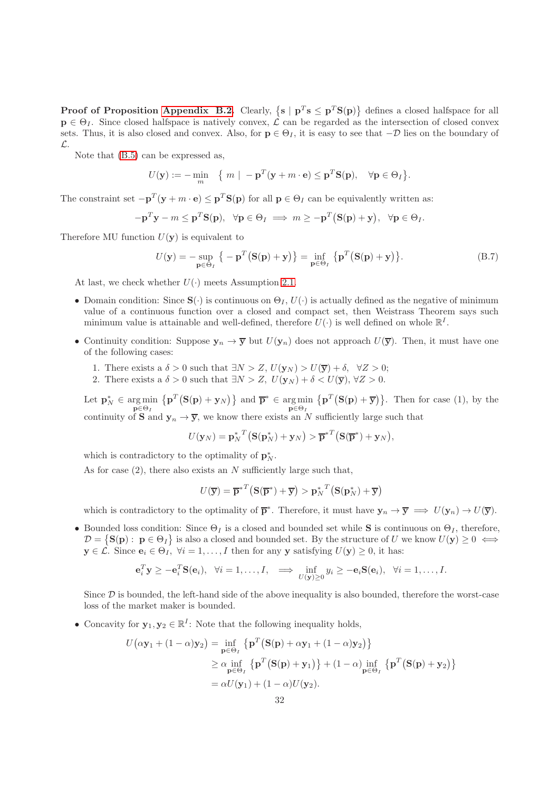**Proof of Proposition [Appendix B.2.](#page-30-1)** Clearly,  $\{s \mid p^T s \leq p^T S(p)\}\$  defines a closed halfspace for all  $p \in \Theta_I$ . Since closed halfspace is natively convex,  $\mathcal{L}$  can be regarded as the intersection of closed convex sets. Thus, it is also closed and convex. Also, for  $p \in \Theta_I$ , it is easy to see that  $-\mathcal{D}$  lies on the boundary of L.

Note that [\(B.5\)](#page-30-2) can be expressed as,

$$
U(\mathbf{y}) := -\min_{m} \quad \{ m \mid -\mathbf{p}^{T}(\mathbf{y} + m \cdot \mathbf{e}) \leq \mathbf{p}^{T} \mathbf{S}(\mathbf{p}), \quad \forall \mathbf{p} \in \Theta_{I} \}.
$$

The constraint set  $-\mathbf{p}^T(\mathbf{y} + m \cdot \mathbf{e}) \leq \mathbf{p}^T \mathbf{S}(\mathbf{p})$  for all  $\mathbf{p} \in \Theta_I$  can be equivalently written as:

$$
-\mathbf{p}^T\mathbf{y} - m \le \mathbf{p}^T\mathbf{S}(\mathbf{p}), \quad \forall \mathbf{p} \in \Theta_I \implies m \ge -\mathbf{p}^T(\mathbf{S}(\mathbf{p}) + \mathbf{y}), \quad \forall \mathbf{p} \in \Theta_I.
$$

Therefore MU function  $U(\mathbf{y})$  is equivalent to

$$
U(\mathbf{y}) = -\sup_{\mathbf{p} \in \Theta_I} \left\{ -\mathbf{p}^T \big( \mathbf{S}(\mathbf{p}) + \mathbf{y} \big) \right\} = \inf_{\mathbf{p} \in \Theta_I} \left\{ \mathbf{p}^T \big( \mathbf{S}(\mathbf{p}) + \mathbf{y} \big) \right\}.
$$
 (B.7)

At last, we check whether  $U(\cdot)$  meets Assumption [2.1.](#page-4-1)

- Domain condition: Since  $\mathbf{S}(\cdot)$  is continuous on  $\Theta_I, U(\cdot)$  is actually defined as the negative of minimum value of a continuous function over a closed and compact set, then Weistrass Theorem says such minimum value is attainable and well-defined, therefore  $U(\cdot)$  is well defined on whole  $\mathbb{R}^I$ .
- Continuity condition: Suppose  $y_n \to \overline{y}$  but  $U(y_n)$  does not approach  $U(\overline{y})$ . Then, it must have one of the following cases:
	- 1. There exists a  $\delta > 0$  such that  $\exists N > Z, U(\mathbf{y}_N) > U(\overline{\mathbf{y}}) + \delta, \forall Z > 0;$
	- 2. There exists a  $\delta > 0$  such that  $\exists N > Z$ ,  $U(\mathbf{y}_N) + \delta < U(\overline{\mathbf{y}})$ ,  $\forall Z > 0$ .

Let  $\mathbf{p}_N^* \in \underset{\mathbf{p} \in \Theta_I}{\arg \min}$  $\{ \mathbf{p}^T (\mathbf{S}(\mathbf{p}) + \mathbf{y}_N) \}$  and  $\mathbf{\bar{p}}^* \in \text{argmin}$  $\mathbf{p} \in \Theta_I$  $\{p^T(S(p) + \overline{y})\}\$ . Then for case (1), by the continuity of **S** and  $y_n \to \overline{y}$ , we know there exists an N sufficiently large such that

$$
U(\mathbf{y}_N)=\mathbf{p}_N^{*T}\big(\mathbf{S}(\mathbf{p}_N^*)+\mathbf{y}_N\big) > \overline{\mathbf{p}}^{*T}\big(\mathbf{S}(\overline{\mathbf{p}}^*)+\mathbf{y}_N\big),
$$

which is contradictory to the optimality of  $\mathbf{p}_{N}^{*}$ .

As for case  $(2)$ , there also exists an N sufficiently large such that,

$$
U(\overline{\mathbf{y}}) = \overline{\mathbf{p}}^{*T} (\mathbf{S}(\overline{\mathbf{p}}^*) + \overline{\mathbf{y}}) > \mathbf{p}_N^{*T} (\mathbf{S}(\mathbf{p}_N^*) + \overline{\mathbf{y}})
$$

which is contradictory to the optimality of  $\overline{p}^*$ . Therefore, it must have  $y_n \to \overline{y} \implies U(y_n) \to U(\overline{y})$ .

• Bounded loss condition: Since  $\Theta_I$  is a closed and bounded set while S is continuous on  $\Theta_I$ , therefore,  $\mathcal{D} = \{ \mathbf{S}(\mathbf{p}) : \ \mathbf{p} \in \Theta_I \}$  is also a closed and bounded set. By the structure of U we know  $U(\mathbf{y}) \geq 0 \iff$  $y \in \mathcal{L}$ . Since  $e_i \in \Theta_I$ ,  $\forall i = 1, ..., I$  then for any y satisfying  $U(y) \geq 0$ , it has:

$$
\mathbf{e}_i^T \mathbf{y} \ge -\mathbf{e}_i^T \mathbf{S}(\mathbf{e}_i), \quad \forall i = 1,\ldots,I, \quad \Longrightarrow \inf_{U(\mathbf{y}) \ge 0} y_i \ge -\mathbf{e}_i \mathbf{S}(\mathbf{e}_i), \quad \forall i = 1,\ldots,I.
$$

Since  $D$  is bounded, the left-hand side of the above inequality is also bounded, therefore the worst-case loss of the market maker is bounded.

• Concavity for  $y_1, y_2 \in \mathbb{R}^I$ : Note that the following inequality holds,

$$
U(\alpha \mathbf{y}_1 + (1 - \alpha)\mathbf{y}_2) = \inf_{\mathbf{p} \in \Theta_I} \{ \mathbf{p}^T (\mathbf{S}(\mathbf{p}) + \alpha \mathbf{y}_1 + (1 - \alpha)\mathbf{y}_2) \}
$$
  
\n
$$
\geq \alpha \inf_{\mathbf{p} \in \Theta_I} \{ \mathbf{p}^T (\mathbf{S}(\mathbf{p}) + \mathbf{y}_1) \} + (1 - \alpha) \inf_{\mathbf{p} \in \Theta_I} \{ \mathbf{p}^T (\mathbf{S}(\mathbf{p}) + \mathbf{y}_2) \}
$$
  
\n
$$
= \alpha U(\mathbf{y}_1) + (1 - \alpha)U(\mathbf{y}_2).
$$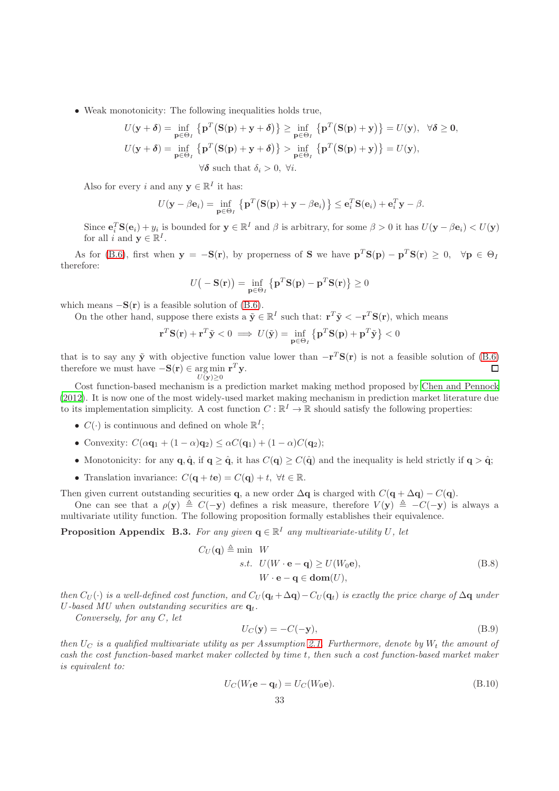• Weak monotonicity: The following inequalities holds true,

$$
U(\mathbf{y} + \boldsymbol{\delta}) = \inf_{\mathbf{p} \in \Theta_I} \left\{ \mathbf{p}^T (\mathbf{S}(\mathbf{p}) + \mathbf{y} + \boldsymbol{\delta}) \right\} \ge \inf_{\mathbf{p} \in \Theta_I} \left\{ \mathbf{p}^T (\mathbf{S}(\mathbf{p}) + \mathbf{y}) \right\} = U(\mathbf{y}), \quad \forall \boldsymbol{\delta} \ge \mathbf{0},
$$
  
\n
$$
U(\mathbf{y} + \boldsymbol{\delta}) = \inf_{\mathbf{p} \in \Theta_I} \left\{ \mathbf{p}^T (\mathbf{S}(\mathbf{p}) + \mathbf{y} + \boldsymbol{\delta}) \right\} > \inf_{\mathbf{p} \in \Theta_I} \left\{ \mathbf{p}^T (\mathbf{S}(\mathbf{p}) + \mathbf{y}) \right\} = U(\mathbf{y}),
$$
  
\n
$$
\forall \boldsymbol{\delta} \text{ such that } \delta_i > 0, \forall i.
$$

Also for every i and any  $\mathbf{y} \in \mathbb{R}^I$  it has:

$$
U(\mathbf{y} - \beta \mathbf{e}_i) = \inf_{\mathbf{p} \in \Theta_I} \left\{ \mathbf{p}^T \big( \mathbf{S}(\mathbf{p}) + \mathbf{y} - \beta \mathbf{e}_i \big) \right\} \leq \mathbf{e}_i^T \mathbf{S}(\mathbf{e}_i) + \mathbf{e}_i^T \mathbf{y} - \beta.
$$

Since  $\mathbf{e}_i^T \mathbf{S}(\mathbf{e}_i) + y_i$  is bounded for  $\mathbf{y} \in \mathbb{R}^I$  and  $\beta$  is arbitrary, for some  $\beta > 0$  it has  $U(\mathbf{y} - \beta \mathbf{e}_i) < U(\mathbf{y})$ for all i and  $\mathbf{y} \in \mathbb{R}^I$ .

As for [\(B.6\)](#page-30-3), first when  $y = -S(r)$ , by properness of S we have  $p^T S(p) - p^T S(r) \geq 0$ ,  $\forall p \in \Theta$ therefore:

$$
U(-\mathbf{S}(\mathbf{r})) = \inf_{\mathbf{p} \in \Theta_I} \left\{ \mathbf{p}^T \mathbf{S}(\mathbf{p}) - \mathbf{p}^T \mathbf{S}(\mathbf{r}) \right\} \ge 0
$$

which means  $-S(r)$  is a feasible solution of [\(B.6\)](#page-30-3).

On the other hand, suppose there exists a  $\tilde{\mathbf{y}} \in \mathbb{R}^I$  such that:  $\mathbf{r}^T \tilde{\mathbf{y}} < -\mathbf{r}^T \mathbf{S}(\mathbf{r})$ , which means

$$
\mathbf{r}^T \mathbf{S}(\mathbf{r}) + \mathbf{r}^T \tilde{\mathbf{y}} < 0 \implies U(\tilde{\mathbf{y}}) = \inf_{\mathbf{p} \in \Theta_I} \left\{ \mathbf{p}^T \mathbf{S}(\mathbf{p}) + \mathbf{p}^T \tilde{\mathbf{y}} \right\} < 0
$$

that is to say any  $\tilde{y}$  with objective function value lower than  $-r^T S(r)$  is not a feasible solution of [\(B.6\)](#page-30-3) therefore we must have  $-\mathbf{S}(\mathbf{r}) \in \arg \min \mathbf{r}^T \mathbf{y}$ .  $\Box$  $U(\mathbf{y})>0$ 

Cost function-based mechanism is a prediction market making method proposed by [Chen and Pennock](#page-17-3) [\(2012](#page-17-3)). It is now one of the most widely-used market making mechanism in prediction market literature due to its implementation simplicity. A cost function  $C : \mathbb{R}^I \to \mathbb{R}$  should satisfy the following properties:

- $C(\cdot)$  is continuous and defined on whole  $\mathbb{R}^I$ ;
- Convexity:  $C(\alpha \mathbf{q}_1 + (1 \alpha)\mathbf{q}_2) \leq \alpha C(\mathbf{q}_1) + (1 \alpha)C(\mathbf{q}_2);$
- Monotonicity: for any  $\mathbf{q}, \hat{\mathbf{q}},$  if  $\mathbf{q} > \hat{\mathbf{q}}$ , it has  $C(\mathbf{q}) > C(\hat{\mathbf{q}})$  and the inequality is held strictly if  $\mathbf{q} > \hat{\mathbf{q}}$ ;
- Translation invariance:  $C(\mathbf{q} + t\mathbf{e}) = C(\mathbf{q}) + t$ ,  $\forall t \in \mathbb{R}$ .

Then given current outstanding securities q, a new order  $\Delta q$  is charged with  $C(q + \Delta q) - C(q)$ .

One can see that a  $\rho(y) \triangleq C(-y)$  defines a risk measure, therefore  $V(y) \triangleq -C(-y)$  is always a multivariate utility function. The following proposition formally establishes their equivalence.

<span id="page-32-0"></span>**Proposition Appendix B.3.** For any given  $q \in \mathbb{R}^I$  any multivariate-utility U, let

$$
C_U(\mathbf{q}) \triangleq \min \quad W
$$
  
s.t.  $U(W \cdot \mathbf{e} - \mathbf{q}) \ge U(W_0 \mathbf{e}),$   
 $W \cdot \mathbf{e} - \mathbf{q} \in \text{dom}(U),$  (B.8)

then  $C_U(\cdot)$  is a well-defined cost function, and  $C_U(\mathbf{q}_t + \Delta \mathbf{q}) - C_U(\mathbf{q}_t)$  is exactly the price charge of  $\Delta \mathbf{q}$  under U-based MU when outstanding securities are  $q_t$ .

Conversely, for any C, let

<span id="page-32-1"></span>
$$
U_C(\mathbf{y}) = -C(-\mathbf{y}),\tag{B.9}
$$

then  $U_C$  is a qualified multivariate utility as per Assumption [2.1.](#page-4-1) Furthermore, denote by  $W_t$  the amount of cash the cost function-based market maker collected by time t, then such a cost function-based market maker is equivalent to:

$$
U_C(W_t \mathbf{e} - \mathbf{q}_t) = U_C(W_0 \mathbf{e}).
$$
\n(B.10)